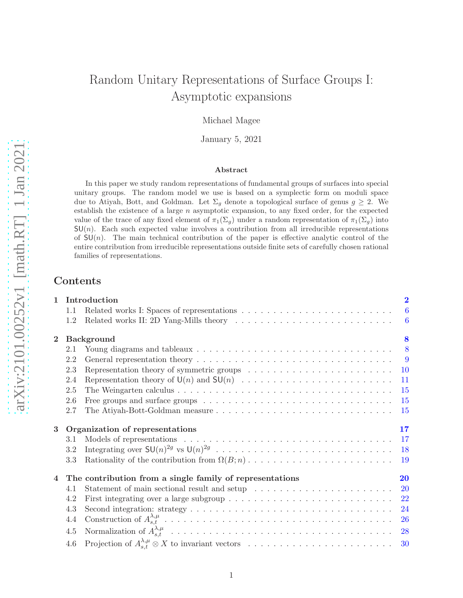# Random Unitary Representations of Surface Groups I: Asymptotic expansions

Michael Magee

January 5, 2021

### Abstract

In this paper we study random representations of fundamental groups of surfaces into special unitary groups. The random model we use is based on a symplectic form on moduli space due to Atiyah, Bott, and Goldman. Let  $\Sigma_g$  denote a topological surface of genus  $g \geq 2$ . We establish the existence of a large  $n$  asymptotic expansion, to any fixed order, for the expected value of the trace of any fixed element of  $\pi_1(\Sigma_g)$  under a random representation of  $\pi_1(\Sigma_g)$  into  $SU(n)$ . Each such expected value involves a contribution from all irreducible representations of  $SU(n)$ . The main technical contribution of the paper is effective analytic control of the entire contribution from irreducible representations outside finite sets of carefully chosen rational families of representations.

# Contents

| 1              |     | Introduction                                                                                               | $\overline{2}$  |
|----------------|-----|------------------------------------------------------------------------------------------------------------|-----------------|
|                | 1.1 |                                                                                                            | $6\phantom{.}6$ |
|                | 1.2 |                                                                                                            | $-6$            |
| $\overline{2}$ |     | Background                                                                                                 | 8               |
|                | 2.1 | Young diagrams and tableaux $\ldots \ldots \ldots \ldots \ldots \ldots \ldots \ldots \ldots \ldots \ldots$ | 8               |
|                | 2.2 |                                                                                                            | $\overline{9}$  |
|                | 2.3 |                                                                                                            | <b>10</b>       |
|                | 2.4 |                                                                                                            | 11              |
|                | 2.5 |                                                                                                            | 15              |
|                | 2.6 |                                                                                                            | 15              |
|                | 2.7 |                                                                                                            | 15              |
|                |     |                                                                                                            |                 |
| 3              |     | Organization of representations                                                                            | 17              |
|                | 3.1 |                                                                                                            | 17              |
|                | 3.2 |                                                                                                            | 18              |
|                | 3.3 |                                                                                                            | 19              |
| 4              |     | The contribution from a single family of representations                                                   | 20              |
|                | 4.1 |                                                                                                            | <b>20</b>       |
|                | 4.2 |                                                                                                            | 22              |
|                | 4.3 | First integrating over a large subgroup $\dots \dots \dots \dots \dots \dots \dots \dots \dots \dots$      | 24              |
|                | 4.4 |                                                                                                            | <b>26</b>       |
|                | 4.5 |                                                                                                            | 28              |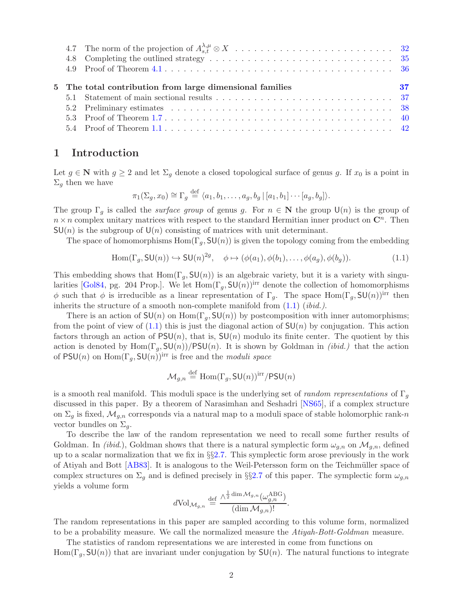<span id="page-1-2"></span>

|  | 5 The total contribution from large dimensional families | - 37 |
|--|----------------------------------------------------------|------|
|  |                                                          |      |
|  |                                                          |      |
|  |                                                          |      |

# <span id="page-1-0"></span>1 Introduction

Let  $g \in \mathbb{N}$  with  $g \geq 2$  and let  $\Sigma_g$  denote a closed topological surface of genus g. If  $x_0$  is a point in  $\Sigma_q$  then we have

$$
\pi_1(\Sigma_g, x_0) \cong \Gamma_g \stackrel{\text{def}}{=} \langle a_1, b_1, \dots, a_g, b_g \mid [a_1, b_1] \cdots [a_g, b_g] \rangle.
$$

The group  $\Gamma_g$  is called the *surface group* of genus g. For  $n \in \mathbb{N}$  the group  $\mathsf{U}(n)$  is the group of  $n \times n$  complex unitary matrices with respect to the standard Hermitian inner product on  $\mathbb{C}^n$ . Then  $SU(n)$  is the subgroup of  $U(n)$  consisting of matrices with unit determinant.

The space of homomorphisms  $Hom(\Gamma_q, SU(n))$  is given the topology coming from the embedding

<span id="page-1-1"></span>
$$
\text{Hom}(\Gamma_g, \text{SU}(n)) \hookrightarrow \text{SU}(n)^{2g}, \quad \phi \mapsto (\phi(a_1), \phi(b_1), \dots, \phi(a_g), \phi(b_g)). \tag{1.1}
$$

This embedding shows that  $Hom(\Gamma_q, SU(n))$  is an algebraic variety, but it is a variety with singu-larities [\[Gol84,](#page-43-0) pg. 204 Prop.]. We let  $Hom(\Gamma_g, SU(n))^{irr}$  denote the collection of homomorphisms φ such that φ is irreducible as a linear representation of  $\Gamma_q$ . The space Hom( $\Gamma_q$ , SU(n))<sup>irr</sup> then inherits the structure of a smooth non-complete manifold from  $(1.1)$   $(ibid.).$ 

There is an action of  $SU(n)$  on  $Hom(\Gamma_q, SU(n))$  by postcomposition with inner automorphisms; from the point of view of  $(1.1)$  this is just the diagonal action of  $SU(n)$  by conjugation. This action factors through an action of  $PSU(n)$ , that is,  $SU(n)$  modulo its finite center. The quotient by this action is denoted by  $\text{Hom}(\Gamma_g, \text{SU}(n))/\text{PSU}(n)$ . It is shown by Goldman in *(ibid.)* that the action of  $PSU(n)$  on  $Hom(\Gamma_q, SU(n))$ <sup>irr</sup> is free and the *moduli space* 

$$
\mathcal{M}_{g,n} \stackrel{\text{def}}{=} \text{Hom}(\Gamma_g, \mathsf{SU}(n))^{\text{irr}}/\mathsf{PSU}(n)
$$

is a smooth real manifold. This moduli space is the underlying set of random representations of  $\Gamma_q$ discussed in this paper. By a theorem of Narasimhan and Seshadri [\[NS65\]](#page-44-0), if a complex structure on  $\Sigma_g$  is fixed,  $\mathcal{M}_{g,n}$  corresponds via a natural map to a moduli space of stable holomorphic rank-n vector bundles on  $\Sigma_a$ .

To describe the law of the random representation we need to recall some further results of Goldman. In *(ibid.)*, Goldman shows that there is a natural symplectic form  $\omega_{q,n}$  on  $\mathcal{M}_{q,n}$ , defined up to a scalar normalization that we fix in  $\S$ [2.7.](#page-14-2) This symplectic form arose previously in the work of Atiyah and Bott [\[AB83\]](#page-42-0). It is analogous to the Weil-Petersson form on the Teichmüller space of complex structures on  $\Sigma_g$  and is defined precisely in §§[2.7](#page-14-2) of this paper. The symplectic form  $\omega_{g,n}$ yields a volume form

$$
d\text{Vol}_{\mathcal{M}_{g,n}} \stackrel{\text{def}}{=} \frac{\wedge^{\frac{1}{2}\dim \mathcal{M}_{g,n}}(\omega_{g,n}^{\text{ABG}})}{(\dim \mathcal{M}_{g,n})!}.
$$

The random representations in this paper are sampled according to this volume form, normalized to be a probability measure. We call the normalized measure the Atiyah-Bott-Goldman measure.

The statistics of random representations we are interested in come from functions on  $Hom(\Gamma_q, SU(n))$  that are invariant under conjugation by  $SU(n)$ . The natural functions to integrate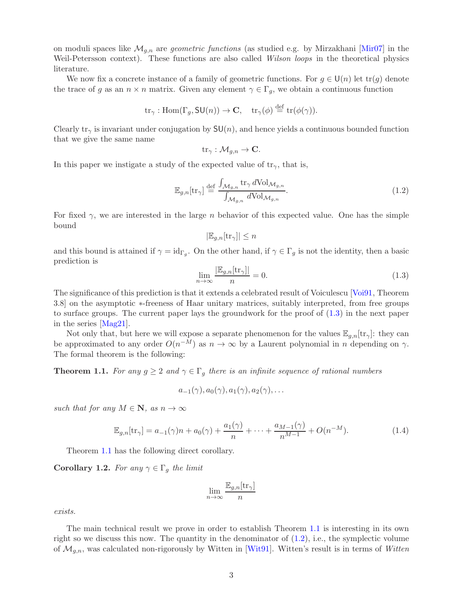<span id="page-2-4"></span>on moduli spaces like  $\mathcal{M}_{q,n}$  are *geometric functions* (as studied e.g. by Mirzakhani [\[Mir07\]](#page-43-1) in the Weil-Petersson context). These functions are also called *Wilson loops* in the theoretical physics literature.

We now fix a concrete instance of a family of geometric functions. For  $g \in U(n)$  let  $tr(g)$  denote the trace of g as an  $n \times n$  matrix. Given any element  $\gamma \in \Gamma_q$ , we obtain a continuous function

$$
\mathrm{tr}_{\gamma} : \mathrm{Hom}(\Gamma_g, \mathsf{SU}(n)) \to \mathbf{C}, \quad \mathrm{tr}_{\gamma}(\phi) \stackrel{\mathrm{def}}{=} \mathrm{tr}(\phi(\gamma)).
$$

Clearly tr<sub> $\gamma$ </sub> is invariant under conjugation by  $SU(n)$ , and hence yields a continuous bounded function that we give the same name

$$
\mathrm{tr}_{\gamma}: \mathcal{M}_{g,n} \to \mathbf{C}.
$$

In this paper we instigate a study of the expected value of  $tr_{\gamma}$ , that is,

<span id="page-2-2"></span>
$$
\mathbb{E}_{g,n}[\text{tr}_{\gamma}] \stackrel{\text{def}}{=} \frac{\int_{\mathcal{M}_{g,n}} \text{tr}_{\gamma} d\text{Vol}_{\mathcal{M}_{g,n}}}{\int_{\mathcal{M}_{g,n}} d\text{Vol}_{\mathcal{M}_{g,n}}}. \tag{1.2}
$$

For fixed  $\gamma$ , we are interested in the large n behavior of this expected value. One has the simple bound

$$
|\mathbb{E}_{g,n}[\text{tr}_\gamma]|\leq n
$$

and this bound is attained if  $\gamma = id_{\Gamma_g}$ . On the other hand, if  $\gamma \in \Gamma_g$  is not the identity, then a basic prediction is

<span id="page-2-1"></span>
$$
\lim_{n \to \infty} \frac{|\mathbb{E}_{g,n}[\text{tr}_{\gamma}]|}{n} = 0.
$$
\n(1.3)

The significance of this prediction is that it extends a celebrated result of Voiculescu [\[Voi91,](#page-44-1) Theorem 3.8] on the asymptotic ∗-freeness of Haar unitary matrices, suitably interpreted, from free groups to surface groups. The current paper lays the groundwork for the proof of [\(1.3\)](#page-2-1) in the next paper in the series [\[Mag21\]](#page-43-2).

Not only that, but here we will expose a separate phenomenon for the values  $\mathbb{E}_{q,n}[\text{tr}_{\gamma}]$ : they can be approximated to any order  $O(n^{-M})$  as  $n \to \infty$  by a Laurent polynomial in n depending on  $\gamma$ . The formal theorem is the following:

<span id="page-2-0"></span>**Theorem 1.1.** For any  $g \geq 2$  and  $\gamma \in \Gamma_g$  there is an infinite sequence of rational numbers

 $a_{-1}(\gamma), a_0(\gamma), a_1(\gamma), a_2(\gamma), \ldots$ 

such that for any  $M \in \mathbb{N}$ , as  $n \to \infty$ 

<span id="page-2-3"></span>
$$
\mathbb{E}_{g,n}[\text{tr}_{\gamma}] = a_{-1}(\gamma)n + a_0(\gamma) + \frac{a_1(\gamma)}{n} + \dots + \frac{a_{M-1}(\gamma)}{n^{M-1}} + O(n^{-M}).
$$
\n(1.4)

Theorem [1.1](#page-2-0) has the following direct corollary.

Corollary 1.2. For any  $\gamma \in \Gamma_g$  the limit

$$
\lim_{n \to \infty} \frac{\mathbb{E}_{g,n}[\text{tr}_\gamma]}{n}
$$

exists.

The main technical result we prove in order to establish Theorem [1.1](#page-2-0) is interesting in its own right so we discuss this now. The quantity in the denominator of  $(1.2)$ , i.e., the symplectic volume of  $\mathcal{M}_{q,n}$ , was calculated non-rigorously by Witten in [\[Wit91\]](#page-44-2). Witten's result is in terms of Witten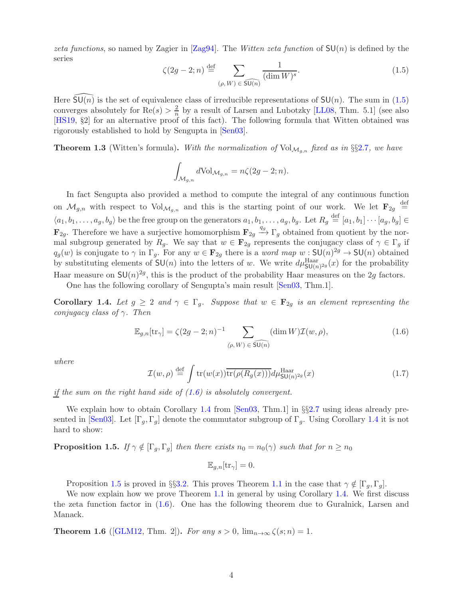<span id="page-3-7"></span>zeta functions, so named by Zagier in  $\text{Zag94}$ . The Witten zeta function of  $SU(n)$  is defined by the series

<span id="page-3-0"></span>
$$
\zeta(2g-2;n) \stackrel{\text{def}}{=} \sum_{(\rho,W)\in \widehat{\mathsf{SU}(n)}} \frac{1}{(\dim W)^s}.
$$
\n(1.5)

Here  $SU(n)$  is the set of equivalence class of irreducible representations of  $SU(n)$ . The sum in [\(1.5\)](#page-3-0) converges absolutely for  $\text{Re}(s) > \frac{2}{n}$  $\frac{2}{n}$  by a result of Larsen and Lubotzky [\[LL08,](#page-43-3) Thm. 5.1] (see also [\[HS19,](#page-43-4) §2] for an alternative proof of this fact). The following formula that Witten obtained was rigorously established to hold by Sengupta in [\[Sen03\]](#page-44-4).

<span id="page-3-6"></span>**Theorem 1.3** (Witten's formula). With the normalization of  $Vol_{\mathcal{M}_{g,n}}$  fixed as in §§[2](#page-14-2).7, we have

$$
\int_{\mathcal{M}_{g,n}} d\mathrm{Vol}_{\mathcal{M}_{g,n}} = n\zeta(2g-2;n).
$$

In fact Sengupta also provided a method to compute the integral of any continuous function on  $\mathcal{M}_{g,n}$  with respect to  $Vol_{\mathcal{M}_{g,n}}$  and this is the starting point of our work. We let  $\mathbf{F}_{2g} \stackrel{\text{def}}{=}$  $\langle a_1, b_1, \ldots, a_g, b_g \rangle$  be the free group on the generators  $a_1, b_1, \ldots, a_g, b_g$ . Let  $R_g \stackrel{\text{def}}{=} [a_1, b_1] \cdots [a_g, b_g] \in$  $\mathbf{F}_{2g}$ . Therefore we have a surjective homomorphism  $\mathbf{F}_{2g} \xrightarrow{q_g} \Gamma_g$  obtained from quotient by the normal subgroup generated by  $R_g$ . We say that  $w \in \mathbf{F}_{2g}$  represents the conjugacy class of  $\gamma \in \Gamma_g$  if  $q_g(w)$  is conjugate to  $\gamma$  in  $\Gamma_g$ . For any  $w \in \mathbf{F}_{2g}$  there is a *word map*  $w : \mathsf{SU}(n)^{2g} \to \mathsf{SU}(n)$  obtained by substituting elements of  $SU(n)$  into the letters of w. We write  $d\mu_{SU(n)^{2g}}^{\text{Haar}}(x)$  for the probability Haar measure on  $SU(n)^{2g}$ , this is the product of the probability Haar measures on the 2g factors.

One has the following corollary of Sengupta's main result [\[Sen03,](#page-44-4) Thm.1].

<span id="page-3-2"></span>**Corollary 1.4.** Let  $g \geq 2$  and  $\gamma \in \Gamma_g$ . Suppose that  $w \in \mathbf{F}_{2g}$  is an element representing the conjugacy class of  $\gamma$ . Then

<span id="page-3-1"></span>
$$
\mathbb{E}_{g,n}[\text{tr}_{\gamma}] = \zeta(2g-2;n)^{-1} \sum_{(\rho,W)\in \widehat{\text{SU}(n)}} (\dim W) \mathcal{I}(w,\rho), \tag{1.6}
$$

where

<span id="page-3-4"></span>
$$
\mathcal{I}(w,\rho) \stackrel{\text{def}}{=} \int \text{tr}(w(x)) \overline{\text{tr}(\rho(R_g(x)))} d\mu_{\text{SU}(n)^{2g}}^{\text{Haar}}(x) \tag{1.7}
$$

if the sum on the right hand side of  $(1.6)$  is absolutely convergent.

We explain how to obtain Corollary [1.4](#page-3-2) from [\[Sen03,](#page-44-4) Thm.1] in §§[2.7](#page-14-2) using ideas already pre-sented in [\[Sen03\]](#page-44-4). Let  $[\Gamma_q, \Gamma_q]$  denote the commutator subgroup of  $\Gamma_q$ . Using Corollary [1.4](#page-3-2) it is not hard to show:

<span id="page-3-3"></span>**Proposition 1.5.** If  $\gamma \notin [\Gamma_g, \Gamma_g]$  then there exists  $n_0 = n_0(\gamma)$  such that for  $n \geq n_0$ 

$$
\mathbb{E}_{g,n}[\text{tr}_{\gamma}] = 0.
$$

Proposition [1.5](#page-3-3) is proved in §§[3.2.](#page-17-0) This proves Theorem [1.1](#page-2-0) in the case that  $\gamma \notin [\Gamma_q, \Gamma_q]$ .

We now explain how we prove Theorem [1.1](#page-2-0) in general by using Corollary [1.4.](#page-3-2) We first discuss the zeta function factor in [\(1.6\)](#page-3-1). One has the following theorem due to Guralnick, Larsen and Manack.

<span id="page-3-5"></span>**Theorem 1.6** ([\[GLM12,](#page-43-5) Thm. 2]). For any  $s > 0$ ,  $\lim_{n \to \infty} \zeta(s; n) = 1$ .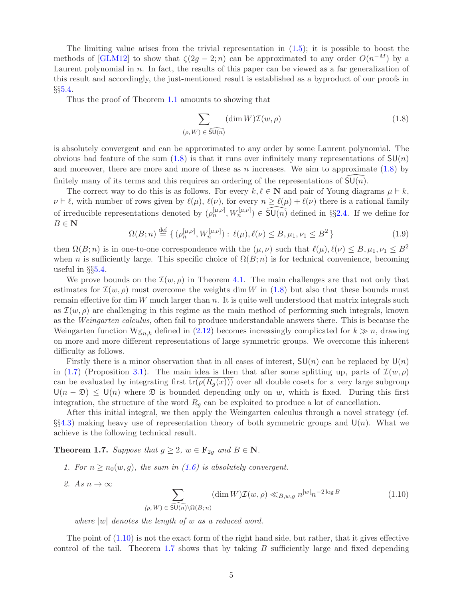<span id="page-4-4"></span>The limiting value arises from the trivial representation in  $(1.5)$ ; it is possible to boost the methods of [\[GLM12\]](#page-43-5) to show that  $\zeta(2g-2;n)$  can be approximated to any order  $O(n^{-M})$  by a Laurent polynomial in  $n$ . In fact, the results of this paper can be viewed as a far generalization of this result and accordingly, the just-mentioned result is established as a byproduct of our proofs in  $\S 5.4.$  $\S 5.4.$ 

Thus the proof of Theorem [1.1](#page-2-0) amounts to showing that

<span id="page-4-1"></span>
$$
\sum_{(\rho, W) \in \widehat{\mathsf{SU}(n)}} (\dim W) \mathcal{I}(w, \rho) \tag{1.8}
$$

is absolutely convergent and can be approximated to any order by some Laurent polynomial. The obvious bad feature of the sum  $(1.8)$  is that it runs over infinitely many representations of  $SU(n)$ and moreover, there are more and more of these as n increases. We aim to approximate  $(1.8)$  by finitely many of its terms and this requires an ordering of the representations of  $SU(n)$ .

The correct way to do this is as follows. For every  $k, \ell \in \mathbb{N}$  and pair of Young diagrams  $\mu \vdash k$ ,  $\nu \vdash \ell$ , with number of rows given by  $\ell(\mu)$ ,  $\ell(\nu)$ , for every  $n \geq \ell(\mu) + \ell(\nu)$  there is a rational family of irreducible representations denoted by  $(\rho_n^{[\mu,\nu]}, W_n^{[\mu,\nu]}) \in \widehat{\mathfrak{SU}(n)}$  defined in §§[2.4.](#page-10-0) If we define for  $B \in \mathbf{N}$ 

<span id="page-4-3"></span>
$$
\Omega(B;n) \stackrel{\text{def}}{=} \{ (\rho_n^{[\mu,\nu]}, W_n^{[\mu,\nu]}): \ell(\mu), \ell(\nu) \le B, \mu_1, \nu_1 \le B^2 \}
$$
(1.9)

then  $\Omega(B; n)$  is in one-to-one correspondence with the  $(\mu, \nu)$  such that  $\ell(\mu), \ell(\nu) \leq B, \mu_1, \nu_1 \leq B^2$ when n is sufficiently large. This specific choice of  $\Omega(B; n)$  is for technical convenience, becoming useful in §§[5.4.](#page-41-0)

We prove bounds on the  $\mathcal{I}(w,\rho)$  in Theorem [4.1.](#page-19-2) The main challenges are that not only that estimates for  $\mathcal{I}(w,\rho)$  must overcome the weights dim W in [\(1.8\)](#page-4-1) but also that these bounds must remain effective for dim W much larger than n. It is quite well understood that matrix integrals such as  $\mathcal{I}(w, \rho)$  are challenging in this regime as the main method of performing such integrals, known as the Weingarten calculus, often fail to produce understandable answers there. This is because the Weingarten function  $Wg_{n,k}$  defined in [\(2.12\)](#page-14-3) becomes increasingly complicated for  $k \gg n$ , drawing on more and more different representations of large symmetric groups. We overcome this inherent difficulty as follows.

Firstly there is a minor observation that in all cases of interest,  $SU(n)$  can be replaced by  $U(n)$ in [\(1.7\)](#page-3-4) (Proposition [3.1\)](#page-17-1). The main idea is then that after some splitting up, parts of  $\mathcal{I}(w,\rho)$ can be evaluated by integrating first  $tr(\rho(R_q(x)))$  over all double cosets for a very large subgroup  $U(n - \mathfrak{D}) \leq U(n)$  where  $\mathfrak D$  is bounded depending only on w, which is fixed. During this first integration, the structure of the word  $R<sub>q</sub>$  can be exploited to produce a lot of cancellation.

After this initial integral, we then apply the Weingarten calculus through a novel strategy (cf. §§[4.3\)](#page-23-0) making heavy use of representation theory of both symmetric groups and  $U(n)$ . What we achieve is the following technical result.

<span id="page-4-0"></span>**Theorem 1.7.** Suppose that  $g \geq 2$ ,  $w \in \mathbf{F}_{2g}$  and  $B \in \mathbf{N}$ .

- 1. For  $n \ge n_0(w, g)$ , the sum in [\(1.6\)](#page-3-1) is absolutely convergent.
- 2. As  $n \to \infty$  $\sum$  $(\rho, W) \in \widehat{\mathsf{SU}(n)}\backslash \Omega(B;n)$  $(\dim W) \mathcal{I}(w, \rho) \ll_{B,w,g} n^{|w|} n^{-2 \log B}$  (1.10)

<span id="page-4-2"></span>where  $|w|$  denotes the length of w as a reduced word.

The point of [\(1.10\)](#page-4-2) is not the exact form of the right hand side, but rather, that it gives effective control of the tail. Theorem [1.7](#page-4-0) shows that by taking  $B$  sufficiently large and fixed depending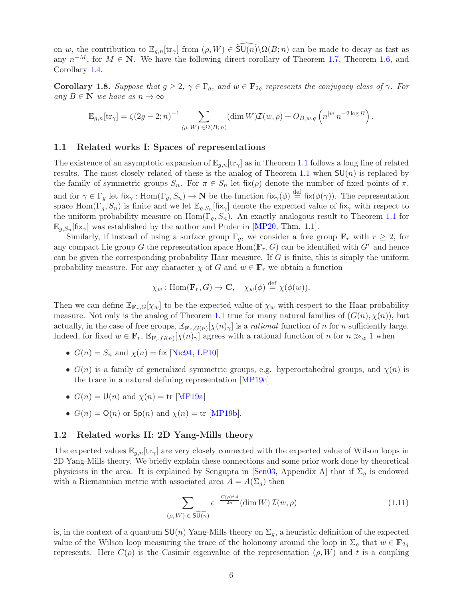<span id="page-5-3"></span>on w, the contribution to  $\mathbb{E}_{q,n}[\text{tr}_{\gamma}]$  from  $(\rho, W) \in \overline{\text{SU}(n)}\setminus\Omega(B; n)$  can be made to decay as fast as any  $n^{-M}$ , for  $M \in \mathbb{N}$ . We have the following direct corollary of Theorem [1.7,](#page-4-0) Theorem [1.6,](#page-3-5) and Corollary [1.4.](#page-3-2)

**Corollary 1.8.** Suppose that  $g \geq 2$ ,  $\gamma \in \Gamma_g$ , and  $w \in \mathbf{F}_{2g}$  represents the conjugacy class of  $\gamma$ . For any  $B \in \mathbb{N}$  we have as  $n \to \infty$ 

$$
\mathbb{E}_{g,n}[\text{tr}_{\gamma}] = \zeta(2g-2;n)^{-1} \sum_{(\rho,W)\in\Omega(B;n)} (\dim W) \mathcal{I}(w,\rho) + O_{B,w,g}\left(n^{|w|} n^{-2\log B}\right).
$$

#### <span id="page-5-0"></span>1.1 Related works I: Spaces of representations

The existence of an asymptotic expansion of  $\mathbb{E}_{g,n}[\text{tr}_{\gamma}]$  as in Theorem [1.1](#page-2-0) follows a long line of related results. The most closely related of these is the analog of Theorem [1.1](#page-2-0) when  $SU(n)$  is replaced by the family of symmetric groups  $S_n$ . For  $\pi \in S_n$  let fix $(\rho)$  denote the number of fixed points of  $\pi$ , and for  $\gamma \in \Gamma_g$  let  $fix_\gamma : Hom(\Gamma_g, S_n) \to \mathbf{N}$  be the function  $fix_\gamma(\phi) \stackrel{\text{def}}{=} fix(\phi(\gamma))$ . The representation space Hom( $\Gamma_g$ ,  $S_n$ ) is finite and we let  $\mathbb{E}_{g,S_n}$  [fix<sub>γ</sub>] denote the expected value of fix<sub>γ</sub> with respect to the uniform probability measure on  $\text{Hom}(\Gamma_q, S_n)$ . An exactly analogous result to Theorem [1.1](#page-2-0) for  $\mathbb{E}_{g,S_n}[\text{fix}_{\gamma}]$  was established by the author and Puder in [\[MP20,](#page-43-6) Thm. 1.1].

Similarly, if instead of using a surface group  $\Gamma_q$ , we consider a free group  $\mathbf{F}_r$  with  $r \geq 2$ , for any compact Lie group G the representation space  $\text{Hom}(\mathbf{F}_r, G)$  can be identified with  $G^r$  and hence can be given the corresponding probability Haar measure. If  $G$  is finite, this is simply the uniform probability measure. For any character  $\chi$  of G and  $w \in \mathbf{F}_r$  we obtain a function

$$
\chi_w
$$
: Hom( $\mathbf{F}_r$ , G)  $\to \mathbf{C}$ ,  $\chi_w(\phi) \stackrel{\text{def}}{=} \chi(\phi(w))$ .

Then we can define  $\mathbb{E}_{\mathbf{F}_r,G}[\chi_w]$  to be the expected value of  $\chi_w$  with respect to the Haar probability measure. Not only is the analog of Theorem [1.1](#page-2-0) true for many natural families of  $(G(n), \chi(n))$ , but actually, in the case of free groups,  $\mathbb{E}_{\mathbf{F}_r,G(n)}[\chi(n)_\gamma]$  is a *rational* function of n for n sufficiently large. Indeed, for fixed  $w \in \mathbf{F}_r$ ,  $\mathbb{E}_{\mathbf{F}_r,G(n)}[\chi(n)_\gamma]$  agrees with a rational function of n for  $n \gg_w 1$  when

- $G(n) = S_n$  and  $\chi(n) = f$ ix [\[Nic94,](#page-44-5) [LP10\]](#page-43-7)
- $G(n)$  is a family of generalized symmetric groups, e.g. hyperoctahedral groups, and  $\chi(n)$  is the trace in a natural defining representation [\[MP19c\]](#page-43-8)
- $G(n) = U(n)$  and  $\chi(n) = \text{tr} [\text{MP19a}]$
- $G(n) = O(n)$  or  $Sp(n)$  and  $\chi(n) = \text{tr}$  [\[MP19b\]](#page-43-10).

### <span id="page-5-1"></span>1.2 Related works II: 2D Yang-Mills theory

The expected values  $\mathbb{E}_{q,n}[\text{tr}_\gamma]$  are very closely connected with the expected value of Wilson loops in 2D Yang-Mills theory. We briefly explain these connections and some prior work done by theoretical physicists in the area. It is explained by Sengupta in [\[Sen03,](#page-44-4) Appendix A] that if  $\Sigma_g$  is endowed with a Riemannian metric with associated area  $A = A(\Sigma_g)$  then

<span id="page-5-2"></span>
$$
\sum_{(\rho, W) \in \widehat{\mathsf{SU}(n)}} e^{-\frac{C(\rho)tA}{2n}} (\dim W) \mathcal{I}(w, \rho) \tag{1.11}
$$

is, in the context of a quantum  $SU(n)$  Yang-Mills theory on  $\Sigma_g$ , a heuristic definition of the expected value of the Wilson loop measuring the trace of the holonomy around the loop in  $\Sigma_g$  that  $w \in \mathbf{F}_{2g}$ represents. Here  $C(\rho)$  is the Casimir eigenvalue of the representation  $(\rho, W)$  and t is a coupling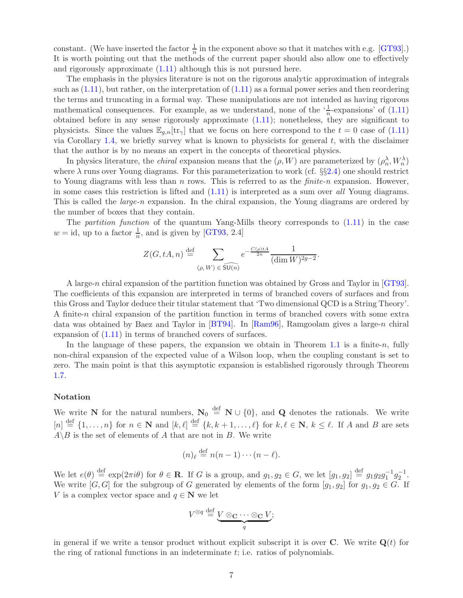<span id="page-6-0"></span>constant. (We have inserted the factor  $\frac{1}{n}$  in the exponent above so that it matches with e.g. [\[GT93\]](#page-43-11).) It is worth pointing out that the methods of the current paper should also allow one to effectively and rigorously approximate [\(1.11\)](#page-5-2) although this is not pursued here.

The emphasis in the physics literature is not on the rigorous analytic approximation of integrals such as  $(1.11)$ , but rather, on the interpretation of  $(1.11)$  as a formal power series and then reordering the terms and truncating in a formal way. These manipulations are not intended as having rigorous mathematical consequences. For example, as we understand, none of the  $\frac{1}{n}$ -expansions' of  $(1.11)$ obtained before in any sense rigorously approximate [\(1.11\)](#page-5-2); nonetheless, they are significant to physicists. Since the values  $\mathbb{E}_{q,n}[\text{tr}_{\gamma}]$  that we focus on here correspond to the  $t = 0$  case of [\(1.11\)](#page-5-2) via Corollary [1.4,](#page-3-2) we briefly survey what is known to physicists for general  $t$ , with the disclaimer that the author is by no means an expert in the concepts of theoretical physics.

In physics literature, the *chiral* expansion means that the  $(\rho, W)$  are parameterized by  $(\rho_n^{\lambda}, W_n^{\lambda})$ where  $\lambda$  runs over Young diagrams. For this parameterization to work (cf. §§2.[4\)](#page-10-0) one should restrict to Young diagrams with less than n rows. This is referred to as the  $finite-n$  expansion. However, in some cases this restriction is lifted and  $(1.11)$  is interpreted as a sum over all Young diagrams. This is called the *large-n* expansion. In the chiral expansion, the Young diagrams are ordered by the number of boxes that they contain.

The *partition function* of the quantum Yang-Mills theory corresponds to  $(1.11)$  in the case  $w = id$ , up to a factor  $\frac{1}{n}$ , and is given by [\[GT93,](#page-43-11) 2.4]

$$
Z(G, tA, n) \stackrel{\text{def}}{=} \sum_{(\rho, W) \in \widehat{\mathsf{SU}(n)}} e^{-\frac{C(\rho) tA}{2n}} \frac{1}{(\dim W)^{2g-2}}.
$$

A large-n chiral expansion of the partition function was obtained by Gross and Taylor in [\[GT93\]](#page-43-11). The coefficients of this expansion are interpreted in terms of branched covers of surfaces and from this Gross and Taylor deduce their titular statement that 'Two dimensional QCD is a String Theory'. A finite-n chiral expansion of the partition function in terms of branched covers with some extra data was obtained by Baez and Taylor in [\[BT94\]](#page-42-1). In [\[Ram96\]](#page-44-6), Ramgoolam gives a large-n chiral expansion of [\(1.11\)](#page-5-2) in terms of branched covers of surfaces.

In the language of these papers, the expansion we obtain in Theorem [1.1](#page-2-0) is a finite-n, fully non-chiral expansion of the expected value of a Wilson loop, when the coupling constant is set to zero. The main point is that this asymptotic expansion is established rigorously through Theorem [1.7.](#page-4-0)

### Notation

We write N for the natural numbers,  $N_0 \stackrel{\text{def}}{=} N \cup \{0\}$ , and Q denotes the rationals. We write  $[n] \stackrel{\text{def}}{=} \{1,\ldots,n\}$  for  $n \in \mathbb{N}$  and  $[k,\ell] \stackrel{\text{def}}{=} \{k,k+1,\ldots,\ell\}$  for  $k,\ell \in \mathbb{N}$ ,  $k \leq \ell$ . If A and B are sets  $A \setminus B$  is the set of elements of A that are not in B. We write

$$
(n)_{\ell} \stackrel{\text{def}}{=} n(n-1)\cdots(n-\ell).
$$

We let  $e(\theta) \stackrel{\text{def}}{=} \exp(2\pi i \theta)$  for  $\theta \in \mathbf{R}$ . If G is a group, and  $g_1, g_2 \in G$ , we let  $[g_1, g_2] \stackrel{\text{def}}{=} g_1 g_2 g_1^{-1} g_2^{-1}$ . We write  $[G, G]$  for the subgroup of G generated by elements of the form  $[g_1, g_2]$  for  $g_1, g_2 \in G$ . If V is a complex vector space and  $q \in \mathbb{N}$  we let

$$
V^{\otimes q} \stackrel{\text{def}}{=} \underbrace{V \otimes_{\mathbf{C}} \cdots \otimes_{\mathbf{C}} V}_{q};
$$

in general if we write a tensor product without explicit subscript it is over  $\bf{C}$ . We write  $\bf{Q}(t)$  for the ring of rational functions in an indeterminate t; i.e. ratios of polynomials.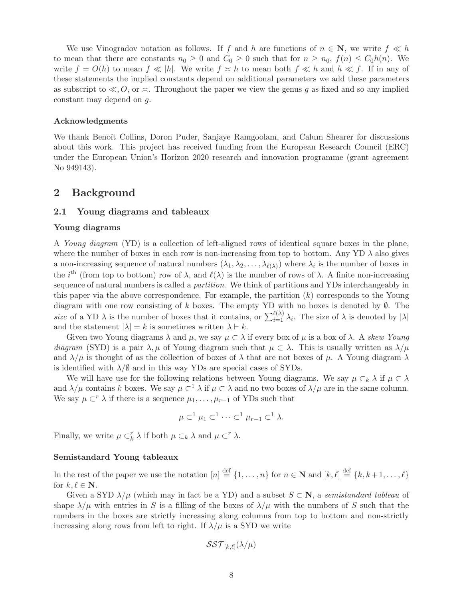We use Vinogradov notation as follows. If f and h are functions of  $n \in \mathbb{N}$ , we write  $f \ll h$ to mean that there are constants  $n_0 \geq 0$  and  $C_0 \geq 0$  such that for  $n \geq n_0$ ,  $f(n) \leq C_0h(n)$ . We write  $f = O(h)$  to mean  $f \ll |h|$ . We write  $f \asymp h$  to mean both  $f \ll h$  and  $h \ll f$ . If in any of these statements the implied constants depend on additional parameters we add these parameters as subscript to  $\ll 0$ , or  $\asymp$ . Throughout the paper we view the genus g as fixed and so any implied constant may depend on g.

### Acknowledgments

We thank Benoît Collins, Doron Puder, Sanjaye Ramgoolam, and Calum Shearer for discussions about this work. This project has received funding from the European Research Council (ERC) under the European Union's Horizon 2020 research and innovation programme (grant agreement No 949143).

## <span id="page-7-1"></span><span id="page-7-0"></span>2 Background

### 2.1 Young diagrams and tableaux

### Young diagrams

A Young diagram (YD) is a collection of left-aligned rows of identical square boxes in the plane, where the number of boxes in each row is non-increasing from top to bottom. Any YD  $\lambda$  also gives a non-increasing sequence of natural numbers  $(\lambda_1, \lambda_2, \ldots, \lambda_{\ell(\lambda)})$  where  $\lambda_i$  is the number of boxes in the i<sup>th</sup> (from top to bottom) row of  $\lambda$ , and  $\ell(\lambda)$  is the number of rows of  $\lambda$ . A finite non-increasing sequence of natural numbers is called a partition. We think of partitions and YDs interchangeably in this paper via the above correspondence. For example, the partition  $(k)$  corresponds to the Young diagram with one row consisting of k boxes. The empty YD with no boxes is denoted by  $\emptyset$ . The size of a YD  $\lambda$  is the number of boxes that it contains, or  $\sum_{i=1}^{\ell(\lambda)} \lambda_i$ . The size of  $\lambda$  is denoted by  $|\lambda|$ and the statement  $|\lambda| = k$  is sometimes written  $\lambda \vdash k$ .

Given two Young diagrams  $\lambda$  and  $\mu$ , we say  $\mu \subset \lambda$  if every box of  $\mu$  is a box of  $\lambda$ . A skew Young diagram (SYD) is a pair  $\lambda, \mu$  of Young diagram such that  $\mu \subset \lambda$ . This is usually written as  $\lambda/\mu$ and  $\lambda/\mu$  is thought of as the collection of boxes of  $\lambda$  that are not boxes of  $\mu$ . A Young diagram  $\lambda$ is identified with  $\lambda/\emptyset$  and in this way YDs are special cases of SYDs.

We will have use for the following relations between Young diagrams. We say  $\mu \subset_k \lambda$  if  $\mu \subset \lambda$ and  $\lambda/\mu$  contains k boxes. We say  $\mu \subset^1 \lambda$  if  $\mu \subset \lambda$  and no two boxes of  $\lambda/\mu$  are in the same column. We say  $\mu \subset^{r} \lambda$  if there is a sequence  $\mu_1, \ldots, \mu_{r-1}$  of YDs such that

$$
\mu \subset^{1} \mu_1 \subset^{1} \cdots \subset^{1} \mu_{r-1} \subset^{1} \lambda.
$$

Finally, we write  $\mu \subset_k^r \lambda$  if both  $\mu \subset_k \lambda$  and  $\mu \subset^r \lambda$ .

### Semistandard Young tableaux

In the rest of the paper we use the notation  $[n] \stackrel{\text{def}}{=} \{1, \ldots, n\}$  for  $n \in \mathbb{N}$  and  $[k, \ell] \stackrel{\text{def}}{=} \{k, k+1, \ldots, \ell\}$ for  $k, \ell \in \mathbb{N}$ .

Given a SYD  $\lambda/\mu$  (which may in fact be a YD) and a subset  $S \subset \mathbb{N}$ , a semistandard tableau of shape  $\lambda/\mu$  with entries in S is a filling of the boxes of  $\lambda/\mu$  with the numbers of S such that the numbers in the boxes are strictly increasing along columns from top to bottom and non-strictly increasing along rows from left to right. If  $\lambda/\mu$  is a SYD we write

$$
\mathcal{SST}_{[k,\ell]}(\lambda/\mu)
$$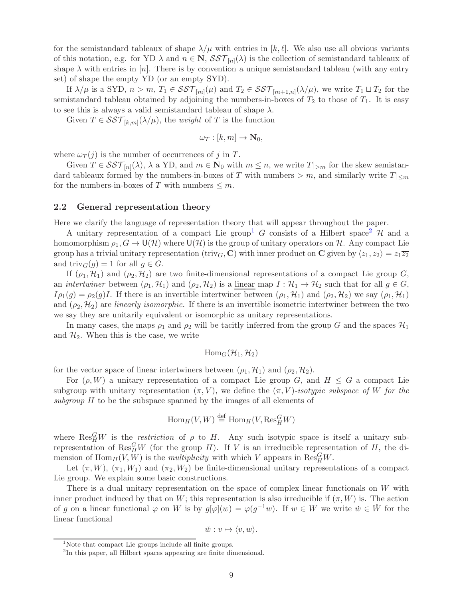for the semistandard tableaux of shape  $\lambda/\mu$  with entries in  $[k, \ell]$ . We also use all obvious variants of this notation, e.g. for YD  $\lambda$  and  $n \in \mathbb{N}$ ,  $\mathcal{SST}_{[n]}(\lambda)$  is the collection of semistandard tableaux of shape  $\lambda$  with entries in [n]. There is by convention a unique semistandard tableau (with any entry set) of shape the empty YD (or an empty SYD).

If  $\lambda/\mu$  is a SYD,  $n > m$ ,  $T_1 \in \mathcal{SST}_{[m]}(\mu)$  and  $T_2 \in \mathcal{SST}_{[m+1,n]}(\lambda/\mu)$ , we write  $T_1 \sqcup T_2$  for the semistandard tableau obtained by adjoining the numbers-in-boxes of  $T_2$  to those of  $T_1$ . It is easy to see this is always a valid semistandard tableau of shape  $\lambda$ .

Given  $T \in \mathcal{SST}_{[k,m]}(\lambda/\mu)$ , the *weight* of T is the function

$$
\omega_T : [k, m] \to \mathbf{N}_0,
$$

where  $\omega_T(j)$  is the number of occurrences of j in T.

Given  $T \in \mathcal{SST}_{[n]}(\lambda)$ ,  $\lambda$  a YD, and  $m \in \mathbb{N}_0$  with  $m \leq n$ , we write  $T|_{>m}$  for the skew semistandard tableaux formed by the numbers-in-boxes of T with numbers > m, and similarly write  $T|_{\leq m}$ for the numbers-in-boxes of T with numbers  $\leq m$ .

### <span id="page-8-0"></span>2.2 General representation theory

Here we clarify the language of representation theory that will appear throughout the paper.

A unitary representation of a compact Lie group<sup>[1](#page-8-1)</sup> G consists of a Hilbert space<sup>[2](#page-8-2)</sup> H and a homomorphism  $\rho_1, G \to U(H)$  where  $U(H)$  is the group of unitary operators on H. Any compact Lie group has a trivial unitary representation (triv<sub>G</sub>, C) with inner product on C given by  $\langle z_1, z_2 \rangle = z_1 \overline{z_2}$ and triv $_G(q) = 1$  for all  $q \in G$ .

If  $(\rho_1, \mathcal{H}_1)$  and  $(\rho_2, \mathcal{H}_2)$  are two finite-dimensional representations of a compact Lie group G, an *intertwiner* between  $(\rho_1, \mathcal{H}_1)$  and  $(\rho_2, \mathcal{H}_2)$  is a <u>linear</u> map  $I : \mathcal{H}_1 \to \mathcal{H}_2$  such that for all  $g \in G$ ,  $I\rho_1(g) = \rho_2(g)I$ . If there is an invertible intertwiner between  $(\rho_1, \mathcal{H}_1)$  and  $(\rho_2, \mathcal{H}_2)$  we say  $(\rho_1, \mathcal{H}_1)$ and  $(\rho_2, \mathcal{H}_2)$  are linearly isomorphic. If there is an invertible isometric intertwiner between the two we say they are unitarily equivalent or isomorphic as unitary representations.

In many cases, the maps  $\rho_1$  and  $\rho_2$  will be tacitly inferred from the group G and the spaces  $\mathcal{H}_1$ and  $\mathcal{H}_2$ . When this is the case, we write

$$
\mathrm{Hom}_G(\mathcal{H}_1,\mathcal{H}_2)
$$

for the vector space of linear intertwiners between  $(\rho_1, \mathcal{H}_1)$  and  $(\rho_2, \mathcal{H}_2)$ .

For  $(\rho, W)$  a unitary representation of a compact Lie group G, and  $H \leq G$  a compact Lie subgroup with unitary representation  $(\pi, V)$ , we define the  $(\pi, V)$ -isotypic subspace of W for the subgroup H to be the subspace spanned by the images of all elements of

$$
\operatorname{Hom}_H(V,W) \stackrel{\text{def}}{=} \operatorname{Hom}_H(V, \operatorname{Res}_H^G W)
$$

where  $\text{Res}_{H}^{G}W$  is the *restriction* of  $\rho$  to H. Any such isotypic space is itself a unitary subrepresentation of Res<sup>G</sup><sub>H</sub>W (for the group H). If V is an irreducible representation of H, the dimension of  $\text{Hom}_H(V, W)$  is the *multiplicity* with which V appears in  $\text{Res}_H^G W$ .

Let  $(\pi, W)$ ,  $(\pi_1, W_1)$  and  $(\pi_2, W_2)$  be finite-dimensional unitary representations of a compact Lie group. We explain some basic constructions.

There is a dual unitary representation on the space of complex linear functionals on W with inner product induced by that on W; this representation is also irreducible if  $(\pi, W)$  is. The action of g on a linear functional  $\varphi$  on W is by  $g[\varphi](w) = \varphi(g^{-1}w)$ . If  $w \in W$  we write  $\check{w} \in \check{W}$  for the linear functional

$$
\check{w}:v\mapsto \langle v,w\rangle.
$$

<sup>&</sup>lt;sup>1</sup>Note that compact Lie groups include all finite groups.

<span id="page-8-2"></span><span id="page-8-1"></span><sup>&</sup>lt;sup>2</sup>In this paper, all Hilbert spaces appearing are finite dimensional.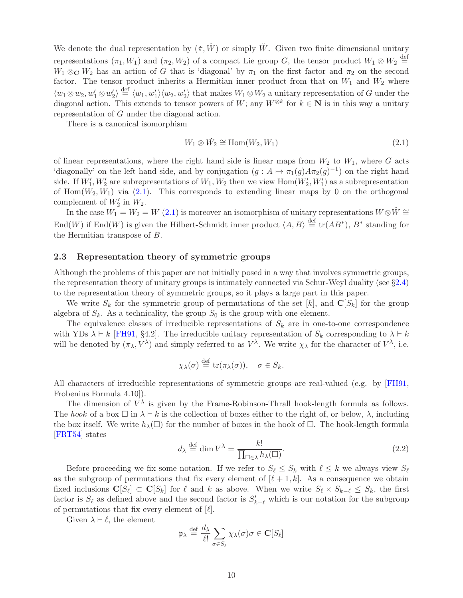<span id="page-9-3"></span>We denote the dual representation by  $(\pi, \tilde{W})$  or simply W. Given two finite dimensional unitary representations  $(\pi_1, W_1)$  and  $(\pi_2, W_2)$  of a compact Lie group G, the tensor product  $W_1 \otimes W_2 \stackrel{\text{def}}{=}$  $W_1 \otimes_{\mathbb{C}} W_2$  has an action of G that is 'diagonal' by  $\pi_1$  on the first factor and  $\pi_2$  on the second factor. The tensor product inherits a Hermitian inner product from that on  $W_1$  and  $W_2$  where  $\langle w_1 \otimes w_2, w'_1 \otimes w'_2 \rangle \stackrel{\text{def}}{=} \langle w_1, w'_1 \rangle \langle w_2, w'_2 \rangle$  that makes  $W_1 \otimes W_2$  a unitary representation of G under the diagonal action. This extends to tensor powers of W; any  $W^{\otimes k}$  for  $k \in \mathbb{N}$  is in this way a unitary representation of G under the diagonal action.

There is a canonical isomorphism

<span id="page-9-1"></span>
$$
W_1 \otimes \check{W}_2 \cong \text{Hom}(W_2, W_1) \tag{2.1}
$$

of linear representations, where the right hand side is linear maps from  $W_2$  to  $W_1$ , where G acts 'diagonally' on the left hand side, and by conjugation  $(g: A \mapsto \pi_1(g)A\pi_2(g)^{-1})$  on the right hand side. If  $W'_1, W'_2$  are subrepresentations of  $W_1, W_2$  then we view  $\text{Hom}(W'_2, W'_1)$  as a subrepresentation of  $Hom(W_2, W_1)$  via  $(2.1)$ . This corresponds to extending linear maps by 0 on the orthogonal complement of  $W'_2$  in  $W_2$ .

In the case  $W_1 = W_2 = W(2.1)$  $W_1 = W_2 = W(2.1)$  is moreover an isomorphism of unitary representations  $W \otimes W \cong$ End(W) if End(W) is given the Hilbert-Schmidt inner product  $\langle A, B \rangle \stackrel{\text{def}}{=} \text{tr}(AB^*), B^*$  standing for the Hermitian transpose of B.

### <span id="page-9-0"></span>2.3 Representation theory of symmetric groups

Although the problems of this paper are not initially posed in a way that involves symmetric groups, the representation theory of unitary groups is intimately connected via Schur-Weyl duality (see §[2.4\)](#page-10-0) to the representation theory of symmetric groups, so it plays a large part in this paper.

We write  $S_k$  for the symmetric group of permutations of the set [k], and  $\mathbf{C}[S_k]$  for the group algebra of  $S_k$ . As a technicality, the group  $S_0$  is the group with one element.

The equivalence classes of irreducible representations of  $S_k$  are in one-to-one correspondence with YDs  $\lambda \vdash k$  [\[FH91,](#page-43-12) §4.2]. The irreducible unitary representation of  $S_k$  corresponding to  $\lambda \vdash k$ will be denoted by  $(\pi_{\lambda}, V^{\lambda})$  and simply referred to as  $V^{\lambda}$ . We write  $\chi_{\lambda}$  for the character of  $V^{\lambda}$ , i.e.

$$
\chi_{\lambda}(\sigma) \stackrel{\text{def}}{=} \operatorname{tr}(\pi_{\lambda}(\sigma)), \quad \sigma \in S_k.
$$

All characters of irreducible representations of symmetric groups are real-valued (e.g. by [\[FH91,](#page-43-12) Frobenius Formula 4.10]).

The dimension of  $V^{\lambda}$  is given by the Frame-Robinson-Thrall hook-length formula as follows. The hook of a box  $\Box$  in  $\lambda \vdash k$  is the collection of boxes either to the right of, or below,  $\lambda$ , including the box itself. We write  $h_\lambda(\Box)$  for the number of boxes in the hook of  $\Box$ . The hook-length formula [\[FRT54\]](#page-43-13) states

<span id="page-9-2"></span>
$$
d_{\lambda} \stackrel{\text{def}}{=} \dim V^{\lambda} = \frac{k!}{\prod_{\square \in \lambda} h_{\lambda}(\square)}.
$$
 (2.2)

Before proceeding we fix some notation. If we refer to  $S_{\ell} \leq S_k$  with  $\ell \leq k$  we always view  $S_{\ell}$ as the subgroup of permutations that fix every element of  $[\ell + 1, k]$ . As a consequence we obtain fixed inclusions  $\mathbf{C}[S_\ell] \subset \mathbf{C}[S_k]$  for  $\ell$  and  $k$  as above. When we write  $S_\ell \times S_{k-\ell} \leq S_k$ , the first factor is  $S_{\ell}$  as defined above and the second factor is  $S'_{k-\ell}$  which is our notation for the subgroup of permutations that fix every element of  $[\ell]$ .

Given  $\lambda \vdash \ell$ , the element

$$
\mathfrak{p}_{\lambda} \stackrel{\text{def}}{=} \frac{d_{\lambda}}{\ell!} \sum_{\sigma \in S_{\ell}} \chi_{\lambda}(\sigma) \sigma \in \mathbf{C}[S_{\ell}]
$$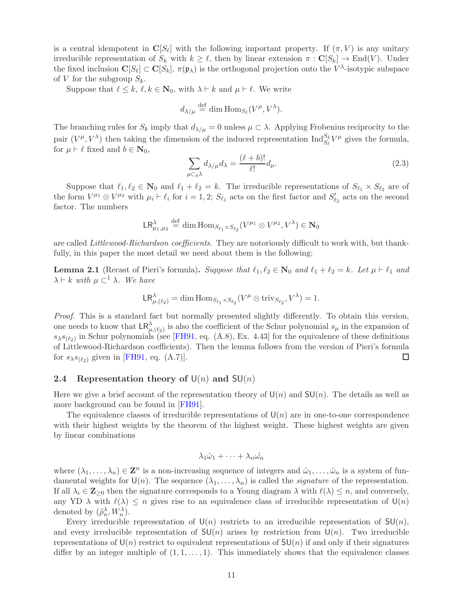<span id="page-10-3"></span>is a central idempotent in  $\mathbf{C}[S_\ell]$  with the following important property. If  $(\pi, V)$  is any unitary irreducible representation of  $S_k$  with  $k \geq \ell$ , then by linear extension  $\pi : \mathbf{C}[S_k] \to \text{End}(V)$ . Under the fixed inclusion  $\mathbf{C}[S_\ell] \subset \mathbf{C}[S_k]$ ,  $\pi(\mathfrak{p}_\lambda)$  is the orthogonal projection onto the  $V^\lambda$ -isotypic subspace of V for the subgroup  $S_k$ .

Suppose that  $\ell \leq k, \ell, k \in \mathbb{N}_0$ , with  $\lambda \vdash k$  and  $\mu \vdash \ell$ . We write

$$
d_{\lambda/\mu} \stackrel{\text{def}}{=} \dim \text{Hom}_{S_{\ell}}(V^{\mu}, V^{\lambda}).
$$

The branching rules for  $S_k$  imply that  $d_{\lambda/\mu} = 0$  unless  $\mu \subset \lambda$ . Applying Frobenius reciprocity to the pair  $(V^{\mu}, V^{\lambda})$  then taking the dimension of the induced representation  $\text{Ind}_{S_{\lambda}}^{S_{k}}$  $\frac{S_k}{S_\ell} V^{\mu}$  gives the formula, for  $\mu \vdash \ell$  fixed and  $b \in \mathbf{N}_0$ ,

<span id="page-10-2"></span>
$$
\sum_{\mu \subset_b \lambda} d_{\lambda/\mu} d_{\lambda} = \frac{(\ell+b)!}{\ell!} d_{\mu}.
$$
\n(2.3)

Suppose that  $\ell_1, \ell_2 \in \mathbb{N}_0$  and  $\ell_1 + \ell_2 = k$ . The irreducible representations of  $S_{\ell_1} \times S_{\ell_2}$  are of the form  $V^{\mu_1} \otimes V^{\mu_2}$  with  $\mu_i \vdash \ell_i$  for  $i = 1, 2$ ;  $S_{\ell_1}$  acts on the first factor and  $S'_{\ell_2}$  acts on the second factor. The numbers

$$
\mathsf{LR}^\lambda_{\mu_1,\mu_2}\stackrel{\mathrm{def}}{=} \dim\mathrm{Hom}_{S_{\ell_1}\times S_{\ell_2}}(V^{\mu_1}\otimes V^{\mu_2},V^\lambda)\in\mathbf{N}_0
$$

are called *Littlewood-Richardson coefficients*. They are notoriously difficult to work with, but thankfully, in this paper the most detail we need about them is the following:

<span id="page-10-1"></span>**Lemma 2.1** (Recast of Pieri's formula). Suppose that  $\ell_1, \ell_2 \in \mathbb{N}_0$  and  $\ell_1 + \ell_2 = k$ . Let  $\mu \vdash \ell_1$  and  $\lambda \vdash k$  with  $\mu \subset^1 \lambda$ . We have

$$
\mathsf{LR}^\lambda_{\mu,(\ell_2)} = \dim \mathrm{Hom}_{S_{\ell_1} \times S_{\ell_2}}(V^\mu \otimes \mathrm{triv}_{S_{\ell_2}}, V^\lambda) = 1.
$$

Proof. This is a standard fact but normally presented slightly differently. To obtain this version, one needs to know that  $\mathsf{LR}^\lambda_{\mu,(\ell_2)}$  is also the coefficient of the Schur polynomial  $s_\mu$  in the expansion of  $s_{\lambda}s_{(\ell_2)}$  in Schur polynomials (see [\[FH91,](#page-43-12) eq. (A.8), Ex. 4.43] for the equivalence of these definitions of Littlewood-Richardson coefficients). Then the lemma follows from the version of Pieri's formula for  $s_{\lambda}s_{(\ell_2)}$  given in [\[FH91,](#page-43-12) eq. (A.7)]. □

### <span id="page-10-0"></span>2.4 Representation theory of  $U(n)$  and  $SU(n)$

Here we give a brief account of the representation theory of  $U(n)$  and  $SU(n)$ . The details as well as more background can be found in [\[FH91\]](#page-43-12).

The equivalence classes of irreducible representations of  $U(n)$  are in one-to-one correspondence with their highest weights by the theorem of the highest weight. These highest weights are given by linear combinations

$$
\lambda_1\hat{\omega}_1+\cdots+\lambda_n\hat{\omega_n}
$$

where  $(\lambda_1,\ldots,\lambda_n)\in \mathbf{Z}^n$  is a non-increasing sequence of integers and  $\hat{\omega}_1,\ldots,\hat{\omega}_n$  is a system of fundamental weights for  $\mathsf{U}(n)$ . The sequence  $(\lambda_1, \ldots, \lambda_n)$  is called the *signature* of the representation. If all  $\lambda_i \in \mathbb{Z}_{\geq 0}$  then the signature corresponds to a Young diagram  $\lambda$  with  $\ell(\lambda) \leq n$ , and conversely, any YD  $\lambda$  with  $\ell(\lambda) \leq n$  gives rise to an equivalence class of irreducible representation of  $\mathsf{U}(n)$ denoted by  $(\tilde{\rho}_n^{\lambda}, W_n^{\lambda})$ .

Every irreducible representation of  $\mathsf{U}(n)$  restricts to an irreducible representation of  $\mathsf{SU}(n)$ , and every irreducible representation of  $SU(n)$  arises by restriction from  $U(n)$ . Two irreducible representations of  $U(n)$  restrict to equivalent representations of  $SU(n)$  if and only if their signatures differ by an integer multiple of  $(1, 1, \ldots, 1)$ . This immediately shows that the equivalence classes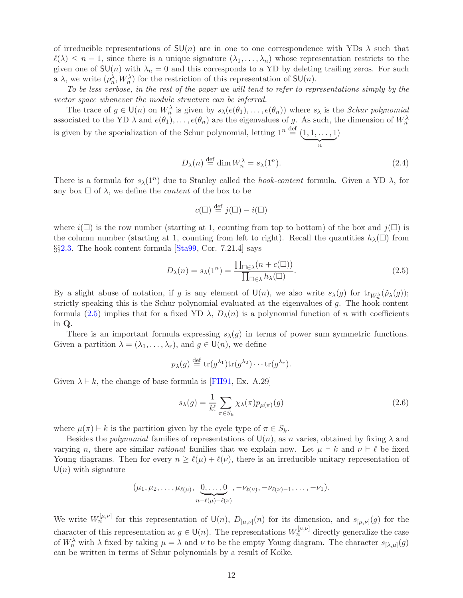<span id="page-11-2"></span>of irreducible representations of  $SU(n)$  are in one to one correspondence with YDs  $\lambda$  such that  $\ell(\lambda) \leq n-1$ , since there is a unique signature  $(\lambda_1, \ldots, \lambda_n)$  whose representation restricts to the given one of  $SU(n)$  with  $\lambda_n = 0$  and this corresponds to a YD by deleting trailing zeros. For such a  $\lambda$ , we write  $(\rho_n^{\lambda}, W_n^{\lambda})$  for the restriction of this representation of  $SU(n)$ .

To be less verbose, in the rest of the paper we will tend to refer to representations simply by the vector space whenever the module structure can be inferred.

The trace of  $g \in \mathsf{U}(n)$  on  $W_n^{\lambda}$  is given by  $s_{\lambda}(e(\theta_1), \ldots, e(\theta_n))$  where  $s_{\lambda}$  is the *Schur polynomial* associated to the YD  $\lambda$  and  $e(\theta_1), \ldots, e(\theta_n)$  are the eigenvalues of g. As such, the dimension of  $W_n^{\lambda}$ is given by the specialization of the Schur polynomial, letting  $1^n \stackrel{\text{def}}{=} (1, 1, \ldots, 1)$  $\overline{\phantom{a}n}$ )

$$
D_{\lambda}(n) \stackrel{\text{def}}{=} \dim W_n^{\lambda} = s_{\lambda}(1^n). \tag{2.4}
$$

n

There is a formula for  $s_{\lambda}(1^n)$  due to Stanley called the *hook-content* formula. Given a YD  $\lambda$ , for any box  $\Box$  of  $\lambda$ , we define the *content* of the box to be

$$
c(\square) \stackrel{\text{def}}{=} j(\square) - i(\square)
$$

where  $i(\Box)$  is the row number (starting at 1, counting from top to bottom) of the box and  $j(\Box)$  is the column number (starting at 1, counting from left to right). Recall the quantities  $h_\lambda(\Box)$  from §§[2.3.](#page-9-0) The hook-content formula [\[Sta99,](#page-44-7) Cor. 7.21.4] says

<span id="page-11-0"></span>
$$
D_{\lambda}(n) = s_{\lambda}(1^n) = \frac{\prod_{\square \in \lambda} (n + c(\square))}{\prod_{\square \in \lambda} h_{\lambda}(\square)}.
$$
\n(2.5)

By a slight abuse of notation, if g is any element of  $\mathsf{U}(n)$ , we also write  $s_{\lambda}(g)$  for  $\text{tr}_{W_n^{\lambda}}(\tilde{\rho}_{\lambda}(g))$ ; strictly speaking this is the Schur polynomial evaluated at the eigenvalues of g. The hook-content formula [\(2.5\)](#page-11-0) implies that for a fixed YD  $\lambda$ ,  $D_{\lambda}(n)$  is a polynomial function of n with coefficients in Q.

There is an important formula expressing  $s_{\lambda}(g)$  in terms of power sum symmetric functions. Given a partition  $\lambda = (\lambda_1, \ldots, \lambda_r)$ , and  $g \in \mathsf{U}(n)$ , we define

$$
p_{\lambda}(g) \stackrel{\text{def}}{=} \text{tr}(g^{\lambda_1}) \text{tr}(g^{\lambda_2}) \cdots \text{tr}(g^{\lambda_r}).
$$

Given  $\lambda \vdash k$ , the change of base formula is [\[FH91,](#page-43-12) Ex. A.29]

<span id="page-11-1"></span>
$$
s_{\lambda}(g) = \frac{1}{k!} \sum_{\pi \in S_k} \chi_{\lambda}(\pi) p_{\mu(\pi)}(g)
$$
\n(2.6)

where  $\mu(\pi) \vdash k$  is the partition given by the cycle type of  $\pi \in S_k$ .

Besides the *polynomial* families of representations of  $U(n)$ , as n varies, obtained by fixing  $\lambda$  and varying n, there are similar rational families that we explain now. Let  $\mu \vdash k$  and  $\nu \vdash \ell$  be fixed Young diagrams. Then for every  $n \geq \ell(\mu) + \ell(\nu)$ , there is an irreducible unitary representation of  $U(n)$  with signature

$$
(\mu_1, \mu_2, \ldots, \mu_{\ell(\mu)}, \underbrace{0, \ldots, 0}_{n-\ell(\mu)-\ell(\nu)}, -\nu_{\ell(\nu)-1}, \ldots, -\nu_1).
$$

We write  $W_n^{[\mu,\nu]}$  for this representation of  $\mathsf{U}(n)$ ,  $D_{[\mu,\nu]}(n)$  for its dimension, and  $s_{[\mu,\nu]}(g)$  for the character of this representation at  $g \in U(n)$ . The representations  $W_n^{[\mu,\nu]}$  directly generalize the case of  $W_n^{\lambda}$  with  $\lambda$  fixed by taking  $\mu = \lambda$  and  $\nu$  to be the empty Young diagram. The character  $s_{[\lambda,\mu]}(g)$ can be written in terms of Schur polynomials by a result of Koike.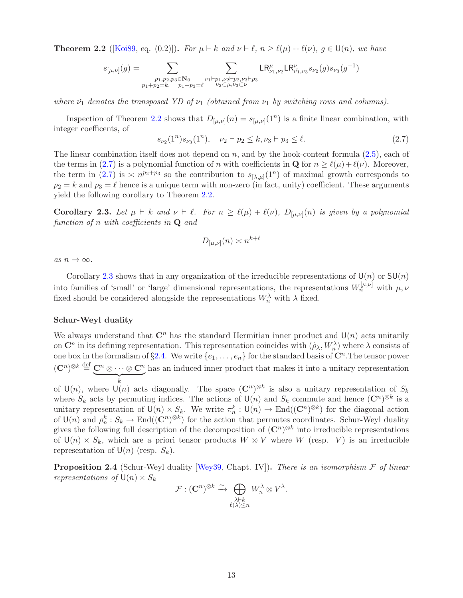<span id="page-12-4"></span><span id="page-12-0"></span>**Theorem 2.2** ([\[Koi89,](#page-43-14) eq. (0.2)]). For  $\mu \vdash k$  and  $\nu \vdash \ell$ ,  $n \geq \ell(\mu) + \ell(\nu)$ ,  $g \in U(n)$ , we have

$$
s_{[\mu,\nu]}(g)=\sum_{\substack{p_1,p_2,p_3\in \mathbb{N}_0\\ p_1+p_2=k,\quad p_1+p_3=\ell}}\sum_{\substack{\nu_1\vdash p_1,\nu_2\vdash p_2,\nu_3\vdash p_3\\ \nu_2\subset\mu,\nu_3\subset\nu}}\textnormal{LR}_{\nu_1,\nu_2}^\mu\textnormal{LR}_{\nu_1,\nu_3}^\nu s_{\nu_2}(g)s_{\nu_3}(g^{-1})
$$

where  $\check{\nu}_1$  denotes the transposed YD of  $\nu_1$  (obtained from  $\nu_1$  by switching rows and columns).

Inspection of Theorem [2.2](#page-12-0) shows that  $D_{[\mu,\nu]}(n) = s_{[\mu,\nu]}(1^n)$  is a finite linear combination, with integer coefficents, of

<span id="page-12-1"></span>
$$
s_{\nu_2}(1^n)s_{\nu_3}(1^n), \quad \nu_2 \vdash p_2 \le k, \nu_3 \vdash p_3 \le \ell. \tag{2.7}
$$

The linear combination itself does not depend on  $n$ , and by the hook-content formula  $(2.5)$ , each of the terms in [\(2.7\)](#page-12-1) is a polynomial function of n with coefficients in  $\mathbf{Q}$  for  $n \geq \ell(\mu) + \ell(\nu)$ . Moreover, the term in [\(2.7\)](#page-12-1) is  $\leq n^{p_2+p_3}$  so the contribution to  $s_{[\lambda,\mu]}(1^n)$  of maximal growth corresponds to  $p_2 = k$  and  $p_3 = \ell$  hence is a unique term with non-zero (in fact, unity) coefficient. These arguments yield the following corollary to Theorem [2.2.](#page-12-0)

<span id="page-12-2"></span>**Corollary 2.3.** Let  $\mu \vdash k$  and  $\nu \vdash \ell$ . For  $n \geq \ell(\mu) + \ell(\nu)$ ,  $D_{[\mu,\nu]}(n)$  is given by a polynomial function of n with coefficients in  $Q$  and

$$
D_{[\mu,\nu]}(n) \asymp n^{k+\ell}
$$

as  $n \to \infty$ .

Corollary [2.3](#page-12-2) shows that in any organization of the irreducible representations of  $U(n)$  or  $SU(n)$ into families of 'small' or 'large' dimensional representations, the representations  $W_n^{[\mu,\nu]}$  with  $\mu,\nu$ fixed should be considered alongside the representations  $W_n^{\lambda}$  with  $\lambda$  fixed.

### Schur-Weyl duality

We always understand that  $\mathbb{C}^n$  has the standard Hermitian inner product and  $\mathsf{U}(n)$  acts unitarily on  $\mathbb{C}^n$  in its defining representation. This representation coincides with  $(\tilde{\rho}_{\lambda}, W_n^{\lambda})$  where  $\lambda$  consists of one box in the formalism of §[2.4.](#page-10-0) We write  $\{e_1, \ldots, e_n\}$  for the standard basis of  $\mathbb{C}^n$ . The tensor power  $(\mathbf{C}^n)^{\otimes k} \stackrel{{\rm def}}{=} \underbrace{\mathbf{C}^n \otimes \cdots \otimes \mathbf{C}^n}$  $\overbrace{\phantom{a}}^{k}$ has an induced inner product that makes it into a unitary representation

of  $\mathsf{U}(n)$ , where  $\mathsf{U}(n)$  acts diagonally. The space  $(\mathbb{C}^n)^{\otimes k}$  is also a unitary representation of  $S_k$ where  $S_k$  acts by permuting indices. The actions of  $\mathsf{U}(n)$  and  $S_k$  commute and hence  $(\mathbb{C}^n)^{\otimes k}$  is a unitary representation of  $\mathsf{U}(n) \times S_k$ . We write  $\pi_n^k : \mathsf{U}(n) \to \text{End}((\mathbb{C}^n)^{\otimes k})$  for the diagonal action of  $\mathsf{U}(n)$  and  $\rho_n^k : S_k \to \text{End}((\mathbb{C}^n)^{\otimes k})$  for the action that permutes coordinates. Schur-Weyl duality gives the following full description of the decomposition of  $(\mathbb{C}^n)^{\otimes k}$  into irreducible representations of  $\mathsf{U}(n) \times S_k$ , which are a priori tensor products  $W \otimes V$  where W (resp. V) is an irreducible representation of  $\mathsf{U}(n)$  (resp.  $S_k$ ).

<span id="page-12-3"></span>**Proposition 2.4** (Schur-Weyl duality [\[Wey39,](#page-44-8) Chapt. IV]). There is an isomorphism  $\mathcal F$  of linear representations of  $\mathsf{U}(n) \times S_k$ 

$$
\mathcal{F}: (\mathbf{C}^n)^{\otimes k} \xrightarrow{\sim} \bigoplus_{\substack{\lambda \vdash k \\ \ell(\lambda) \leq n}} W_n^{\lambda} \otimes V^{\lambda}.
$$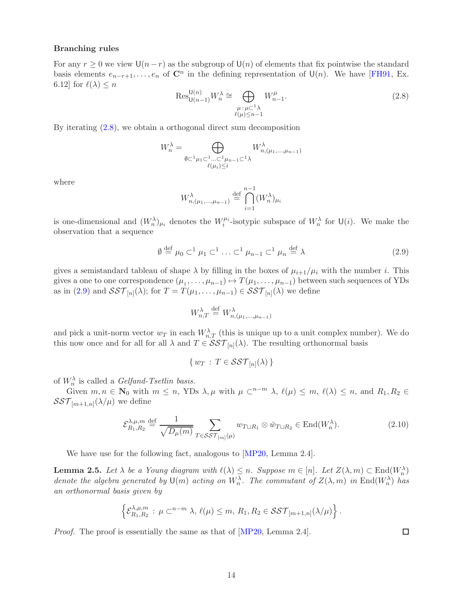### <span id="page-13-3"></span>Branching rules

For any  $r \geq 0$  we view  $\mathsf{U}(n-r)$  as the subgroup of  $\mathsf{U}(n)$  of elements that fix pointwise the standard basis elements  $e_{n-r+1}, \ldots, e_n$  of  $\mathbb{C}^n$  in the defining representation of  $\mathsf{U}(n)$ . We have [\[FH91,](#page-43-12) Ex. 6.12] for  $\ell(\lambda) \leq n$ 

<span id="page-13-0"></span>
$$
\operatorname{Res}_{\mathsf{U}(n-1)}^{\mathsf{U}(n)} W_n^{\lambda} \cong \bigoplus_{\substack{\mu:\mu \subset 1_{\lambda} \\ \ell(\mu) \leq n-1}} W_{n-1}^{\mu}.
$$
\n(2.8)

By iterating [\(2.8\)](#page-13-0), we obtain a orthogonal direct sum decomposition

$$
W_n^{\lambda} = \bigoplus_{\substack{\emptyset \subset {}^1\mu_1 \subset {}^1\ldots {}^1\mu_{n-1} \subset {}^1\lambda \\ \ell(\mu_i) \leq i}} W_{n,(\mu_1,\ldots,\mu_{n-1})}^{\lambda}
$$

where

$$
W_{n,(\mu_1,\dots,\mu_{n-1})}^{\lambda} \stackrel{\text{def}}{=} \bigcap_{i=1}^{n-1} (W_n^{\lambda})_{\mu_i}
$$

is one-dimensional and  $(W_n^{\lambda})_{\mu_i}$  denotes the  $W_i^{\mu_i}$ -isotypic subspace of  $W_n^{\lambda}$  for  $\mathsf{U}(i)$ . We make the observation that a sequence

<span id="page-13-1"></span>
$$
\emptyset \stackrel{\text{def}}{=} \mu_0 \subset^1 \mu_1 \subset^1 \ldots \subset^1 \mu_{n-1} \subset^1 \mu_n \stackrel{\text{def}}{=} \lambda \tag{2.9}
$$

gives a semistandard tableau of shape  $\lambda$  by filling in the boxes of  $\mu_{i+1}/\mu_i$  with the number i. This gives a one to one correspondence  $(\mu_1, \dots, \mu_{n-1}) \mapsto T(\mu_1, \dots, \mu_{n-1})$  between such sequences of YDs as in [\(2.9\)](#page-13-1) and  $\mathcal{SST}_{[n]}(\lambda)$ ; for  $T = T(\mu_1, \ldots, \mu_{n-1}) \in \mathcal{SST}_{[n]}(\lambda)$  we define

$$
W_{n,T}^{\lambda} \stackrel{\text{def}}{=} W_{n,(\mu_1,\ldots,\mu_{n-1})}^{\lambda}
$$

and pick a unit-norm vector  $w_T$  in each  $W_{n,T}^{\lambda}$  (this is unique up to a unit complex number). We do this now once and for all for all  $\lambda$  and  $T \in \mathcal{SST}_{[n]}(\lambda)$ . The resulting orthonormal basis

$$
\{w_T\,:\,T\in\mathcal{SST}_{[n]}(\lambda)\,\}
$$

of  $W_n^{\lambda}$  is called a *Gelfand-Tsetlin basis*.

Given  $m, n \in \mathbb{N}_0$  with  $m \leq n$ , YDs  $\lambda, \mu$  with  $\mu \subset^{n-m} \lambda$ ,  $\ell(\mu) \leq m$ ,  $\ell(\lambda) \leq n$ , and  $R_1, R_2 \in$  $\mathcal{SST}_{[m+1,n]}(\lambda/\mu)$  we define

<span id="page-13-2"></span>
$$
\mathcal{E}_{R_1,R_2}^{\lambda,\mu,m} \stackrel{\text{def}}{=} \frac{1}{\sqrt{D_\mu(m)}} \sum_{T \in \mathcal{SST}_{[m]}(\mu)} w_{T \sqcup R_1} \otimes \tilde{w}_{T \sqcup R_2} \in \text{End}(W_n^{\lambda}). \tag{2.10}
$$

We have use for the following fact, analogous to [\[MP20,](#page-43-6) Lemma 2.4].

**Lemma 2.5.** Let  $\lambda$  be a Young diagram with  $\ell(\lambda) \leq n$ . Suppose  $m \in [n]$ . Let  $Z(\lambda, m) \subset \text{End}(W_n^{\lambda})$ denote the algebra generated by  $\mathsf{U}(m)$  acting on  $W_n^{\lambda}$ . The commutant of  $Z(\lambda, m)$  in  $\text{End}(W_n^{\lambda})$  has an orthonormal basis given by

$$
\left\{\mathcal{E}_{R_1,R_2}^{\lambda,\mu,m}: \mu \subset^{n-m} \lambda, \ell(\mu) \leq m, R_1,R_2 \in \mathcal{SST}_{[m+1,n]}(\lambda/\mu)\right\}.
$$

Proof. The proof is essentially the same as that of [\[MP20,](#page-43-6) Lemma 2.4].

 $\Box$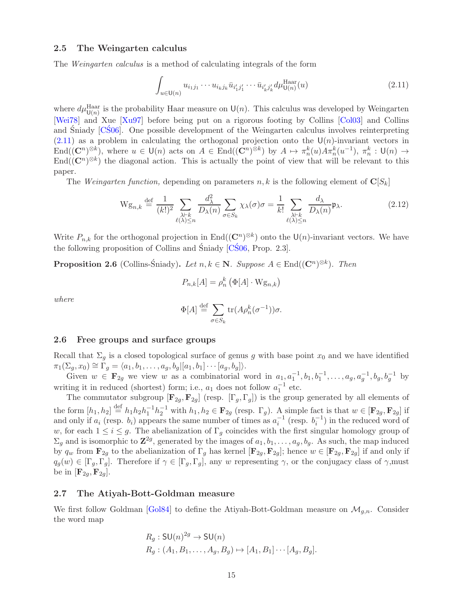### <span id="page-14-6"></span><span id="page-14-0"></span>2.5 The Weingarten calculus

The Weingarten calculus is a method of calculating integrals of the form

<span id="page-14-4"></span>
$$
\int_{u \in U(n)} u_{i_1 j_1} \cdots u_{i_k j_k} \bar{u}_{i'_1 j'_1} \cdots \bar{u}_{i'_k j'_k} d\mu_{U(n)}^{\text{Haar}}(u) \tag{2.11}
$$

where  $d\mu_{\mathsf{U}(n)}^{\text{Haar}}$  is the probability Haar measure on  $\mathsf{U}(n)$ . This calculus was developed by Weingarten [\[Wei78\]](#page-44-9) and Xue [\[Xu97\]](#page-44-10) before being put on a rigorous footing by Collins [\[Col03\]](#page-43-15) and Collins and Sniady [[CS06](#page-43-16)]. One possible development of the Weingarten calculus involves reinterpreting  $(2.11)$  as a problem in calculating the orthogonal projection onto the U(n)-invariant vectors in  $\text{End}((\mathbf{C}^n)^{\otimes k})$ , where  $u \in \mathsf{U}(n)$  acts on  $A \in \text{End}((\mathbf{C}^n)^{\otimes k})$  by  $A \mapsto \pi_n^k(u)A\pi_n^k(u^{-1}), \pi_n^k : \mathsf{U}(n) \to$  $\text{End}((\mathbb{C}^n)^{\otimes k})$  the diagonal action. This is actually the point of view that will be relevant to this paper.

The Weingarten function, depending on parameters  $n, k$  is the following element of  $\mathbf{C}[S_k]$ 

<span id="page-14-3"></span>
$$
\mathcal{W}\mathbf{g}_{n,k} \stackrel{\text{def}}{=} \frac{1}{(k!)^2} \sum_{\substack{\lambda \vdash k \\ \ell(\lambda) \le n}} \frac{d_{\lambda}^2}{D_{\lambda}(n)} \sum_{\sigma \in S_k} \chi_{\lambda}(\sigma) \sigma = \frac{1}{k!} \sum_{\substack{\lambda \vdash k \\ \ell(\lambda) \le n}} \frac{d_{\lambda}}{D_{\lambda}(n)} \mathfrak{p}_{\lambda}.
$$
 (2.12)

Write  $P_{n,k}$  for the orthogonal projection in End $((\mathbb{C}^n)^{\otimes k})$  onto the  $\mathsf{U}(n)$ -invariant vectors. We have the following proposition of Collins and Śniady  $[C\acute{S}06, Prop. 2.3]$ .

<span id="page-14-5"></span>**Proposition 2.6** (Collins-Śniady). Let  $n, k \in \mathbb{N}$ . Suppose  $A \in \text{End}((\mathbb{C}^n)^{\otimes k})$ . Then

$$
P_{n,k}[A] = \rho_n^k \left( \Phi[A] \cdot \mathbf{W} \mathbf{g}_{n,k} \right)
$$

where

$$
\Phi[A] \stackrel{\text{def}}{=} \sum_{\sigma \in S_k} \text{tr}(A \rho_n^k(\sigma^{-1})) \sigma.
$$

### <span id="page-14-1"></span>2.6 Free groups and surface groups

Recall that  $\Sigma_g$  is a closed topological surface of genus g with base point  $x_0$  and we have identified  $\pi_1(\Sigma_g, x_0) \cong \Gamma_g = \langle a_1, b_1, \ldots, a_g, b_g | [a_1, b_1] \cdots [a_g, b_g] \rangle.$ 

Given  $w \in \mathbf{F}_{2g}$  we view w as a combinatorial word in  $a_1, a_1^{-1}, b_1, b_1^{-1}, \ldots, a_g, a_g^{-1}, b_g, b_g^{-1}$  by writing it in reduced (shortest) form; i.e.,  $a_1$  does not follow  $a_1^{-1}$  etc.

The commutator subgroup  $[\mathbf{F}_{2g}, \mathbf{F}_{2g}]$  (resp.  $[\Gamma_g, \Gamma_g]$ ) is the group generated by all elements of the form  $[h_1, h_2] \stackrel{\text{def}}{=} h_1 h_2 h_1^{-1} h_2^{-1}$  with  $h_1, h_2 \in \mathbf{F}_{2g}$  (resp.  $\Gamma_g$ ). A simple fact is that  $w \in [\mathbf{F}_{2g}, \mathbf{F}_{2g}]$  if and only if  $a_i$  (resp.  $b_i$ ) appears the same number of times as  $a_i^{-1}$  (resp.  $b_i^{-1}$ ) in the reduced word of w, for each  $1 \leq i \leq g$ . The abelianization of  $\Gamma_g$  coincides with the first singular homology group of  $\Sigma_g$  and is isomorphic to  $\mathbb{Z}^{2g}$ , generated by the images of  $a_1, b_1, \ldots, a_g, b_g$ . As such, the map induced by  $q_w$  from  $\mathbf{F}_{2g}$  to the abelianization of  $\Gamma_g$  has kernel  $[\mathbf{F}_{2g}, \mathbf{F}_{2g}]$ ; hence  $w \in [\mathbf{F}_{2g}, \mathbf{F}_{2g}]$  if and only if  $q_g(w) \in [\Gamma_g, \Gamma_g]$ . Therefore if  $\gamma \in [\Gamma_g, \Gamma_g]$ , any w representing  $\gamma$ , or the conjugacy class of  $\gamma$ , must be in  $[\mathbf{F}_{2q}, \mathbf{F}_{2q}].$ 

### <span id="page-14-2"></span>2.7 The Atiyah-Bott-Goldman measure

We first follow Goldman [\[Gol84\]](#page-43-0) to define the Atiyah-Bott-Goldman measure on  $\mathcal{M}_{g,n}$ . Consider the word map

$$
R_g: \mathsf{SU}(n)^{2g} \to \mathsf{SU}(n)
$$
  
\n
$$
R_g: (A_1, B_1, \dots, A_g, B_g) \mapsto [A_1, B_1] \cdots [A_g, B_g].
$$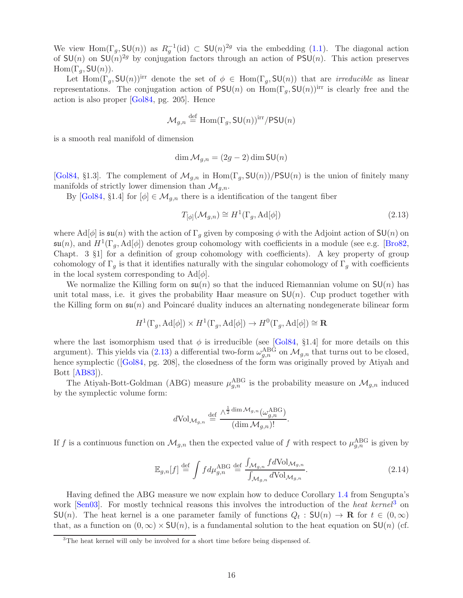<span id="page-15-2"></span>We view Hom( $\Gamma_g$ , SU(n)) as  $R_g^{-1}$ (id)  $\subset$  SU(n)<sup>2g</sup> via the embedding [\(1.1\)](#page-1-1). The diagonal action of  $SU(n)$  on  $SU(n)^{2g}$  by conjugation factors through an action of PSU(n). This action preserves  $\text{Hom}(\Gamma_g, \text{SU}(n)).$ 

Let  $\text{Hom}(\Gamma_g, \text{SU}(n))$ <sup>irr</sup> denote the set of  $\phi \in \text{Hom}(\Gamma_g, \text{SU}(n))$  that are *irreducible* as linear representations. The conjugation action of  $PSU(n)$  on  $Hom(\Gamma_q, SU(n))^{irr}$  is clearly free and the action is also proper [\[Gol84,](#page-43-0) pg. 205]. Hence

$$
\mathcal{M}_{g,n} \stackrel{\text{def}}{=} \text{Hom}(\Gamma_g, \mathsf{SU}(n))^{\text{irr}} / \mathsf{PSU}(n)
$$

is a smooth real manifold of dimension

$$
\dim \mathcal{M}_{g,n} = (2g-2)\dim \text{SU}(n)
$$

[\[Gol84,](#page-43-0) §1.3]. The complement of  $\mathcal{M}_{q,n}$  in  $\text{Hom}(\Gamma_q, \text{SU}(n))/\text{PSU}(n)$  is the union of finitely many manifolds of strictly lower dimension than  $\mathcal{M}_{g,n}$ .

By [\[Gol84,](#page-43-0) §1.4] for  $[\phi] \in \mathcal{M}_{q,n}$  there is a identification of the tangent fiber

<span id="page-15-0"></span>
$$
T_{[\phi]}(\mathcal{M}_{g,n}) \cong H^1(\Gamma_g, \text{Ad}[\phi])
$$
\n(2.13)

where Ad[ $\phi$ ] is  $\mathfrak{su}(n)$  with the action of  $\Gamma_q$  given by composing  $\phi$  with the Adjoint action of SU(n) on  $\mathfrak{su}(n)$ , and  $H^1(\Gamma_g, \text{Ad}[\phi])$  denotes group cohomology with coefficients in a module (see e.g. [\[Bro82,](#page-42-2) Chapt. 3 §1] for a definition of group cohomology with coefficients). A key property of group cohomology of  $\Gamma_q$  is that it identifies naturally with the singular cohomology of  $\Gamma_q$  with coefficients in the local system corresponding to  $\text{Ad}[\phi]$ .

We normalize the Killing form on  $\mathfrak{su}(n)$  so that the induced Riemannian volume on  $\mathsf{SU}(n)$  has unit total mass, i.e. it gives the probability Haar measure on  $SU(n)$ . Cup product together with the Killing form on  $\mathfrak{su}(n)$  and Poincaré duality induces an alternating nondegenerate bilinear form

$$
H^1(\Gamma_g, \mathrm{Ad}[\phi]) \times H^1(\Gamma_g, \mathrm{Ad}[\phi]) \to H^0(\Gamma_g, \mathrm{Ad}[\phi]) \cong \mathbf{R}
$$

where the last isomorphism used that  $\phi$  is irreducible (see [\[Gol84,](#page-43-0) §1.4] for more details on this argument). This yields via [\(2.13\)](#page-15-0) a differential two-form  $\omega_{g,n}^{\text{ABG}}$  on  $\mathcal{M}_{g,n}$  that turns out to be closed, hencesymplectic ([\[Gol84,](#page-43-0) pg. 208], the closedness of the form was originally proved by Atiyah and Bott [\[AB83\]](#page-42-0)).

The Atiyah-Bott-Goldman (ABG) measure  $\mu_{g,n}^{\text{ABG}}$  is the probability measure on  $\mathcal{M}_{g,n}$  induced by the symplectic volume form:

$$
d\text{Vol}_{\mathcal{M}_{g,n}} \stackrel{\text{def}}{=} \frac{\wedge^{\frac{1}{2} \dim \mathcal{M}_{g,n}}(\omega_{g,n}^{\text{ABG}})}{(\dim \mathcal{M}_{g,n})!}.
$$

If f is a continuous function on  $\mathcal{M}_{g,n}$  then the expected value of f with respect to  $\mu_{g,n}^{\text{ABG}}$  is given by

$$
\mathbb{E}_{g,n}[f] \stackrel{\text{def}}{=} \int f d\mu_{g,n}^{\text{ABG}} \stackrel{\text{def}}{=} \frac{\int_{\mathcal{M}_{g,n}} f d\text{Vol}_{\mathcal{M}_{g,n}}}{\int_{\mathcal{M}_{g,n}} d\text{Vol}_{\mathcal{M}_{g,n}}}.
$$
\n(2.14)

Having defined the ABG measure we now explain how to deduce Corollary [1.4](#page-3-2) from Sengupta's work  $\lceil \text{Sen}03 \rceil$  $\lceil \text{Sen}03 \rceil$  $\lceil \text{Sen}03 \rceil$ . For mostly technical reasons this involves the introduction of the *heat kernel*<sup>3</sup> on  $\mathsf{SU}(n)$ . The heat kernel is a one parameter family of functions  $Q_t : \mathsf{SU}(n) \to \mathbf{R}$  for  $t \in (0,\infty)$ that, as a function on  $(0, \infty) \times SU(n)$ , is a fundamental solution to the heat equation on  $SU(n)$  (cf.

<span id="page-15-1"></span> $3$ The heat kernel will only be involved for a short time before being dispensed of.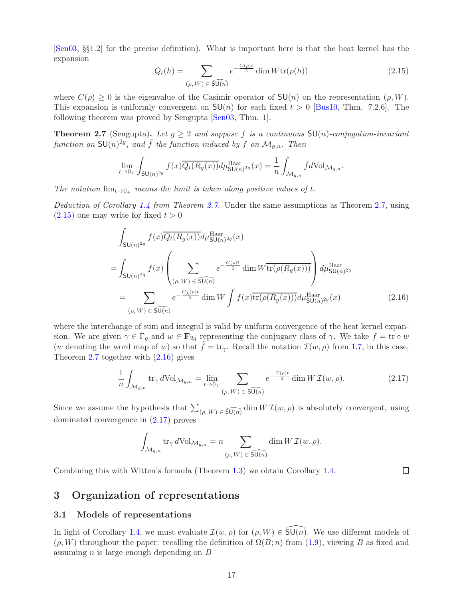<span id="page-16-6"></span>[\[Sen03,](#page-44-4) §§1.2] for the precise definition). What is important here is that the heat kernel has the expansion

<span id="page-16-3"></span>
$$
Q_t(h) = \sum_{(\rho, W) \in \widehat{\mathsf{SU}(n)}} e^{-\frac{C(\rho)t}{2}} \dim W \text{tr}(\rho(h)) \tag{2.15}
$$

where  $C(\rho) > 0$  is the eigenvalue of the Casimir operator of  $SU(n)$  on the representation  $(\rho, W)$ . This expansion is uniformly convergent on  $SU(n)$  for each fixed  $t > 0$  [\[Bus10,](#page-42-3) Thm. 7.2.6]. The following theorem was proved by Sengupta [\[Sen03,](#page-44-4) Thm. 1].

<span id="page-16-2"></span>**Theorem 2.7** (Sengupta). Let  $g \geq 2$  and suppose f is a continuous  $SU(n)$ -conjugation-invariant function on  $\mathsf{SU}(n)^{2g}$ , and  $\tilde{f}$  the function induced by f on  $\mathcal{M}_{g,n}$ . Then

$$
\lim_{t \to 0_+} \int_{\mathsf{SU}(n)^{2g}} f(x) \overline{Q_t(R_g(x))} d\mu_{\mathsf{SU}(n)^{2g}}^{\text{Haar}}(x) = \frac{1}{n} \int_{\mathcal{M}_{g,n}} \tilde{f} d\text{Vol}_{\mathcal{M}_{g,n}}.
$$

The notation  $\lim_{t\to 0_+}$  means the limit is taken along positive values of t.

Deduction of Corollary [1.4](#page-3-2) from Theorem [2.7.](#page-16-2) Under the same assumptions as Theorem [2.7,](#page-16-2) using  $(2.15)$  one may write for fixed  $t > 0$ 

$$
\int_{\mathsf{SU}(n)^{2g}} f(x) \overline{Q_t(R_g(x))} d\mu_{\mathsf{SU}(n)^{2g}}^{\text{Haar}}(x)
$$
\n
$$
= \int_{\mathsf{SU}(n)^{2g}} f(x) \left( \sum_{(\rho, W) \in \widehat{\mathsf{SU}(n)}} e^{-\frac{C(\rho)t}{2}} \dim W \overline{\text{tr}(\rho(R_g(x)))} \right) d\mu_{\mathsf{SU}(n)^{2g}}^{\text{Haar}} \newline = \sum_{(\rho, W) \in \widehat{\mathsf{SU}(n)}} e^{-\frac{C_{\lambda}(\rho)t}{2}} \dim W \int f(x) \overline{\text{tr}(\rho(R_g(x)))} d\mu_{\mathsf{SU}(n)^{2g}}^{\text{Haar}}(x) \tag{2.16}
$$

where the interchange of sum and integral is valid by uniform convergence of the heat kernel expansion. We are given  $\gamma \in \Gamma_g$  and  $w \in \mathbf{F}_{2g}$  representing the conjugacy class of  $\gamma$ . We take  $f = \text{tr} \circ w$ (w denoting the word map of w) so that  $\tilde{f} = \text{tr}_{\gamma}$ . Recall the notation  $\mathcal{I}(w, \rho)$  from [1.7,](#page-3-4) in this case, Theorem [2.7](#page-16-2) together with [\(2.16\)](#page-16-4) gives

$$
\frac{1}{n} \int_{\mathcal{M}_{g,n}} \text{tr}_{\gamma} d\text{Vol}_{\mathcal{M}_{g,n}} = \lim_{t \to 0_+} \sum_{(\rho, W) \in \widehat{\text{SU}(n)}} e^{-\frac{C(\rho)t}{2}} \dim W \mathcal{I}(w, \rho).
$$
 (2.17)

Since we assume the hypothesis that  $\sum_{(\rho, W) \in \widehat{\mathfrak{SU}(n)}} \dim W \mathcal{I}(w, \rho)$  is absolutely convergent, using dominated convergence in [\(2.17\)](#page-16-5) proves

$$
\int_{\mathcal{M}_{g,n}} \operatorname{tr}_{\gamma} d\mathrm{Vol}_{\mathcal{M}_{g,n}} = n \sum_{(\rho,W)\, \in \, \widehat{\mathsf{SU}(n)}} \dim W\, \mathcal{I}(w,\rho).
$$

Combining this with Witten's formula (Theorem [1.3\)](#page-3-6) we obtain Corollary [1.4.](#page-3-2)

<span id="page-16-5"></span><span id="page-16-4"></span> $\Box$ 

## <span id="page-16-0"></span>3 Organization of representations

### <span id="page-16-1"></span>3.1 Models of representations

In light of Corollary [1.4,](#page-3-2) we must evaluate  $\mathcal{I}(w, \rho)$  for  $(\rho, W) \in \widetilde{\mathsf{SU}(n)}$ . We use different models of  $(\rho, W)$  throughout the paper: recalling the definition of  $\Omega(B; n)$  from [\(1.9\)](#page-4-3), viewing B as fixed and assuming  $n$  is large enough depending on  $B$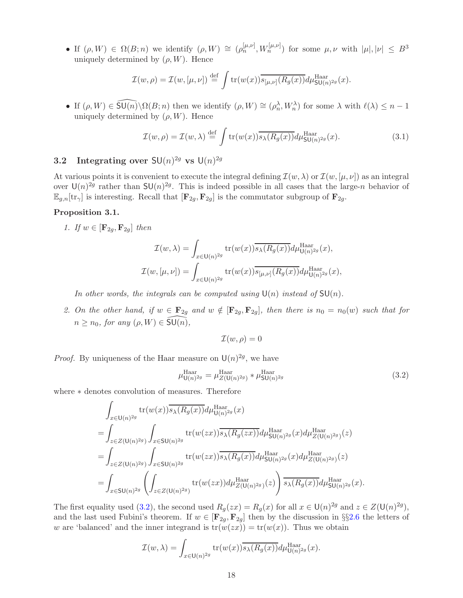• If  $(\rho, W) \in \Omega(B; n)$  we identify  $(\rho, W) \cong (\rho_n^{[\mu,\nu]}, W_n^{[\mu,\nu]})$  for some  $\mu, \nu$  with  $|\mu|, |\nu| \leq B^3$ uniquely determined by  $(\rho, W)$ . Hence

$$
\mathcal{I}(w,\rho) = \mathcal{I}(w,[\mu,\nu]) \stackrel{\text{def}}{=} \int tr(w(x)) \overline{s_{[\mu,\nu]}(R_g(x))} d\mu_{\mathsf{SU}(n)^{2g}}^{\text{Haar}}(x).
$$

• If  $(\rho, W) \in \widehat{\mathsf{SU}(n)} \setminus \Omega(B; n)$  then we identify  $(\rho, W) \cong (\rho_n^{\lambda}, W_n^{\lambda})$  for some  $\lambda$  with  $\ell(\lambda) \leq n-1$ uniquely determined by  $(\rho, W)$ . Hence

<span id="page-17-5"></span>
$$
\mathcal{I}(w,\rho) = \mathcal{I}(w,\lambda) \stackrel{\text{def}}{=} \int \text{tr}(w(x)) \overline{s_{\lambda}(R_g(x))} d\mu_{\text{SU}(n)^{2g}}^{\text{Haar}}(x).
$$
 (3.1)

# <span id="page-17-0"></span>**3.2** Integrating over  $SU(n)^{2g}$  vs  $U(n)^{2g}$

At various points it is convenient to execute the integral defining  $\mathcal{I}(w, \lambda)$  or  $\mathcal{I}(w, [\mu, \nu])$  as an integral over  $\mathsf{U}(n)^{2g}$  rather than  $\mathsf{SU}(n)^{2g}$ . This is indeed possible in all cases that the large-n behavior of  $\mathbb{E}_{g,n}[\text{tr}_{\gamma}]$  is interesting. Recall that  $[\mathbf{F}_{2g}, \mathbf{F}_{2g}]$  is the commutator subgroup of  $\mathbf{F}_{2g}$ .

### <span id="page-17-3"></span><span id="page-17-1"></span>Proposition 3.1.

1. If  $w \in [\mathbf{F}_{2q}, \mathbf{F}_{2q}]$  then

$$
\mathcal{I}(w,\lambda) = \int_{x \in \mathsf{U}(n)^{2g}} \mathrm{tr}(w(x)) \overline{s_{\lambda}(R_g(x))} d\mu_{\mathsf{U}(n)^{2g}}^{\mathrm{Haar}}(x),
$$
  

$$
\mathcal{I}(w,[\mu,\nu]) = \int_{x \in \mathsf{U}(n)^{2g}} \mathrm{tr}(w(x)) \overline{s_{[\mu,\nu]}(R_g(x))} d\mu_{\mathsf{U}(n)^{2g}}^{\mathrm{Haar}}(x),
$$

In other words, the integrals can be computed using  $\mathsf{U}(n)$  instead of  $\mathsf{SU}(n)$ .

<span id="page-17-4"></span>2. On the other hand, if  $w \in \mathbf{F}_{2g}$  and  $w \notin [\mathbf{F}_{2g}, \mathbf{F}_{2g}]$ , then there is  $n_0 = n_0(w)$  such that for  $n \geq n_0$ , for any  $(\rho, W) \in \widehat{\mathsf{SU}(n)},$ 

$$
\mathcal{I}(w,\rho)=0
$$

*Proof.* By uniqueness of the Haar measure on  $\mathsf{U}(n)^{2g}$ , we have

<span id="page-17-2"></span>
$$
\mu_{\mathsf{U}(n)^{2g}}^{\text{Haar}} = \mu_{Z(\mathsf{U}(n)^{2g})}^{\text{Haar}} * \mu_{\mathsf{SU}(n)^{2g}}^{\text{Haar}} \tag{3.2}
$$

where ∗ denotes convolution of measures. Therefore

$$
\int_{x \in \mathsf{U}(n)^{2g}} tr(w(x)) \overline{s_{\lambda}(R_g(x))} d\mu_{\mathsf{U}(n)^{2g}}^{\text{Haar}}(x)
$$
\n
$$
= \int_{z \in Z(\mathsf{U}(n)^{2g})} \int_{x \in \mathsf{SU}(n)^{2g}} tr(w(zx)) \overline{s_{\lambda}(R_g(zx))} d\mu_{\mathsf{SU}(n)^{2g}}^{\text{Haar}}(x) d\mu_{Z(\mathsf{U}(n)^{2g})}^{\text{Haar}}(z)
$$
\n
$$
= \int_{z \in Z(\mathsf{U}(n)^{2g})} \int_{x \in \mathsf{SU}(n)^{2g}} tr(w(zx)) \overline{s_{\lambda}(R_g(x))} d\mu_{\mathsf{SU}(n)^{2g}}^{\text{Haar}}(x) d\mu_{Z(\mathsf{U}(n)^{2g})}^{\text{Haar}}(z)
$$
\n
$$
= \int_{x \in \mathsf{SU}(n)^{2g}} \left( \int_{z \in Z(\mathsf{U}(n)^{2g})} tr(w(zx)) d\mu_{Z(\mathsf{U}(n)^{2g})}^{\text{Haar}}(z) \right) \overline{s_{\lambda}(R_g(x))} d\mu_{\mathsf{SU}(n)^{2g}}^{\text{Haar}}(x).
$$

The first equality used [\(3.2\)](#page-17-2), the second used  $R_g(zx) = R_g(x)$  for all  $x \in U(n)^{2g}$  and  $z \in Z(U(n)^{2g})$ , and the last used Fubini's theorem. If  $w \in [\mathbf{F}_{2g}, \mathbf{F}_{2g}]$  $w \in [\mathbf{F}_{2g}, \mathbf{F}_{2g}]$  $w \in [\mathbf{F}_{2g}, \mathbf{F}_{2g}]$  then by the discussion in §§2.6 the letters of w are 'balanced' and the inner integrand is  $tr(w(zx)) = tr(w(x))$ . Thus we obtain

$$
\mathcal{I}(w,\lambda) = \int_{x \in \mathsf{U}(n)^{2g}} \mathrm{tr}(w(x)) \overline{s_{\lambda}(R_g(x))} d\mu_{\mathsf{U}(n)^{2g}}^{\mathrm{Haar}}(x).
$$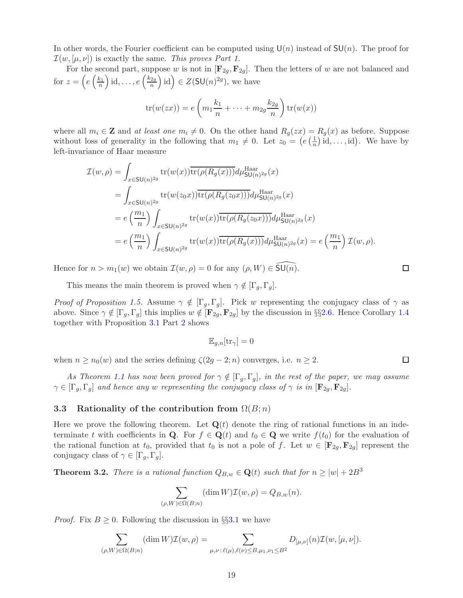In other words, the Fourier coefficient can be computed using  $U(n)$  instead of  $SU(n)$ . The proof for  $\mathcal{I}(w,[\mu,\nu])$  is exactly the same. This proves Part [1.](#page-17-3)

For the second part, suppose w is not in  $[F_{2g}, F_{2g}]$ . Then the letters of w are not balanced and for  $z = \left(e\left(\frac{k_1}{n}\right)\right)$  $\big)$  id, ...,  $e\left(\frac{k_{2g}}{n}\right)$ n  $\Big)$  id  $\Big) \in Z(\mathsf{SU}(n)^{2g}),$  we have

$$
\operatorname{tr}(w(zx)) = e\left(m_1\frac{k_1}{n} + \dots + m_{2g}\frac{k_{2g}}{n}\right) \operatorname{tr}(w(x))
$$

where all  $m_i \in \mathbb{Z}$  and at least one  $m_i \neq 0$ . On the other hand  $R_g(zx) = R_g(x)$  as before. Suppose without loss of generality in the following that  $m_1 \neq 0$ . Let  $z_0 = (e(\frac{1}{n})$  $\frac{1}{n}$  id, ..., id). We have by left-invariance of Haar measure

$$
\mathcal{I}(w,\rho) = \int_{x \in \mathsf{SU}(n)^{2g}} \mathrm{tr}(w(x)) \overline{\mathrm{tr}(\rho(R_g(x)))} d\mu_{\mathsf{SU}(n)^{2g}}^{\text{Haar}}(x)
$$
\n
$$
= \int_{x \in \mathsf{SU}(n)^{2g}} \mathrm{tr}(w(z_0 x)) \overline{\mathrm{tr}(\rho(R_g(z_0 x)))} d\mu_{\mathsf{SU}(n)^{2g}}^{\text{Haar}}(x)
$$
\n
$$
= e\left(\frac{m_1}{n}\right) \int_{x \in \mathsf{SU}(n)^{2g}} \mathrm{tr}(w(x)) \overline{\mathrm{tr}(\rho(R_g(z_0 x)))} d\mu_{\mathsf{SU}(n)^{2g}}^{\text{Haar}}(x)
$$
\n
$$
= e\left(\frac{m_1}{n}\right) \int_{x \in \mathsf{SU}(n)^{2g}} \mathrm{tr}(w(x)) \overline{\mathrm{tr}(\rho(R_g(x)))} d\mu_{\mathsf{SU}(n)^{2g}}^{\text{Haar}}(x) = e\left(\frac{m_1}{n}\right) \mathcal{I}(w,\rho).
$$

Hence for  $n > m_1(w)$  we obtain  $\mathcal{I}(w, \rho) = 0$  for any  $(\rho, W) \in \widetilde{\mathsf{SU}(n)}$ .

This means the main theorem is proved when  $\gamma \notin [\Gamma_g, \Gamma_g]$ .

*Proof of Proposition [1.5.](#page-3-3)* Assume  $\gamma \notin [\Gamma_q, \Gamma_q]$ . Pick w representing the conjugacy class of  $\gamma$  as above. Since  $\gamma \notin [\Gamma_g, \Gamma_g]$  this implies  $w \notin [\mathbf{F}_{2g}, \mathbf{F}_{2g}]$  by the discussion in §§[2.6.](#page-14-1) Hence Corollary [1.4](#page-3-2) together with Proposition [3.1](#page-17-1) Part [2](#page-17-4) shows

$$
\mathbb{E}_{g,n}[\text{tr}_\gamma] = 0
$$

when  $n \ge n_0(w)$  and the series defining  $\zeta(2g-2;n)$  converges, i.e.  $n \ge 2$ .

As Theorem [1.1](#page-2-0) has now been proved for  $\gamma \notin [\Gamma_g, \Gamma_g]$ , in the rest of the paper, we may assume  $\gamma \in [\Gamma_q, \Gamma_q]$  and hence any w representing the conjugacy class of  $\gamma$  is in  $[\mathbf{F}_{2q}, \mathbf{F}_{2q}]$ .

### <span id="page-18-0"></span>3.3 Rationality of the contribution from  $\Omega(B; n)$

Here we prove the following theorem. Let  $\mathbf{Q}(t)$  denote the ring of rational functions in an indeterminate t with coefficients in Q. For  $f \in \mathbf{Q}(t)$  and  $t_0 \in \mathbf{Q}$  we write  $f(t_0)$  for the evaluation of the rational function at  $t_0$ , provided that  $t_0$  is not a pole of f. Let  $w \in [\mathbf{F}_{2g}, \mathbf{F}_{2g}]$  represent the conjugacy class of  $\gamma \in [\Gamma_g, \Gamma_g].$ 

<span id="page-18-1"></span>**Theorem 3.2.** There is a rational function  $Q_{B,w} \in \mathbf{Q}(t)$  such that for  $n \ge |w| + 2B^3$ 

$$
\sum_{(\rho,W)\in\Omega(B;n)} (\dim W) \mathcal{I}(w,\rho) = Q_{B,w}(n).
$$

*Proof.* Fix  $B \geq 0$ . Following the discussion in §§[3.1](#page-16-1) we have

$$
\sum_{(\rho,W)\in\Omega(B;n)} (\dim W) \mathcal{I}(w,\rho) = \sum_{\mu,\nu\,:\,\ell(\mu),\ell(\nu)\leq B,\mu_1,\nu_1\leq B^2} D_{[\mu,\nu]}(n) \mathcal{I}(w,[\mu,\nu]).
$$

□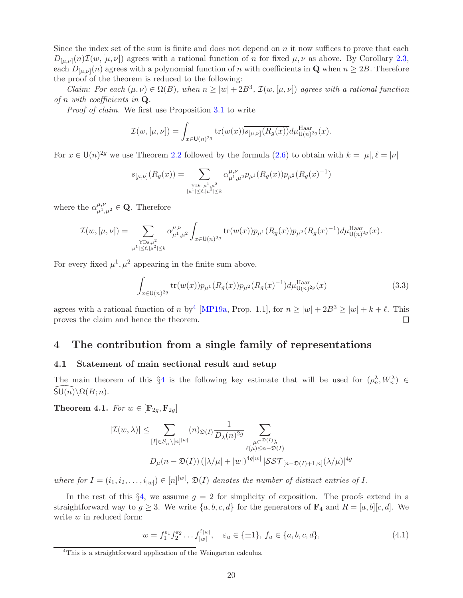<span id="page-19-5"></span>Since the index set of the sum is finite and does not depend on  $n$  it now suffices to prove that each  $D_{[\mu,\nu]}(n)\mathcal{I}(w,[\mu,\nu])$  agrees with a rational function of n for fixed  $\mu,\nu$  as above. By Corollary [2.3,](#page-12-2) each  $D_{[\mu,\nu]}(n)$  agrees with a polynomial function of n with coefficients in **Q** when  $n \ge 2B$ . Therefore the proof of the theorem is reduced to the following:

*Claim:* For each  $(\mu, \nu) \in \Omega(B)$ , when  $n \geq |w| + 2B^3$ ,  $\mathcal{I}(w, [\mu, \nu])$  agrees with a rational function of n with coefficients in  $Q$ .

Proof of claim. We first use Proposition [3.1](#page-17-1) to write

$$
\mathcal{I}(w,[\mu,\nu]) = \int_{x \in \mathsf{U}(n)^{2g}} \mathrm{tr}(w(x)) \overline{s_{[\mu,\nu]}(R_g(x))} d\mu_{\mathsf{U}(n)^{2g}}^{\mathrm{Haar}}(x).
$$

For  $x \in \mathsf{U}(n)^{2g}$  we use Theorem [2.2](#page-12-0) followed by the formula  $(2.6)$  to obtain with  $k = |\mu|, \ell = |\nu|$ 

$$
s_{[\mu,\nu]}(R_g(x)) = \sum_{\substack{\text{YDs }\mu^1,\mu^2\\|\mu^1|\leq \ell,|\mu^2|\leq k}} \alpha_{\mu^1,\mu^2}^{\mu,\nu} p_{\mu^1}(R_g(x)) p_{\mu^2}(R_g(x)^{-1})
$$

where the  $\alpha_{\mu^1,\mu^2}^{\mu,\nu} \in \mathbf{Q}$ . Therefore

$$
\mathcal{I}(w,[\mu,\nu]) = \sum_{\substack{\text{YDs}, \mu^2 \\ |\mu^1| \le \ell, |\mu^2| \le k}} \alpha^{\mu,\nu}_{\mu^1,\mu^2} \int_{x \in \mathsf{U}(n)^{2g}} \text{tr}(w(x)) p_{\mu^1}(R_g(x)) p_{\mu^2}(R_g(x)^{-1}) d\mu_{\mathsf{U}(n)^{2g}}^{\text{Haar}}(x).
$$

For every fixed  $\mu^1, \mu^2$  appearing in the finite sum above,

$$
\int_{x \in U(n)^{2g}} tr(w(x)) p_{\mu^1}(R_g(x)) p_{\mu^2}(R_g(x)^{-1}) d\mu_{U(n)^{2g}}^{\text{Haar}}(x) \tag{3.3}
$$

agrees with a rational function of n by<sup>[4](#page-19-3)</sup> [\[MP19a,](#page-43-9) Prop. 1.1], for  $n \ge |w| + 2B^3 \ge |w| + k + \ell$ . This proves the claim and hence the theorem.

# <span id="page-19-0"></span>4 The contribution from a single family of representations

## <span id="page-19-1"></span>4.1 Statement of main sectional result and setup

The main theorem of this §[4](#page-19-0) is the following key estimate that will be used for  $(\rho_n^{\lambda}, W_n^{\lambda}) \in$ <br> $\Pi(\rho) \setminus O(B,n)$  $SU(n)\setminus \Omega(B; n)$ .

<span id="page-19-2"></span>Theorem 4.1. For  $w \in [\mathbf{F}_{2g}, \mathbf{F}_{2g}]$ 

$$
|\mathcal{I}(w,\lambda)| \leq \sum_{[I] \in S_n \setminus [n]^{|w|}} (n)_{\mathfrak{D}(I)} \frac{1}{D_{\lambda}(n)^{2g}} \sum_{\substack{\mu \subset \mathfrak{D}(I)_{\lambda} \\ \ell(\mu) \leq n-\mathfrak{D}(I)}} \sum_{\substack{\mu \in \mathfrak{D}(I)_{\lambda} \\ \ell(\mu) \leq n-\mathfrak{D}(I)}} (n) \frac{1}{D_{\mu}(n-\mathfrak{D}(I))} \left( |\lambda/\mu| + |w| \right)^{4g|w|} |\mathcal{SST}_{[n-\mathfrak{D}(I)+1,n]}(\lambda/\mu)|^{4g}
$$

where for  $I = (i_1, i_2, \ldots, i_{|w|}) \in [n]^{|w|}$ ,  $\mathfrak{D}(I)$  denotes the number of distinct entries of I.

In the rest of this  $\S 4$ , we assume  $g = 2$  for simplicity of exposition. The proofs extend in a straightforward way to  $g \geq 3$ . We write  $\{a, b, c, d\}$  for the generators of  $\mathbf{F}_4$  and  $R = [a, b][c, d]$ . We write w in reduced form:

<span id="page-19-4"></span>
$$
w = f_1^{\varepsilon_1} f_2^{\varepsilon_2} \dots f_{|w|}^{\varepsilon_{|w|}}, \quad \varepsilon_u \in \{\pm 1\}, f_u \in \{a, b, c, d\},\tag{4.1}
$$

<span id="page-19-3"></span><sup>4</sup>This is a straightforward application of the Weingarten calculus.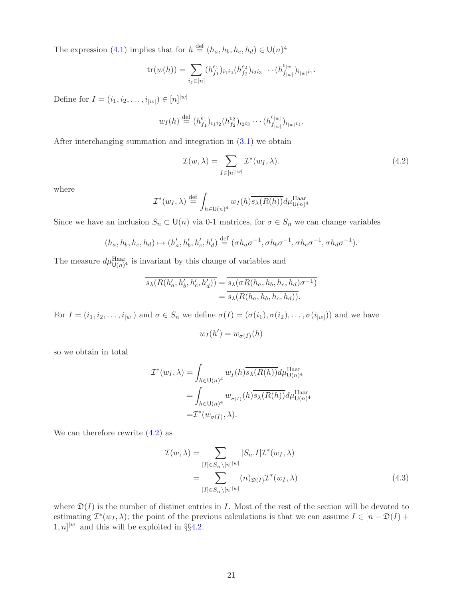The expression [\(4.1\)](#page-19-4) implies that for  $h \stackrel{\text{def}}{=} (h_a, h_b, h_c, h_d) \in \mathsf{U}(n)^4$ 

$$
\mathrm{tr}(w(h)) = \sum_{i_j \in [n]} (h_{f_1}^{\epsilon_1})_{i_1 i_2} (h_{f_2}^{\epsilon_2})_{i_2 i_3} \cdots (h_{f_{|w|}}^{\epsilon_{|w|}})_{i_{|w|} i_1}.
$$

Define for  $I = (i_1, i_2, \dots, i_{|w|}) \in [n]^{|w|}$ 

$$
w_I(h) \stackrel{\text{def}}{=} (h_{f_1}^{\epsilon_1})_{i_1 i_2} (h_{f_2}^{\epsilon_2})_{i_2 i_3} \cdots (h_{f_{|w|}}^{\epsilon_{|w|}})_{i_{|w|} i_1}.
$$

After interchanging summation and integration in [\(3.1\)](#page-17-5) we obtain

<span id="page-20-0"></span>
$$
\mathcal{I}(w,\lambda) = \sum_{I \in [n]^{|w|}} \mathcal{I}^*(w_I, \lambda).
$$
\n(4.2)

where

$$
\mathcal{I}^*(w_I, \lambda) \stackrel{\text{def}}{=} \int_{h \in \mathsf{U}(n)^4} w_I(h) \overline{s_{\lambda}(R(h))} d\mu_{\mathsf{U}(n)^4}^{\text{Haar}}
$$

Since we have an inclusion  $S_n \subset \mathsf{U}(n)$  via 0-1 matrices, for  $\sigma \in S_n$  we can change variables

$$
(h_a, h_b, h_c, h_d) \mapsto (h'_a, h'_b, h'_c, h'_d) \stackrel{\text{def}}{=} (\sigma h_a \sigma^{-1}, \sigma h_b \sigma^{-1}, \sigma h_c \sigma^{-1}, \sigma h_d \sigma^{-1}).
$$

The measure  $d\mu_{\mathrm{U}(n)^4}^{\mathrm{Haar}}$  is invariant by this change of variables and

$$
\overline{s_{\lambda}(R(h_a', h_b', h_c', h_d'))} = \overline{s_{\lambda}(\sigma R(h_a, h_b, h_c, h_d)\sigma^{-1})}
$$
  
= 
$$
\overline{s_{\lambda}(R(h_a, h_b, h_c, h_d))}.
$$

For  $I = (i_1, i_2, \ldots, i_{|w|})$  and  $\sigma \in S_n$  we define  $\sigma(I) = (\sigma(i_1), \sigma(i_2), \ldots, \sigma(i_{|w|}))$  and we have

$$
w_I(h') = w_{\sigma(I)}(h)
$$

so we obtain in total

$$
\mathcal{I}^*(w_I, \lambda) = \int_{h \in \mathsf{U}(n)^4} w_I(h) \overline{s_{\lambda}(R(h))} d\mu_{\mathsf{U}(n)^4}^{\text{Haar}} \n= \int_{h \in \mathsf{U}(n)^4} w_{\sigma(I)}(h) \overline{s_{\lambda}(R(h))} d\mu_{\mathsf{U}(n)^4}^{\text{Haar}} \n= \mathcal{I}^*(w_{\sigma(I)}, \lambda).
$$

We can therefore rewrite  $(4.2)$  as

<span id="page-20-1"></span>
$$
\mathcal{I}(w,\lambda) = \sum_{[I] \in S_n \setminus [n]^{|w|}} |S_n.I| \mathcal{I}^*(w_I, \lambda)
$$
  
= 
$$
\sum_{[I] \in S_n \setminus [n]^{|w|}} (n)_{\mathfrak{D}(I)} \mathcal{I}^*(w_I, \lambda)
$$
(4.3)

where  $\mathfrak{D}(I)$  is the number of distinct entries in I. Most of the rest of the section will be devoted to estimating  $\mathcal{I}^*(w_I, \lambda)$ ; the point of the previous calculations is that we can assume  $I \in [n - \mathfrak{D}(I) +$  $[1, n]$ <sup>|w|</sup> and this will be exploited in §§4.[2.](#page-21-0)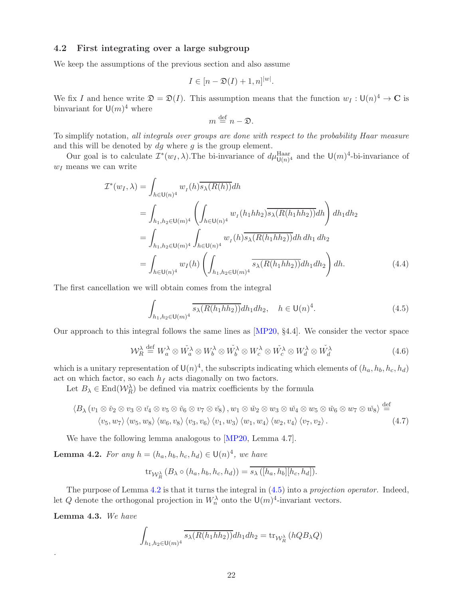### <span id="page-21-5"></span><span id="page-21-0"></span>4.2 First integrating over a large subgroup

We keep the assumptions of the previous section and also assume

$$
I \in [n - \mathfrak{D}(I) + 1, n]^{|\mathfrak{w}|}.
$$

We fix I and hence write  $\mathfrak{D} = \mathfrak{D}(I)$ . This assumption means that the function  $w_I : \mathsf{U}(n)^4 \to \mathbb{C}$  is binvariant for  $\mathsf{U}(m)^4$  where

<span id="page-21-3"></span>
$$
m \stackrel{\text{def}}{=} n - \mathfrak{D}.
$$

To simplify notation, all integrals over groups are done with respect to the probability Haar measure and this will be denoted by  $dg$  where  $g$  is the group element.

Our goal is to calculate  $\mathcal{I}^*(w_I, \lambda)$ . The bi-invariance of  $d\mu_{\mathsf{U}(n)^4}^{\text{Haar}}$  and the  $\mathsf{U}(m)^4$ -bi-invariance of  $w_I$  means we can write

$$
\mathcal{I}^*(w_I, \lambda) = \int_{h \in \mathsf{U}(n)^4} w_I(h) \overline{s_{\lambda}(R(h))} dh
$$
  
\n
$$
= \int_{h_1, h_2 \in \mathsf{U}(m)^4} \left( \int_{h \in \mathsf{U}(n)^4} w_I(h_1 h h_2) \overline{s_{\lambda}(R(h_1 h h_2))} dh \right) dh_1 dh_2
$$
  
\n
$$
= \int_{h_1, h_2 \in \mathsf{U}(m)^4} \int_{h \in \mathsf{U}(n)^4} w_I(h) \overline{s_{\lambda}(R(h_1 h h_2))} dh \, dh_1 \, dh_2
$$
  
\n
$$
= \int_{h \in \mathsf{U}(n)^4} w_I(h) \left( \int_{h_1, h_2 \in \mathsf{U}(m)^4} \overline{s_{\lambda}(R(h_1 h h_2))} dh_1 dh_2 \right) dh.
$$
 (4.4)

The first cancellation we will obtain comes from the integral

<span id="page-21-2"></span>
$$
\int_{h_1, h_2 \in U(m)^4} \overline{s_{\lambda}(R(h_1 h h_2))} dh_1 dh_2, \quad h \in U(n)^4.
$$
\n(4.5)

Our approach to this integral follows the same lines as [\[MP20,](#page-43-6) §4.4]. We consider the vector space

$$
\mathcal{W}_R^{\lambda} \stackrel{\text{def}}{=} W_a^{\lambda} \otimes \check{W}_a^{\lambda} \otimes W_b^{\lambda} \otimes \check{W}_b^{\lambda} \otimes W_c^{\lambda} \otimes \check{W}_c^{\lambda} \otimes W_d^{\lambda} \otimes \check{W}_d^{\lambda}
$$
(4.6)

which is a unitary representation of  $\mathsf{U}(n)^4$ , the subscripts indicating which elements of  $(h_a, h_b, h_c, h_d)$ act on which factor, so each  $h_f$  acts diagonally on two factors.

Let  $B_\lambda \in \text{End}(\mathcal{W}_R^{\lambda})$  be defined via matrix coefficients by the formula

$$
\langle B_{\lambda} (v_1 \otimes \check{v}_2 \otimes v_3 \otimes \check{v}_4 \otimes v_5 \otimes \check{v}_6 \otimes v_7 \otimes \check{v}_8), w_1 \otimes \check{w}_2 \otimes w_3 \otimes \check{w}_4 \otimes w_5 \otimes \check{w}_6 \otimes w_7 \otimes \check{w}_8 \rangle \stackrel{\text{def}}{=} \langle v_5, w_7 \rangle \langle w_5, w_8 \rangle \langle w_6, v_8 \rangle \langle v_3, v_6 \rangle \langle v_1, w_3 \rangle \langle w_1, w_4 \rangle \langle w_2, v_4 \rangle \langle v_7, v_2 \rangle.
$$
 (4.7)

We have the following lemma analogous to [\[MP20,](#page-43-6) Lemma 4.7].

<span id="page-21-1"></span>**Lemma 4.2.** For any  $h = (h_a, h_b, h_c, h_d) \in \mathsf{U}(n)^4$ , we have

$$
\operatorname{tr}_{\mathcal{W}_R^{\lambda}}(B_{\lambda}\circ (h_a, h_b, h_c, h_d)) = \overline{s_{\lambda}([h_a, h_b][h_c, h_d])}.
$$

The purpose of Lemma [4.2](#page-21-1) is that it turns the integral in  $(4.5)$  into a projection operator. Indeed, let Q denote the orthogonal projection in  $W_n^{\lambda}$  onto the  $\mathsf{U}(m)^4$ -invariant vectors.

<span id="page-21-4"></span>Lemma 4.3. We have

.

$$
\int_{h_1, h_2 \in \mathsf{U}(m)^4} \overline{s_{\lambda}(R(h_1hh_2))} dh_1 dh_2 = \text{tr}_{\mathcal{W}_R^{\lambda}} (hQB_{\lambda}Q)
$$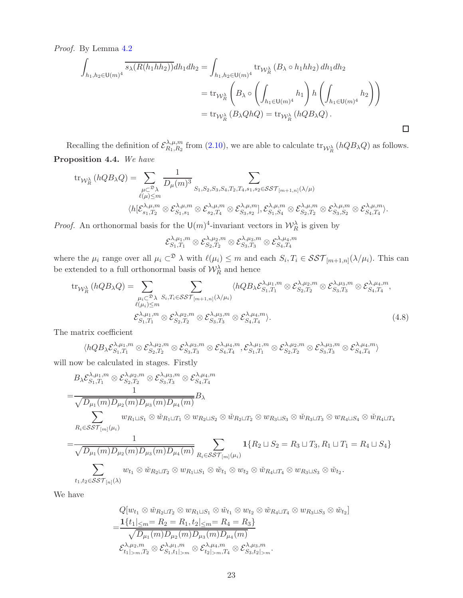Proof. By Lemma [4.2](#page-21-1)

$$
\int_{h_1, h_2 \in \mathsf{U}(m)^4} \overline{s_{\lambda}(R(h_1hh_2))} dh_1 dh_2 = \int_{h_1, h_2 \in \mathsf{U}(m)^4} \operatorname{tr}_{\mathcal{W}_R^{\lambda}} (B_{\lambda} \circ h_1 hh_2) dh_1 dh_2
$$
\n
$$
= \operatorname{tr}_{\mathcal{W}_R^{\lambda}} \left( B_{\lambda} \circ \left( \int_{h_1 \in \mathsf{U}(m)^4} h_1 \right) h \left( \int_{h_1 \in \mathsf{U}(m)^4} h_2 \right) \right)
$$
\n
$$
= \operatorname{tr}_{\mathcal{W}_R^{\lambda}} (B_{\lambda} Q h Q) = \operatorname{tr}_{\mathcal{W}_R^{\lambda}} (h Q B_{\lambda} Q).
$$

<span id="page-22-0"></span> $\Box$ 

<span id="page-22-1"></span>Recalling the definition of  $\mathcal{E}_{R_1,R_2}^{\lambda,\mu,m}$  $R_{1,R_2}^{A,\mu,m}$  from [\(2.10\)](#page-13-2), we are able to calculate  $\text{tr}_{\mathcal{W}_R^{\lambda}}(hQB_{\lambda}Q)$  as follows. Proposition 4.4. We have

$$
\text{tr}_{\mathcal{W}_{R}^{\lambda}}(hQB_{\lambda}Q) = \sum_{\substack{\mu \subset \mathcal{D}_{\lambda} \\ \ell(\mu)\leq m}} \frac{1}{D_{\mu}(m)^{3}} \sum_{S_{1},S_{2},S_{3},S_{4},T_{2},T_{4},s_{1},s_{2} \in \mathcal{SST}_{[m+1,n]}(\lambda/\mu) \\ \langle h[\mathcal{E}_{s_{1},T_{2}}^{\lambda,\mu,m} \otimes \mathcal{E}_{s_{1},s_{1}}^{\lambda,\mu,m} \otimes \mathcal{E}_{s_{2},T_{4}}^{\lambda,\mu,m} \otimes \mathcal{E}_{s_{3},s_{2}}^{\lambda,\mu,m} |, \mathcal{E}_{s_{1},S_{4}}^{\lambda,\mu,m} \otimes \mathcal{E}_{s_{2},T_{2}}^{\lambda,\mu,m} \otimes \mathcal{E}_{s_{3},S_{2}}^{\lambda,\mu,m} \otimes \mathcal{E}_{s_{4},T_{4}}^{\lambda,\mu,m} \rangle.
$$

*Proof.* An orthonormal basis for the  $\cup (m)^4$ -invariant vectors in  $\mathcal{W}_R^{\lambda}$  is given by

 $\mathcal{E}^{\lambda,\mu_1,m}_{S_1,T_1}$  $\mathcal{S}_{S_1,T_1}^{\lambda,\mu_1,m}\otimes \mathcal{E}_{S_2,T_2}^{\lambda,\mu_2,m}\otimes \mathcal{E}_{S_3,T_3}^{\lambda,\mu_3,m}\otimes \mathcal{E}_{S_4,T_4}^{\lambda,\mu_4,m}$ 

where the  $\mu_i$  range over all  $\mu_i \subset \mathcal{D}$   $\lambda$  with  $\ell(\mu_i) \leq m$  and each  $S_i, T_i \in \mathcal{SST}_{[m+1,n]}(\lambda/\mu_i)$ . This can be extended to a full orthonormal basis of  $\mathcal{W}_R^{\lambda}$  and hence

$$
\text{tr}_{\mathcal{W}_{R}^{\lambda}}\left(hQB_{\lambda}Q\right) = \sum_{\substack{\mu_{i} \subset \mathcal{D}_{\lambda} \\ \ell(\mu_{i}) \leq m}} \sum_{S_{i}, T_{i} \in \mathcal{SST}_{[m+1,n]}(\lambda/\mu_{i})}} \langle hQB_{\lambda} \mathcal{E}_{S_{1},T_{1}}^{\lambda,\mu_{1},m} \otimes \mathcal{E}_{S_{2},T_{2}}^{\lambda,\mu_{2},m} \otimes \mathcal{E}_{S_{3},T_{3}}^{\lambda,\mu_{3},m} \otimes \mathcal{E}_{S_{4},T_{4}}^{\lambda,\mu_{4},m},
$$
\n
$$
\mathcal{E}_{S_{1},T_{1}}^{\lambda,\mu_{1},m} \otimes \mathcal{E}_{S_{2},T_{2}}^{\lambda,\mu_{2},m} \otimes \mathcal{E}_{S_{3},T_{3}}^{\lambda,\mu_{3},m} \otimes \mathcal{E}_{S_{4},T_{4}}^{\lambda,\mu_{4},m}.
$$
\n(4.8)

The matrix coefficient

$$
\langle hQB_{\lambda} \mathcal{E}_{S_1,T_1}^{\lambda,\mu_1,m}\otimes \mathcal{E}_{S_2,T_2}^{\lambda,\mu_2,m}\otimes \mathcal{E}_{S_3,T_3}^{\lambda,\mu_3,m}\otimes \mathcal{E}_{S_4,T_4}^{\lambda,\mu_4,m}, \mathcal{E}_{S_1,T_1}^{\lambda,\mu_1,m}\otimes \mathcal{E}_{S_2,T_2}^{\lambda,\mu_2,m}\otimes \mathcal{E}_{S_3,T_3}^{\lambda,\mu_3,m}\otimes \mathcal{E}_{S_4,T_4}^{\lambda,\mu_4,m} \rangle
$$

will now be calculated in stages. Firstly

$$
B_{\lambda} \mathcal{E}_{S_1,T_1}^{\lambda,\mu_1,m} \otimes \mathcal{E}_{S_2,T_2}^{\lambda,\mu_2,m} \otimes \mathcal{E}_{S_3,T_3}^{\lambda,\mu_3,m} \otimes \mathcal{E}_{S_4,T_4}^{\lambda,\mu_4,m}
$$
\n
$$
= \frac{1}{\sqrt{D_{\mu_1}(m)D_{\mu_2}(m)D_{\mu_3}(m)D_{\mu_4}(m)}} B_{\lambda}
$$
\n
$$
\sum_{R_i \in \mathcal{SST}_{[m]}(\mu_i)} w_{R_1 \sqcup S_1} \otimes \tilde{w}_{R_1 \sqcup T_1} \otimes w_{R_2 \sqcup S_2} \otimes \tilde{w}_{R_2 \sqcup T_2} \otimes w_{R_3 \sqcup S_3} \otimes \tilde{w}_{R_3 \sqcup T_3} \otimes w_{R_4 \sqcup S_4} \otimes \tilde{w}_{R_4 \sqcup T_4}
$$
\n
$$
= \frac{1}{\sqrt{D_{\mu_1}(m)D_{\mu_2}(m)D_{\mu_3}(m)D_{\mu_4}(m)}} \sum_{R_i \in \mathcal{SST}_{[m]}(\mu_i)} 1\{R_2 \sqcup S_2 = R_3 \sqcup T_3, R_1 \sqcup T_1 = R_4 \sqcup S_4\}
$$
\n
$$
\sum w_{t_1} \otimes \tilde{w}_{R_2 \sqcup T_2} \otimes w_{R_1 \sqcup S_1} \otimes \tilde{w}_{t_1} \otimes w_{t_2} \otimes \tilde{w}_{R_4 \sqcup T_4} \otimes w_{R_3 \sqcup S_3} \otimes \tilde{w}_{t_2}.
$$

 $t_1,t_2{\in}\mathcal{S}\mathcal{S}\mathcal{T}_{[n]}(\lambda)$ We have

$$
Q[w_{t_1} \otimes \tilde{w}_{R_2 \sqcup T_2} \otimes w_{R_1 \sqcup S_1} \otimes \tilde{w}_{t_1} \otimes w_{t_2} \otimes \tilde{w}_{R_4 \sqcup T_4} \otimes w_{R_3 \sqcup S_3} \otimes \tilde{w}_{t_2}]
$$
  
= 
$$
\frac{1}{t_1 |_{\leq m} = R_2 = R_1, t_2 |_{\leq m} = R_4 = R_3}
$$
  

$$
\sqrt{D_{\mu_1}(m) D_{\mu_2}(m) D_{\mu_3}(m) D_{\mu_4}(m)}
$$
  

$$
\mathcal{E}_{t_1 |_{> m}, T_2}^{\lambda, \mu_2, m} \otimes \mathcal{E}_{S_1, t_1 |_{> m}}^{\lambda, \mu_4, m} \otimes \mathcal{E}_{t_2 |_{> m}, T_4}^{\lambda, \mu_4, m} \otimes \mathcal{E}_{S_3, t_2 |_{> m}}^{\lambda, \mu_3, m}.
$$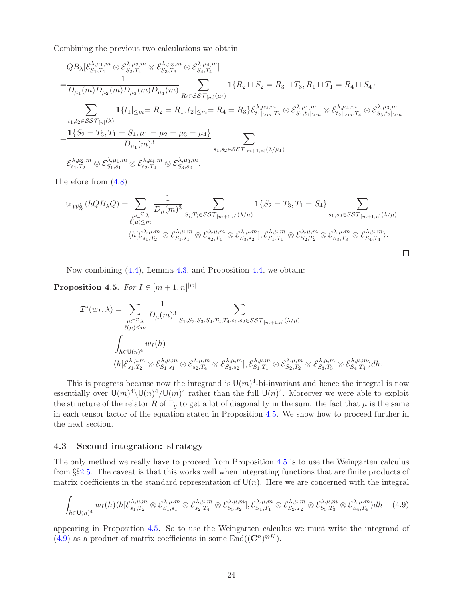Combining the previous two calculations we obtain

$$
QB_{\lambda}[\mathcal{E}_{S_1,T_1}^{\lambda,\mu_1,m} \otimes \mathcal{E}_{S_2,T_2}^{\lambda,\mu_2,m} \otimes \mathcal{E}_{S_3,T_3}^{\lambda,\mu_3,m} \otimes \mathcal{E}_{S_4,T_4}^{\lambda,\mu_4,m}]
$$
\n
$$
= \frac{1}{D_{\mu_1}(m)D_{\mu_2}(m)D_{\mu_3}(m)D_{\mu_4}(m)} \sum_{R_i \in \mathcal{SST}_{[m]}(\mu_i)} \mathbf{1}\{R_2 \sqcup S_2 = R_3 \sqcup T_3, R_1 \sqcup T_1 = R_4 \sqcup S_4\}
$$
\n
$$
\sum_{t_1,t_2 \in \mathcal{SST}_{[n]}(\lambda)} \mathbf{1}\{t_1|_{\leq m} = R_2 = R_1, t_2|_{\leq m} = R_4 = R_3\} \mathcal{E}_{t_1|>m,T_2}^{\lambda,\mu_2,m} \otimes \mathcal{E}_{S_1,t_1|>m}^{\lambda,\mu_1,m} \otimes \mathcal{E}_{t_2|>m,T_4}^{\lambda,\mu_4,m} \otimes \mathcal{E}_{S_3,t_2|>m}^{\lambda,\mu_3,m}
$$
\n
$$
= \frac{\mathbf{1}\{S_2 = T_3, T_1 = S_4, \mu_1 = \mu_2 = \mu_3 = \mu_4\}}{D_{\mu_1}(m)^3} \sum_{s_1,s_2 \in \mathcal{SST}_{[m+1,n]}(\lambda/\mu_1)} \sum_{S_1,T_2} \mathcal{E}_{S_1,T_2}^{\lambda,\mu_2,m} \otimes \mathcal{E}_{S_1,s_1}^{\lambda,\mu_4,m} \otimes \mathcal{E}_{s_2,T_4}^{\lambda,\mu_3,m}.
$$

Therefore from [\(4.8\)](#page-22-0)

$$
\operatorname{tr}_{\mathcal{W}_{R}^{\lambda}}(hQB_{\lambda}Q) = \sum_{\substack{\mu \subset \mathcal{D}_{\lambda} \\ \ell(\mu) \leq m}} \frac{1}{D_{\mu}(m)^{3}} \sum_{S_{i}, T_{i} \in \mathcal{SST}_{[m+1,n]}(\lambda/\mu)} \mathbf{1}\{S_{2} = T_{3}, T_{1} = S_{4}\} \sum_{s_{1}, s_{2} \in \mathcal{SST}_{[m+1,n]}(\lambda/\mu)} \sum_{S_{1}, S_{2} \in \mathcal{SST}_{[m+1,n]}(\lambda/\mu)} \left\langle h[\mathcal{E}_{s_{1}, T_{2}}^{\lambda, \mu, m} \otimes \mathcal{E}_{s_{1}, s_{1}}^{\lambda, \mu, m} \otimes \mathcal{E}_{s_{2}, T_{4}}^{\lambda, \mu, m} \otimes \mathcal{E}_{s_{3}, T_{3}}^{\lambda, \mu, m} \otimes \mathcal{E}_{s_{4}, T_{4}}^{\lambda, \mu, m}\right\}\right\}
$$

 $\Box$ 

Now combining [\(4.4\)](#page-21-3), Lemma [4.3,](#page-21-4) and Proposition [4.4,](#page-22-1) we obtain:

<span id="page-23-1"></span>**Proposition 4.5.** For  $I \in [m+1,n]^{|w|}$ 

$$
\mathcal{I}^*(w_I, \lambda) = \sum_{\substack{\mu \subset \mathfrak{D}_{\lambda} \\ \ell(\mu) \leq m}} \frac{1}{D_{\mu}(m)^3} \sum_{S_1, S_2, S_3, S_4, T_2, T_4, s_1, s_2 \in \mathcal{SST}_{[m+1,n]}(\lambda/\mu)} \sum_{\substack{\ell(\mu) \leq m \\ \lambda \in \mathsf{U}(n)^4}} w_I(h)
$$

$$
\int_{h \in \mathsf{U}(n)^4} w_I(h)
$$

$$
\langle h[\mathcal{E}_{s_1, T_2}^{\lambda, \mu, m} \otimes \mathcal{E}_{s_1, s_1}^{\lambda, \mu, m} \otimes \mathcal{E}_{s_2, T_4}^{\lambda, \mu, m} \otimes \mathcal{E}_{s_3, s_2}^{\lambda, \mu, m}], \mathcal{E}_{s_1, T_1}^{\lambda, \mu, m} \otimes \mathcal{E}_{s_2, T_2}^{\lambda, \mu, m} \otimes \mathcal{E}_{s_3, T_3}^{\lambda, \mu, m} \otimes \mathcal{E}_{s_4, T_4}^{\lambda, \mu, m} \rangle dh.
$$

This is progress because now the integrand is  $\mathsf{U}(m)^4$ -bi-invariant and hence the integral is now essentially over  $\mathsf{U}(m)^4 \setminus \mathsf{U}(n)^4 / \mathsf{U}(m)^4$  rather than the full  $\mathsf{U}(n)^4$ . Moreover we were able to exploit the structure of the relator R of  $\Gamma_g$  to get a lot of diagonality in the sum: the fact that  $\mu$  is the same in each tensor factor of the equation stated in Proposition [4.5.](#page-23-1) We show how to proceed further in the next section.

### <span id="page-23-0"></span>4.3 Second integration: strategy

The only method we really have to proceed from Proposition [4.5](#page-23-1) is to use the Weingarten calculus from §§[2.5.](#page-14-0) The caveat is that this works well when integrating functions that are finite products of matrix coefficients in the standard representation of  $\mathsf{U}(n)$ . Here we are concerned with the integral

<span id="page-23-2"></span>
$$
\int_{h\in\mathsf{U}(n)^4} w_I(h) \langle h[\mathcal{E}_{s_1,T_2}^{\lambda,\mu,m} \otimes \mathcal{E}_{s_1,s_1}^{\lambda,\mu,m} \otimes \mathcal{E}_{s_2,T_4}^{\lambda,\mu,m} \otimes \mathcal{E}_{s_3,s_2}^{\lambda,\mu,m}], \mathcal{E}_{s_1,T_1}^{\lambda,\mu,m} \otimes \mathcal{E}_{s_2,T_2}^{\lambda,\mu,m} \otimes \mathcal{E}_{s_3,T_3}^{\lambda,\mu,m} \otimes \mathcal{E}_{s_4,T_4}^{\lambda,\mu,m} \rangle dh \quad (4.9)
$$

appearing in Proposition [4.5.](#page-23-1) So to use the Weingarten calculus we must write the integrand of [\(4.9\)](#page-23-2) as a product of matrix coefficients in some  $\text{End}((\mathbb{C}^n)^{\otimes K})$ .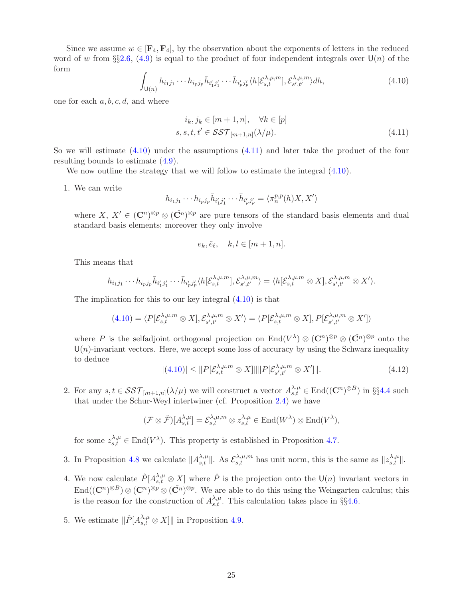Since we assume  $w \in [F_4, F_4]$ , by the observation about the exponents of letters in the reduced word of w from §§[2.6,](#page-14-1) [\(4.9\)](#page-23-2) is equal to the product of four independent integrals over  $\mathsf{U}(n)$  of the form

<span id="page-24-0"></span>
$$
\int_{\mathsf{U}(n)} h_{i_1 j_1} \cdots h_{i_p j_p} \bar{h}_{i'_1 j'_1} \cdots \bar{h}_{i'_p j'_p} \langle h[\mathcal{E}_{s,t}^{\lambda,\mu,m}], \mathcal{E}_{s',t'}^{\lambda,\mu,m} \rangle dh,\tag{4.10}
$$

one for each  $a, b, c, d$ , and where

<span id="page-24-1"></span>
$$
i_k, j_k \in [m+1, n], \quad \forall k \in [p]
$$
  

$$
s, s, t, t' \in \mathcal{SST}_{[m+1, n]}(\lambda/\mu).
$$
 (4.11)

So we will estimate [\(4.10\)](#page-24-0) under the assumptions [\(4.11\)](#page-24-1) and later take the product of the four resulting bounds to estimate [\(4.9\)](#page-23-2).

We now outline the strategy that we will follow to estimate the integral  $(4.10)$ .

1. We can write

$$
h_{i_1j_1}\cdots h_{i_pj_p}\bar{h}_{i'_1j'_1}\cdots \bar{h}_{i'_pj'_p}=\langle \pi_n^{p,p}(h)X, X'\rangle
$$

where  $X, X' \in (\mathbb{C}^n)^{\otimes p} \otimes (\check{\mathbb{C}}^n)^{\otimes p}$  are pure tensors of the standard basis elements and dual standard basis elements; moreover they only involve

$$
e_k, \check{e}_\ell, \quad k, l \in [m+1, n].
$$

This means that

$$
h_{i_1j_1}\cdots h_{i_pj_p}\bar{h}_{i'_1j'_1}\cdots \bar{h}_{i'_pj'_p}\langle h[\mathcal{E}_{s,t}^{\lambda,\mu,m}],\mathcal{E}_{s',t'}^{\lambda,\mu,m}\rangle = \langle h[\mathcal{E}_{s,t}^{\lambda,\mu,m}\otimes X],\mathcal{E}_{s',t'}^{\lambda,\mu,m}\otimes X'\rangle.
$$

The implication for this to our key integral [\(4.10\)](#page-24-0) is that

$$
(4.10) = \langle P[\mathcal{E}_{s,t}^{\lambda,\mu,m} \otimes X], \mathcal{E}_{s',t'}^{\lambda,\mu,m} \otimes X' \rangle = \langle P[\mathcal{E}_{s,t}^{\lambda,\mu,m} \otimes X], P[\mathcal{E}_{s',t'}^{\lambda,\mu,m} \otimes X'] \rangle
$$

where P is the selfadjoint orthogonal projection on  $\text{End}(V^{\lambda}) \otimes (\mathbf{C}^n)^{\otimes p} \otimes (\check{\mathbf{C}}^n)^{\otimes p}$  onto the  $U(n)$ -invariant vectors. Here, we accept some loss of accuracy by using the Schwarz inequality to deduce

<span id="page-24-2"></span>
$$
|(4.10)| \leq ||P[\mathcal{E}_{s,t}^{\lambda,\mu,m} \otimes X]|| ||P[\mathcal{E}_{s',t'}^{\lambda,\mu,m} \otimes X']||. \tag{4.12}
$$

2. For any  $s, t \in \mathcal{SST}_{[m+1,n]}(\lambda/\mu)$  we will construct a vector  $A^{\lambda,\mu}_{s,t} \in \text{End}((\mathbb{C}^n)^{\otimes B})$  in §§[4.4](#page-25-0) such that under the Schur-Weyl intertwiner (cf. Proposition [2.4\)](#page-12-3) we have

$$
(\mathcal{F} \otimes \check{\mathcal{F}})[A^{\lambda,\mu}_{s,t}] = \mathcal{E}^{\lambda,\mu,m}_{s,t} \otimes z^{\lambda,\mu}_{s,t} \in \text{End}(W^{\lambda}) \otimes \text{End}(V^{\lambda}),
$$

for some  $z_{s,t}^{\lambda,\mu} \in \text{End}(V^{\lambda})$ . This property is established in Proposition [4.7.](#page-26-0)

- 3. In Proposition [4.8](#page-27-1) we calculate  $||A_{s,t}^{\lambda,\mu}||$ . As  $\mathcal{E}_{s,t}^{\lambda,\mu,m}$  has unit norm, this is the same as  $||z_{s,t}^{\lambda,\mu}||$ .
- 4. We now calculate  $\hat{P}[A_{s,t}^{\lambda,\mu} \otimes X]$  where  $\hat{P}$  is the projection onto the  $\mathsf{U}(n)$  invariant vectors in  $\text{End}((\mathbf{C}^n)^{\otimes B}) \otimes (\mathbf{C}^n)^{\otimes p} \otimes (\check{\mathbf{C}}^n)^{\otimes p}$ . We are able to do this using the Weingarten calculus; this is the reason for the construction of  $A_{s,t}^{\lambda,\mu}$ . This calculation takes place in §§[4.6.](#page-29-0)
- 5. We estimate  $\|\hat{P}[A^{\lambda,\mu}_{s,t} \otimes X] \|$  in Proposition [4.9.](#page-31-1)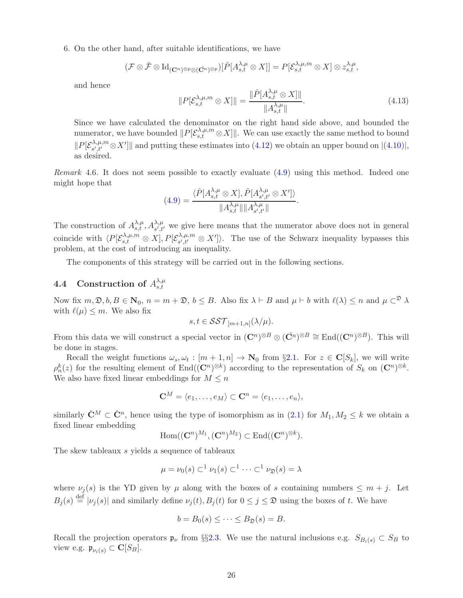6. On the other hand, after suitable identifications, we have

$$
(\mathcal{F}\otimes \check{\mathcal{F}}\otimes \mathrm{Id}_{(\mathbf{C}^n)^{\otimes p}\otimes(\check{\mathbf{C}}^n)^{\otimes p}})[\hat{P}[A^{\lambda,\mu}_{s,t}\otimes X]]=P[\mathcal{E}^{\lambda,\mu,m}_{s,t}\otimes X]\otimes z^{\lambda,\mu}_{s,t},
$$

and hence

$$
||P[\mathcal{E}_{s,t}^{\lambda,\mu,m} \otimes X]|| = \frac{||\hat{P}[A_{s,t}^{\lambda,\mu} \otimes X]||}{||A_{s,t}^{\lambda,\mu}||}.
$$
\n(4.13)

.

Since we have calculated the denominator on the right hand side above, and bounded the numerator, we have bounded  $||P[\mathcal{E}_{s,t}^{\lambda,\mu,m} \otimes X]||$ . We can use exactly the same method to bound  $\|P[{\cal E}_{s',t'}^{\lambda,\mu,m}$  $\mathcal{L}_{s',t'}^{A,\mu,m} \otimes X'$  and putting these estimates into  $(4.12)$  we obtain an upper bound on  $|(4.10)|,$  $|(4.10)|,$  $|(4.10)|,$ as desired.

Remark 4.6. It does not seem possible to exactly evaluate [\(4.9\)](#page-23-2) using this method. Indeed one might hope that

$$
(4.9) = \frac{\langle \hat{P}[A^{\lambda,\mu}_{s,t}\otimes X], \hat{P}[A^{\lambda,\mu}_{s',t'}\otimes X'] \rangle}{\|A^{\lambda,\mu}_{s,t}\|\|A^{\lambda,\mu}_{s',t'}\|}
$$

The construction of  $A_{s,t}^{\lambda,\mu}, A_{s',t'}^{\lambda,\mu}$  we give here means that the numerator above does not in general coincide with  $\langle P[\mathcal{E}_{s,t}^{\lambda,\mu,m} \otimes X], P[\mathcal{E}_{s',t'}^{\lambda,\mu,m}]$  $\langle s', t'' \otimes X' \rangle$ . The use of the Schwarz inequality bypasses this problem, at the cost of introducing an inequality.

The components of this strategy will be carried out in the following sections.

#### <span id="page-25-0"></span>4.4 Construction of  $A_{s,t}^{\lambda,\mu}$ s,t

Now fix  $m, \mathfrak{D}, b, B \in \mathbb{N}_0$ ,  $n = m + \mathfrak{D}, b \leq B$ . Also fix  $\lambda \vdash B$  and  $\mu \vdash b$  with  $\ell(\lambda) \leq n$  and  $\mu \subset^{\mathfrak{D}} \lambda$ with  $\ell(\mu) \leq m$ . We also fix

$$
s, t \in \mathcal{SST}_{[m+1,n]}(\lambda/\mu).
$$

From this data we will construct a special vector in  $(\mathbb{C}^n)^{\otimes B} \otimes (\check{\mathbb{C}}^n)^{\otimes B} \cong \text{End}((\mathbb{C}^n)^{\otimes B})$ . This will be done in stages.

Recall the weight functions  $\omega_s, \omega_t : [m+1, n] \to \mathbb{N}_0$  from §[2.1.](#page-7-1) For  $z \in \mathbb{C}[S_k]$ , we will write  $\rho_n^k(z)$  for the resulting element of End $((\mathbf{C}^n)^{\otimes k})$  according to the representation of  $S_k$  on  $(\mathbf{C}^n)^{\otimes k}$ . We also have fixed linear embeddings for  $M \leq n$ 

$$
\mathbf{C}^M = \langle e_1, \ldots, e_M \rangle \subset \mathbf{C}^n = \langle e_1, \ldots, e_n \rangle,
$$

similarly  $\check{C}^M \subset \check{C}^n$ , hence using the type of isomorphism as in  $(2.1)$  for  $M_1, M_2 \leq k$  we obtain a fixed linear embedding

$$
\mathrm{Hom}((\mathbf{C}^n)^{M_1}, (\mathbf{C}^n)^{M_2}) \subset \mathrm{End}((\mathbf{C}^n)^{\otimes k}).
$$

The skew tableaux s yields a sequence of tableaux

$$
\mu = \nu_0(s) \subset^1 \nu_1(s) \subset^1 \cdots \subset^1 \nu_{\mathfrak{D}}(s) = \lambda
$$

where  $\nu_j(s)$  is the YD given by  $\mu$  along with the boxes of s containing numbers  $\leq m + j$ . Let  $B_j(s) \stackrel{\text{def}}{=} |\nu_j(s)|$  and similarly define  $\nu_j(t), B_j(t)$  for  $0 \le j \le \mathfrak{D}$  using the boxes of t. We have

$$
b=B_0(s)\leq\cdots\leq B_{\mathfrak{D}}(s)=B.
$$

Recall the projection operators  $\mathfrak{p}_{\nu}$  from §§[2.3.](#page-9-0) We use the natural inclusions e.g.  $S_{B_i(s)} \subset S_B$  to view e.g.  $\mathfrak{p}_{\nu_i(s)} \subset \mathbf{C}[S_B]$ .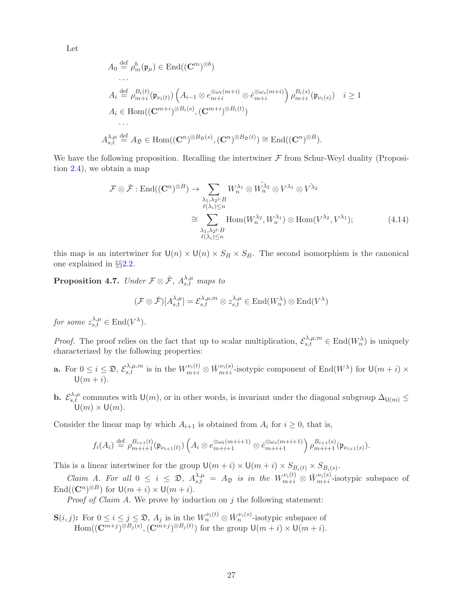Let

$$
A_0 \stackrel{\text{def}}{=} \rho_m^b(\mathfrak{p}_{\mu}) \in \text{End}((\mathbf{C}^m)^{\otimes b})
$$
  
\n...  
\n
$$
A_i \stackrel{\text{def}}{=} \rho_{m+i}^{B_i(t)}(\mathfrak{p}_{\nu_i(t)}) \left( A_{i-1} \otimes e_{m+i}^{\otimes \omega_t(m+i)} \otimes e_{m+i}^{\otimes \omega_s(m+i)} \right) \rho_{m+i}^{B_i(s)}(\mathfrak{p}_{\nu_i(s)}) \quad i \ge 1
$$
  
\n
$$
A_i \in \text{Hom}((\mathbf{C}^{m+i})^{\otimes B_i(s)}, (\mathbf{C}^{m+i})^{\otimes B_i(t)})
$$
  
\n...  
\n
$$
A_{s,t}^{\lambda,\mu} \stackrel{\text{def}}{=} A_{\mathfrak{D}} \in \text{Hom}((\mathbf{C}^n)^{\otimes B_{\mathfrak{D}}(s)}, (\mathbf{C}^n)^{\otimes B_{\mathfrak{D}}(t)}) \cong \text{End}((\mathbf{C}^n)^{\otimes B}).
$$

We have the following proposition. Recalling the intertwiner  $\mathcal F$  from Schur-Weyl duality (Proposition [2.4\)](#page-12-3), we obtain a map

$$
\mathcal{F} \otimes \check{\mathcal{F}} : \text{End}((\mathbf{C}^n)^{\otimes B}) \to \sum_{\substack{\lambda_1, \lambda_2 \vdash B \\ \ell(\lambda_i) \le n}} W_n^{\lambda_1} \otimes W_n^{\lambda_2} \otimes V^{\lambda_1} \otimes V^{\lambda_2}
$$

$$
\cong \sum_{\substack{\lambda_1, \lambda_2 \vdash B \\ \ell(\lambda_i) \le n}} \text{Hom}(W_n^{\lambda_2}, W_n^{\lambda_1}) \otimes \text{Hom}(V^{\lambda_2}, V^{\lambda_1}); \tag{4.14}
$$

this map is an intertwiner for  $U(n) \times U(n) \times S_B \times S_B$ . The second isomorphism is the canonical one explained in §§[2.2.](#page-8-0)

<span id="page-26-0"></span>**Proposition 4.7.** Under  $\mathcal{F} \otimes \check{\mathcal{F}}$ ,  $A_{s,t}^{\lambda,\mu}$  maps to

<span id="page-26-1"></span>
$$
(\mathcal{F} \otimes \tilde{\mathcal{F}})[A^{\lambda,\mu}_{s,t}] = \mathcal{E}_{s,t}^{\lambda,\mu,m} \otimes z_{s,t}^{\lambda,\mu} \in \text{End}(W_n^{\lambda}) \otimes \text{End}(V^{\lambda})
$$

for some  $z_{s,t}^{\lambda,\mu} \in \text{End}(V^{\lambda})$ .

*Proof.* The proof relies on the fact that up to scalar multiplication,  $\mathcal{E}_{s,t}^{\lambda,\mu,m} \in \text{End}(W_n^{\lambda})$  is uniquely characterized by the following properties:

- **a.** For  $0 \leq i \leq \mathfrak{D}$ ,  $\mathcal{E}_{s,t}^{\lambda,\mu,m}$  is in the  $W_{m+i}^{\nu_i(t)} \otimes \check{W}_{m+i}^{\nu_i(s)}$  $w_{i}(s)$ -isotypic component of End $(W^{\lambda})$  for  $U(m+i) \times$  $\mathsf{U}(m+i)$ .
- **b.**  $\mathcal{E}_{s,t}^{\lambda,\mu}$  commutes with U(m), or in other words, is invariant under the diagonal subgroup  $\Delta_{\mathsf{U}(m)} \leq$  $U(m) \times U(m)$ .

Consider the linear map by which  $A_{i+1}$  is obtained from  $A_i$  for  $i \geq 0$ , that is,

$$
f_i(A_i) \stackrel{\text{def}}{=} \rho_{m+i+1}^{B_{i+1}(t)}(\mathfrak{p}_{\nu_{i+1}(t)}) \left( A_i \otimes e_{m+i+1}^{\otimes \omega_t(m+i+1)} \otimes e_{m+i+1}^{\otimes \omega_s(m+i+1)} \right) \rho_{m+i+1}^{B_{i+1}(s)}(\mathfrak{p}_{\nu_{i+1}(s)}).
$$

This is a linear intertwiner for the group  $\mathsf{U}(m+i) \times \mathsf{U}(m+i) \times S_{B_i(t)} \times S_{B_i(s)}$ .

Claim A. For all  $0 \leq i \leq \mathfrak{D}$ ,  $A_{s,t}^{\lambda,\mu} = A_{\mathfrak{D}}$  is in the  $W_{m+i}^{\nu_i(t)} \otimes \check{W}_{m+i}^{\nu_i(s)}$  $\frac{\nu_i(s)}{m+i}$ -isotypic subspace of  $\text{End}((\mathbf{C}^n)^{\otimes B})$  for  $\mathsf{U}(m+i) \times \mathsf{U}(m+i)$ .

*Proof of Claim A.* We prove by induction on  $j$  the following statement:

 $\mathbf{S}(i,j)$ : For  $0 \leq i \leq j \leq \mathfrak{D}$ ,  $A_j$  is in the  $W_n^{\nu_i(t)} \otimes \check{W}_n^{\nu_i(s)}$ -isotypic subspace of  $\text{Hom}((\mathbf{C}^{m+j})^{\otimes B_j(s)},(\mathbf{C}^{m+j})^{\otimes B_j(t)})$  for the group  $\mathsf{U}(m+i)\times \mathsf{U}(m+i)$ .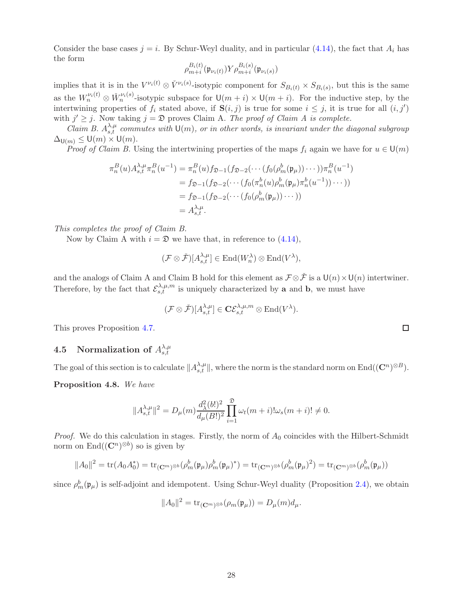Consider the base cases  $j = i$ . By Schur-Weyl duality, and in particular [\(4.14\)](#page-26-1), the fact that  $A_i$  has the form

$$
\rho_{m+i}^{B_i(t)}(\mathfrak{p}_{\nu_i(t)}) Y \rho_{m+i}^{B_i(s)}(\mathfrak{p}_{\nu_i(s)})
$$

implies that it is in the  $V^{\nu_i(t)} \otimes V^{\nu_i(s)}$ -isotypic component for  $S_{B_i(t)} \times S_{B_i(s)}$ , but this is the same as the  $W_n^{\nu_i(t)} \otimes \check{W}_n^{\nu_i(s)}$ -isotypic subspace for  $\mathsf{U}(m+i) \times \mathsf{U}(m+i)$ . For the inductive step, by the intertwining properties of  $f_i$  stated above, if  $S(i, j)$  is true for some  $i \leq j$ , it is true for all  $(i, j')$ with  $j' \geq j$ . Now taking  $j = \mathfrak{D}$  proves Claim A. The proof of Claim A is complete.

Claim B.  $A_{s,t}^{\lambda,\mu}$  commutes with  $\mathsf{U}(m)$ , or in other words, is invariant under the diagonal subgroup  $\Delta_{\mathsf{U}(m)} \leq \mathsf{U}(m) \times \mathsf{U}(m).$ 

*Proof of Claim B*. Using the intertwining properties of the maps  $f_i$  again we have for  $u \in U(m)$ 

$$
\pi_n^B(u) A_{s,t}^{\lambda,\mu} \pi_n^B(u^{-1}) = \pi_n^B(u) f_{\mathfrak{D}-1}(f_{\mathfrak{D}-2}(\cdots (f_0(\rho_m^b(\mathfrak{p}_{\mu}))\cdots))\pi_n^B(u^{-1})
$$
  
=  $f_{\mathfrak{D}-1}(f_{\mathfrak{D}-2}(\cdots (f_0(\pi_n^b(u)\rho_m^b(\mathfrak{p}_{\mu})\pi_n^b(u^{-1}))\cdots))$   
=  $f_{\mathfrak{D}-1}(f_{\mathfrak{D}-2}(\cdots (f_0(\rho_m^b(\mathfrak{p}_{\mu}))\cdots))$   
=  $A_{s,t}^{\lambda,\mu}$ .

This completes the proof of Claim B.

Now by Claim A with  $i = \mathfrak{D}$  we have that, in reference to [\(4.14\)](#page-26-1),

$$
(\mathcal{F}\otimes \check{\mathcal{F}})[A^{\lambda,\mu}_{s,t}] \in \text{End}(W_n^{\lambda})\otimes \text{End}(V^{\lambda}),
$$

and the analogs of Claim A and Claim B hold for this element as  $\mathcal{F} \otimes \check{\mathcal{F}}$  is a  $\mathsf{U}(n) \times \mathsf{U}(n)$  intertwiner. Therefore, by the fact that  $\mathcal{E}_{s,t}^{\lambda,\mu,m}$  is uniquely characterized by **a** and **b**, we must have

$$
(\mathcal{F}\otimes \check{\mathcal{F}})[A^{\lambda,\mu}_{s,t}] \in \mathbf{C}\mathcal{E}^{\lambda,\mu,m}_{s,t}\otimes \mathrm{End}(V^\lambda).
$$

This proves Proposition [4.7.](#page-26-0)

#### <span id="page-27-0"></span>4.5 Normalization of  $A_{s,t}^{\lambda,\mu}$ s,t

The goal of this section is to calculate  $||A_{s,t}^{\lambda,\mu}||$ , where the norm is the standard norm on End $((\mathbf{C}^n)^{\otimes B})$ .

<span id="page-27-1"></span>Proposition 4.8. We have

$$
||A_{s,t}^{\lambda,\mu}||^2 = D_{\mu}(m) \frac{d_{\lambda}^2(b!)^2}{d_{\mu}(B!)^2} \prod_{i=1}^{\infty} \omega_t(m+i) \log(m+i)! \neq 0.
$$

*Proof.* We do this calculation in stages. Firstly, the norm of  $A_0$  coincides with the Hilbert-Schmidt norm on  $\text{End}((\mathbf{C}^n)^{\otimes b})$  so is given by

$$
||A_0||^2 = \text{tr}(A_0 A_0^*) = \text{tr}_{(\mathbf{C}^m)^{\otimes b}}(\rho_m^b(\mathfrak{p}_\mu)\rho_m^b(\mathfrak{p}_\mu)^*) = \text{tr}_{(\mathbf{C}^m)^{\otimes b}}(\rho_m^b(\mathfrak{p}_\mu)^2) = \text{tr}_{(\mathbf{C}^m)^{\otimes b}}(\rho_m^b(\mathfrak{p}_\mu))
$$

since  $\rho_m^b(\mathfrak{p}_{\mu})$  is self-adjoint and idempotent. Using Schur-Weyl duality (Proposition [2.4\)](#page-12-3), we obtain

$$
||A_0||^2 = \text{tr}_{(\mathbf{C}^m)^{\otimes b}}(\rho_m(\mathfrak{p}_\mu)) = D_\mu(m)d_\mu.
$$

 $\Box$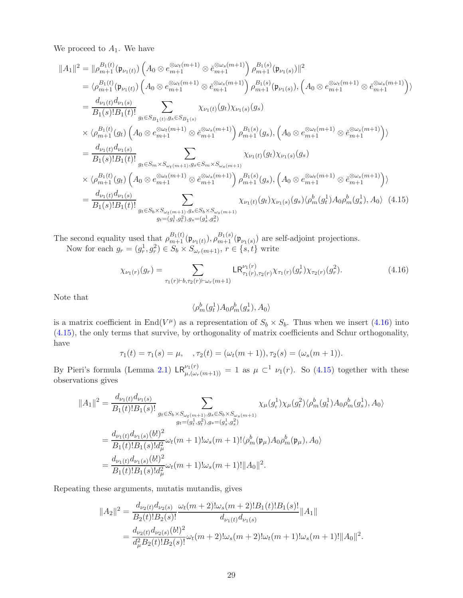We proceed to  $A_1$ . We have

$$
||A_{1}||^{2} = ||\rho_{m+1}^{B_{1}(t)}(\mathfrak{p}_{\nu_{1}(t)}) \left(A_{0} \otimes e_{m+1}^{\otimes \omega_{t}(m+1)} \otimes e_{m+1}^{\otimes \omega_{s}(m+1)}\right) \rho_{m+1}^{B_{1}(s)}(\mathfrak{p}_{\nu_{1}(s)})||^{2}
$$
  
\n
$$
= \langle \rho_{m+1}^{B_{1}(t)}(\mathfrak{p}_{\nu_{1}(t)}) \left(A_{0} \otimes e_{m+1}^{\otimes \omega_{t}(m+1)} \otimes e_{m+1}^{\otimes \omega_{s}(m+1)}\right) \rho_{m+1}^{B_{1}(s)}(\mathfrak{p}_{\nu_{1}(s)}), \left(A_{0} \otimes e_{m+1}^{\otimes \omega_{t}(m+1)} \otimes e_{m+1}^{\otimes \omega_{s}(m+1)}\right) \rangle
$$
  
\n
$$
= \frac{d_{\nu_{1}(t)}d_{\nu_{1}(s)}}{B_{1}(s)!B_{1}(t)!} \sum_{g_{t} \in S_{B_{1}(t)}, g_{s} \in S_{B_{1}(s)}} \chi_{\nu_{1}(t)}(g_{t}) \chi_{\nu_{1}(s)}(g_{s})
$$
  
\n
$$
\times \langle \rho_{m+1}^{B_{1}(t)}(g_{t}) \left(A_{0} \otimes e_{m+1}^{\otimes \omega_{t}(m+1)} \otimes e_{m+1}^{\otimes \omega_{s}(m+1)}\right) \rho_{m+1}^{B_{1}(s)}(g_{s}), \left(A_{0} \otimes e_{m+1}^{\otimes \omega_{t}(m+1)} \otimes e_{m+1}^{\otimes \omega_{s}(m+1)}\right) \rangle
$$
  
\n
$$
= \frac{d_{\nu_{1}(t)}d_{\nu_{1}(s)}}{B_{1}(s)!B_{1}(t)!} \sum_{g_{t} \in S_{m} \times S_{\omega_{t}(m+1)}, g_{s} \in S_{m} \times S_{\omega_{s}(m+1)}} \chi_{\nu_{1}(t)}(g_{t}) \chi_{\nu_{1}(s)}(g_{s})
$$
  
\n
$$
\times \langle \rho_{m+1}^{B_{1}(t)}(g_{t}) \left(A_{0} \otimes e_{m+1}^{\otimes \omega_{t}(m
$$

The second equality used that  $\rho_{m+1}^{B_1(t)}(\mathfrak{p}_{\nu_1(t)}), \rho_{m+1}^{B_1(s)}(\mathfrak{p}_{\nu_1(s)})$  are self-adjoint projections. Now for each  $g_r = (g_r^1, g_r^2) \in S_b \times S_{\omega_r(m+1)}, r \in \{s, t\}$  write

<span id="page-28-0"></span>
$$
\chi_{\nu_1(r)}(g_r) = \sum_{\tau_1(r)\vdash b,\tau_2(r)\vdash\omega_r(m+1)} \mathsf{LR}_{\tau_1(r),\tau_2(r)}^{\nu_1(r)} \chi_{\tau_1(r)}(g_r^1) \chi_{\tau_2(r)}(g_r^2). \tag{4.16}
$$

Note that

<span id="page-28-1"></span>
$$
\langle \rho_m^b(g_t^1) A_0 \rho_m^b(g_s^1), A_0 \rangle
$$

is a matrix coefficient in  $\text{End}(V^{\mu})$  as a representation of  $S_b \times S_b$ . Thus when we insert [\(4.16\)](#page-28-0) into [\(4.15\)](#page-28-1), the only terms that survive, by orthogonality of matrix coefficients and Schur orthogonality, have

$$
\tau_1(t) = \tau_1(s) = \mu
$$
,  $\tau_2(t) = (\omega_t(m+1)), \tau_2(s) = (\omega_s(m+1)).$ 

By Pieri's formula (Lemma [2.1\)](#page-10-1)  $LR_{\mu,(\omega_r(m+1))}^{\nu_1(r)} = 1$  as  $\mu \subset^1 \nu_1(r)$ . So [\(4.15\)](#page-28-1) together with these observations gives

$$
||A_{1}||^{2} = \frac{d_{\nu_{1}(t)}d_{\nu_{1}(s)}}{B_{1}(t)!B_{1}(s)!} \sum_{g_{t} \in S_{b} \times S_{\omega_{t}(m+1),g_{s} \in S_{b} \times S_{\omega_{s}(m+1)}} \chi_{\mu}(g_{t}^{1})\chi_{\mu}(g_{t}^{2})\langle \rho_{m}^{b}(g_{t}^{1})A_{0}\rho_{m}^{b}(g_{s}^{1}), A_{0}\rangle
$$
  

$$
= \frac{d_{\nu_{1}(t)}d_{\nu_{1}(s)}(b!)^{2}}{B_{1}(t)!B_{1}(s)!d_{\mu}^{2}}\omega_{t}(m+1)!\omega_{s}(m+1)!\langle \rho_{m}^{b}(\mathfrak{p}_{\mu})A_{0}\rho_{m}^{b}(\mathfrak{p}_{\mu}), A_{0}\rangle
$$
  

$$
= \frac{d_{\nu_{1}(t)}d_{\nu_{1}(s)}(b!)^{2}}{B_{1}(t)!B_{1}(s)!d_{\mu}^{2}}\omega_{t}(m+1)!\omega_{s}(m+1)!||A_{0}||^{2}.
$$

Repeating these arguments, mutatis mutandis, gives

$$
||A_2||^2 = \frac{d_{\nu_2(t)}d_{\nu_2(s)}}{B_2(t)!B_2(s)!} \frac{\omega_t(m+2) \omega_s(m+2)!B_1(t)!B_1(s)!}{d_{\nu_1(t)}d_{\nu_1(s)}} ||A_1||
$$
  
= 
$$
\frac{d_{\nu_2(t)}d_{\nu_2(s)}(b!)^2}{d_{\mu}^2B_2(t)!B_2(s)!} \omega_t(m+2) \omega_s(m+2) \omega_t(m+1)! \omega_s(m+1)! ||A_0||^2.
$$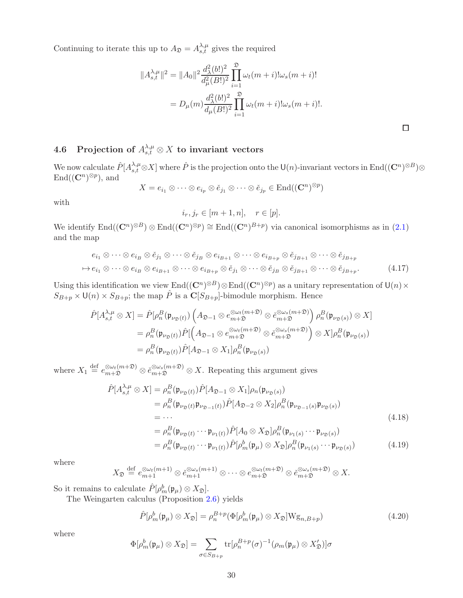Continuing to iterate this up to  $A_{\mathfrak{D}} = A_{s,t}^{\lambda,\mu}$  gives the required

$$
||A_{s,t}^{\lambda,\mu}||^2 = ||A_0||^2 \frac{d_{\lambda}^2(b!)^2}{d_{\mu}^2(B!)^2} \prod_{i=1}^{\infty} \omega_t(m+i) \omega_s(m+i)!
$$
  
=  $D_{\mu}(m) \frac{d_{\lambda}^2(b!)^2}{d_{\mu}(B!)^2} \prod_{i=1}^{\infty} \omega_t(m+i) \omega_s(m+i)!$ .

<span id="page-29-3"></span> $\Box$ 

# <span id="page-29-0"></span>4.6 Projection of  $A_{s,t}^{\lambda,\mu}\otimes X$  to invariant vectors

We now calculate  $\hat{P}[A^{\lambda,\mu}_{s,t}\otimes X]$  where  $\hat{P}$  is the projection onto the  $\mathsf{U}(n)$ -invariant vectors in  $\mathrm{End}((\mathbf{C}^n)^{\otimes B})\otimes$  $\text{End}((\mathbf{C}^n)^{\otimes p})$ , and

$$
X = e_{i_1} \otimes \cdots \otimes e_{i_p} \otimes \check{e}_{j_1} \otimes \cdots \otimes \check{e}_{j_p} \in \text{End}((\mathbf{C}^n)^{\otimes p})
$$

with

$$
i_r, j_r \in [m+1, n], \quad r \in [p].
$$

We identify  $\text{End}((\mathbf{C}^n)^{\otimes B}) \otimes \text{End}((\mathbf{C}^n)^{\otimes p}) \cong \text{End}((\mathbf{C}^n)^{B+p})$  via canonical isomorphisms as in  $(2.1)$ and the map

$$
e_{i_1} \otimes \cdots \otimes e_{i_B} \otimes \check{e}_{j_1} \otimes \cdots \otimes \check{e}_{j_B} \otimes e_{i_{B+1}} \otimes \cdots \otimes e_{i_{B+p}} \otimes \check{e}_{j_{B+1}} \otimes \cdots \otimes \check{e}_{j_{B+p}}
$$
  

$$
\mapsto e_{i_1} \otimes \cdots \otimes e_{i_B} \otimes e_{i_{B+1}} \otimes \cdots \otimes e_{i_{B+p}} \otimes \check{e}_{j_1} \otimes \cdots \otimes \check{e}_{j_B} \otimes \check{e}_{j_{B+1}} \otimes \cdots \otimes \check{e}_{j_{B+p}}.
$$
 (4.17)

Using this identification we view  $End((\mathbf{C}^n)^{\otimes B}) \otimes End((\mathbf{C}^n)^{\otimes p})$  as a unitary representation of  $\mathsf{U}(n) \times$  $S_{B+p} \times \mathsf{U}(n) \times S_{B+p}$ ; the map  $\hat{P}$  is a  $\mathbb{C}[S_{B+p}]$ -bimodule morphism. Hence

$$
\hat{P}[A^{\lambda,\mu}_{s,t} \otimes X] = \hat{P}[\rho_n^B(\mathfrak{p}_{\nu_{\mathfrak{D}}(t)}) \left( A_{\mathfrak{D}-1} \otimes e_{m+\mathfrak{D}}^{\otimes \omega_t(m+\mathfrak{D})} \otimes \check{e}_{m+\mathfrak{D}}^{\otimes \omega_s(m+\mathfrak{D})} \right) \rho_n^B(\mathfrak{p}_{\nu_{\mathfrak{D}}(s)}) \otimes X]
$$
\n
$$
= \rho_n^B(\mathfrak{p}_{\nu_{\mathfrak{D}}(t)}) \hat{P}[\left( A_{\mathfrak{D}-1} \otimes e_{m+\mathfrak{D}}^{\otimes \omega_t(m+\mathfrak{D})} \otimes \check{e}_{m+\mathfrak{D}}^{\otimes \omega_s(m+\mathfrak{D})} \right) \otimes X] \rho_n^B(\mathfrak{p}_{\nu_{\mathfrak{D}}(s)})
$$
\n
$$
= \rho_n^B(\mathfrak{p}_{\nu_{\mathfrak{D}}(t)}) \hat{P}[A_{\mathfrak{D}-1} \otimes X_1] \rho_n^B(\mathfrak{p}_{\nu_{\mathfrak{D}}(s)})
$$

where  $X_1 \stackrel{\text{def}}{=} e_{m+1}^{\otimes \omega_t(m+2)} \otimes e_{m+1}^{\otimes \omega_s(m+3)} \otimes X$ . Repeating this argument gives

$$
\hat{P}[A^{\lambda,\mu}_{s,t} \otimes X] = \rho_n^B(\mathfrak{p}_{\nu_{\mathfrak{D}}(t)})\hat{P}[A_{\mathfrak{D}-1} \otimes X_1]\rho_n(\mathfrak{p}_{\nu_{\mathfrak{D}}(s)}) \n= \rho_n^B(\mathfrak{p}_{\nu_{\mathfrak{D}}(t)}\mathfrak{p}_{\nu_{\mathfrak{D}-1}(t)})\hat{P}[A_{\mathfrak{D}-2} \otimes X_2]\rho_n^B(\mathfrak{p}_{\nu_{\mathfrak{D}-1}(s)}\mathfrak{p}_{\nu_{\mathfrak{D}}(s)}) \n= \cdots
$$
\n(4.18)

<span id="page-29-2"></span>
$$
= \rho_n^B(\mathfrak{p}_{\nu_{\mathfrak{D}}(t)} \cdots \mathfrak{p}_{\nu_1(t)}) \hat{P}[A_0 \otimes X_{\mathfrak{D}}] \rho_n^B(\mathfrak{p}_{\nu_1(s)} \cdots \mathfrak{p}_{\nu_{\mathfrak{D}}(s)})
$$
  

$$
= \rho_n^B(\mathfrak{p}_{\nu_{\mathfrak{D}}(t)} \cdots \mathfrak{p}_{\nu_1(t)}) \hat{P}[\rho_m^b(\mathfrak{p}_{\mu}) \otimes X_{\mathfrak{D}}] \rho_n^B(\mathfrak{p}_{\nu_1(s)} \cdots \mathfrak{p}_{\nu_{\mathfrak{D}}(s)})
$$
(4.19)

where

$$
X_{\mathfrak{D}} \stackrel{\text{def}}{=} e_{m+1}^{\otimes \omega_t(m+1)} \otimes e_{m+1}^{\otimes \omega_s(m+1)} \otimes \cdots \otimes e_{m+1}^{\otimes \omega_t(m+1)} \otimes e_{m+1}^{\otimes \omega_s(m+2)} \otimes X.
$$

So it remains to calculate  $\hat{P}[\rho_m^b(\mathfrak{p}_\mu) \otimes X_{\mathfrak{D}}].$ 

The Weingarten calculus (Proposition [2.6\)](#page-14-5) yields

<span id="page-29-1"></span>
$$
\hat{P}[\rho_m^b(\mathfrak{p}_\mu) \otimes X_{\mathfrak{D}}] = \rho_n^{B+p}(\Phi[\rho_m^b(\mathfrak{p}_\mu) \otimes X_{\mathfrak{D}}]W\mathfrak{g}_{n,B+p})
$$
(4.20)

where

$$
\Phi[\rho_m^b(\mathfrak{p}_\mu)\otimes X_{\mathfrak{D}}] = \sum_{\sigma\in S_{B+p}} \text{tr}[\rho_n^{B+p}(\sigma)^{-1}(\rho_m(\mathfrak{p}_\mu)\otimes X_{\mathfrak{D}}')] \sigma
$$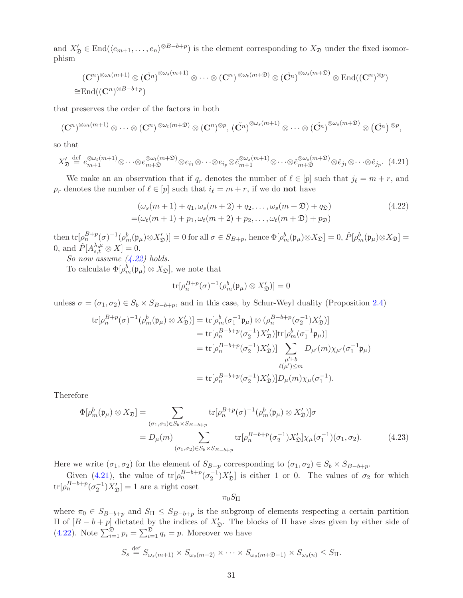and  $X'_\mathfrak{D} \in \text{End}(\langle e_{m+1}, \ldots, e_n \rangle^{\otimes B-b+p})$  is the element corresponding to  $X_\mathfrak{D}$  under the fixed isomorphism

$$
\begin{array}{c}\left( \mathbf{C}^{n}\right)^{\otimes\omega_{t}(m+1)}\otimes\left(\check{\mathbf{C}^{n}}\right)^{\otimes\omega_{s}(m+1)}\otimes\cdots\otimes\left( \mathbf{C}^{n}\right) ^{\otimes\omega_{t}(m+1)}\otimes\left(\check{\mathbf{C}^{n}}\right)^{\otimes\omega_{s}(m+2)}\otimes\mathrm{End}((\mathbf{C}^{n})^{\otimes p})\\ \cong\mathrm{End}((\mathbf{C}^{n})^{\otimes B-b+p})\end{array}
$$

that preserves the order of the factors in both

$$
(\mathbf{C}^n)^{\otimes\omega_t(m+1)}\otimes\cdots\otimes(\mathbf{C}^n)^{\otimes\omega_t(m+1)}\otimes(\mathbf{C}^n)^{\otimes p},(\check{\mathbf{C}^n})^{\otimes\omega_s(m+1)}\otimes\cdots\otimes(\check{\mathbf{C}^n})^{\otimes\omega_s(m+1)}\otimes(\check{\mathbf{C}^n})^{\otimes p},
$$

so that

<span id="page-30-1"></span>
$$
X_{\mathfrak{D}}' \stackrel{\text{def}}{=} e_{m+1}^{\otimes \omega_t(m+1)} \otimes \cdots \otimes e_{m+1}^{\otimes \omega_t(m+1)} \otimes e_{i_1} \otimes \cdots \otimes e_{i_p} \otimes e_{m+1}^{\otimes \omega_s(m+1)} \otimes \cdots \otimes e_{m+1}^{\otimes \omega_s(m+1)} \otimes e_{j_1} \otimes \cdots \otimes e_{j_p}. \tag{4.21}
$$

We make an an observation that if  $q_r$  denotes the number of  $\ell \in [p]$  such that  $j_{\ell} = m + r$ , and  $p_r$  denotes the number of  $\ell \in [p]$  such that  $i_{\ell} = m + r$ , if we do **not** have

$$
(\omega_s(m+1)+q_1,\omega_s(m+2)+q_2,\ldots,\omega_s(m+2)+q_2)
$$
  
= $(\omega_t(m+1)+p_1,\omega_t(m+2)+p_2,\ldots,\omega_t(m+2)+p_2)$  (4.22)

then  $\text{tr}[\rho_n^{B+p}(\sigma)^{-1}(\rho_m^b(\mathfrak{p}_\mu)\otimes X_\mathfrak{D}'] = 0$  for all  $\sigma \in S_{B+p}$ , hence  $\Phi[\rho_m^b(\mathfrak{p}_\mu)\otimes X_\mathfrak{D}] = 0$ ,  $\hat{P}[\rho_m^b(\mathfrak{p}_\mu)\otimes X_\mathfrak{D}] = 0$ 0, and  $\hat{P}[A^{\lambda,\mu}_{s,t} \otimes X] = 0.$ 

So now assume [\(4.22\)](#page-30-0) holds.

To calculate  $\Phi[\rho_m^b(\mathfrak{p}_\mu)\otimes X_{\mathfrak{D}}]$ , we note that

<span id="page-30-0"></span>
$$
\text{tr}[\rho_n^{B+p}(\sigma)^{-1}(\rho_m^b(\mathfrak{p}_\mu)\otimes X_{\mathfrak{D}}')] = 0
$$

unless  $\sigma = (\sigma_1, \sigma_2) \in S_b \times S_{B-b+p}$ , and in this case, by Schur-Weyl duality (Proposition [2.4\)](#page-12-3)

$$
\begin{split} \text{tr}[\rho_n^{B+p}(\sigma)^{-1}(\rho_m^b(\mathfrak{p}_{\mu}) \otimes X_{\mathfrak{D}}')] &= \text{tr}[\rho_m^b(\sigma_1^{-1}\mathfrak{p}_{\mu}) \otimes (\rho_n^{B-b+p}(\sigma_2^{-1})X_{\mathfrak{D}}')] \\ &= \text{tr}[\rho_n^{B-b+p}(\sigma_2^{-1})X_{\mathfrak{D}}')] \text{tr}[\rho_m^b(\sigma_1^{-1}\mathfrak{p}_{\mu})] \\ &= \text{tr}[\rho_n^{B-b+p}(\sigma_2^{-1})X_{\mathfrak{D}}')] \sum_{\mu' \vdash b} D_{\mu'}(m) \chi_{\mu'}(\sigma_1^{-1}\mathfrak{p}_{\mu}) \\ &\qquad \qquad \ell(\mu') \leq m \\ &= \text{tr}[\rho_n^{B-b+p}(\sigma_2^{-1})X_{\mathfrak{D}}')] D_{\mu}(m) \chi_{\mu}(\sigma_1^{-1}). \end{split}
$$

Therefore

$$
\Phi[\rho_m^b(\mathfrak{p}_\mu) \otimes X_{\mathfrak{D}}] = \sum_{(\sigma_1, \sigma_2) \in S_b \times S_{B-b+p}} \text{tr}[\rho_n^{B+p}(\sigma)^{-1}(\rho_m^b(\mathfrak{p}_\mu) \otimes X_{\mathfrak{D}}')] \sigma
$$
\n
$$
= D_\mu(m) \sum_{(\sigma_1, \sigma_2) \in S_b \times S_{B-b+p}} \text{tr}[\rho_n^{B-b+p}(\sigma_2^{-1}) X_{\mathfrak{D}}'] \chi_\mu(\sigma_1^{-1})(\sigma_1, \sigma_2). \tag{4.23}
$$

Here we write  $(\sigma_1, \sigma_2)$  for the element of  $S_{B+p}$  corresponding to  $(\sigma_1, \sigma_2) \in S_b \times S_{B-b+p}$ .

Given [\(4.21\)](#page-30-1), the value of  $tr[\rho_n^{B-b+p}(\sigma_2^{-1})X_{\mathcal{D}}']$  is either 1 or 0. The values of  $\sigma_2$  for which  $tr[\rho_n^{B-b+p}(\sigma_2^{-1})X_{\mathfrak{D}}'] = 1$  are a right coset

<span id="page-30-2"></span> $\pi_0S_\Pi$ 

where  $\pi_0 \in S_{B-b+p}$  and  $S_{\Pi} \leq S_{B-b+p}$  is the subgroup of elements respecting a certain partition  $\Pi$  of  $[B - b + p]$  dictated by the indices of  $X'_{\mathfrak{D}}$ . The blocks of  $\Pi$  have sizes given by either side of [\(4.22\)](#page-30-0). Note  $\sum_{i=1}^{\mathfrak{D}} p_i = \sum_{i=1}^{\mathfrak{D}} q_i = p$ . Moreover we have

$$
S_s \stackrel{\text{def}}{=} S_{\omega_s(m+1)} \times S_{\omega_s(m+2)} \times \cdots \times S_{\omega_s(m+2)-1} \times S_{\omega_s(n)} \leq S_{\Pi}.
$$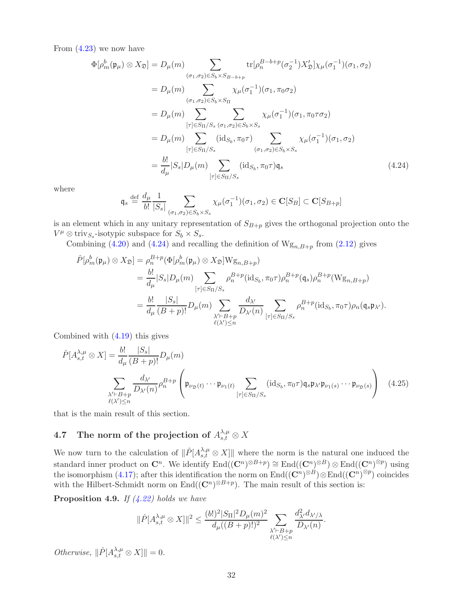From  $(4.23)$  we now have

$$
\Phi[\rho_m^b(\mathfrak{p}_{\mu}) \otimes X_{\mathfrak{D}}] = D_{\mu}(m) \sum_{(\sigma_1, \sigma_2) \in S_b \times S_{B-b+p}} \text{tr}[\rho_n^{B-b+p}(\sigma_2^{-1}) X_{\mathfrak{D}}'] \chi_{\mu}(\sigma_1^{-1})(\sigma_1, \sigma_2)
$$
\n
$$
= D_{\mu}(m) \sum_{(\sigma_1, \sigma_2) \in S_b \times S_{\Pi}} \chi_{\mu}(\sigma_1^{-1})(\sigma_1, \pi_0 \sigma_2)
$$
\n
$$
= D_{\mu}(m) \sum_{[\tau] \in S_{\Pi}/S_s} \sum_{(\sigma_1, \sigma_2) \in S_b \times S_s} \chi_{\mu}(\sigma_1^{-1})(\sigma_1, \pi_0 \tau \sigma_2)
$$
\n
$$
= D_{\mu}(m) \sum_{[\tau] \in S_{\Pi}/S_s} (\text{id}_{S_b}, \pi_0 \tau) \sum_{(\sigma_1, \sigma_2) \in S_b \times S_s} \chi_{\mu}(\sigma_1^{-1})(\sigma_1, \sigma_2)
$$
\n
$$
= \frac{b!}{d_{\mu}} |S_s| D_{\mu}(m) \sum_{[\tau] \in S_{\Pi}/S_s} (\text{id}_{S_b}, \pi_0 \tau) \mathfrak{q}_s \qquad (4.24)
$$

where

<span id="page-31-2"></span>
$$
\mathfrak{q}_s \stackrel{\text{def}}{=} \frac{d_\mu}{b!} \frac{1}{|S_s|} \sum_{(\sigma_1, \sigma_2) \in S_b \times S_s} \chi_\mu(\sigma_1^{-1})(\sigma_1, \sigma_2) \in \mathbf{C}[S_B] \subset \mathbf{C}[S_{B+p}]
$$

is an element which in any unitary representation of  $S_{B+p}$  gives the orthogonal projection onto the  $V^{\mu} \otimes \text{triv}_{S_s}$ -isotypic subspace for  $S_b \times S_s$ .

Combining [\(4.20\)](#page-29-1) and [\(4.24\)](#page-31-2) and recalling the definition of  $W_{\mathcal{S}_{n},B+p}$  from [\(2.12\)](#page-14-3) gives

$$
\hat{P}[\rho_m^b(\mathfrak{p}_\mu) \otimes X_{\mathfrak{D}}] = \rho_n^{B+p}(\Phi[\rho_m^b(\mathfrak{p}_\mu) \otimes X_{\mathfrak{D}}]Wg_{n,B+p})
$$
\n
$$
= \frac{b!}{d_\mu}|S_s|D_\mu(m) \sum_{[\tau] \in S_{\Pi}/S_s} \rho_n^{B+p}(\mathrm{id}_{S_b}, \pi_0\tau)\rho_n^{B+p}(\mathfrak{q}_s)\rho_n^{B+p}(Wg_{n,B+p})
$$
\n
$$
= \frac{b!}{d_\mu} \frac{|S_s|}{(B+p)!} D_\mu(m) \sum_{\substack{\lambda' \vdash B+p \\ \ell(\lambda') \le n}} \frac{d_{\lambda'}}{D_{\lambda'}(n)} \sum_{[\tau] \in S_{\Pi}/S_s} \rho_n^{B+p}(\mathrm{id}_{S_b}, \pi_0\tau)\rho_n(\mathfrak{q}_s \mathfrak{p}_{\lambda'}).
$$

Combined with [\(4.19\)](#page-29-2) this gives

$$
\hat{P}[A_{s,t}^{\lambda,\mu} \otimes X] = \frac{b!}{d_{\mu}} \frac{|S_s|}{(B+p)!} D_{\mu}(m)
$$
\n
$$
\sum_{\substack{\lambda' \vdash B+p \\ \ell(\lambda') \le n}} \frac{d_{\lambda'}}{D_{\lambda'}(n)} \rho_n^{B+p} \left(\mathfrak{p}_{\nu_{\mathfrak{D}}(t)} \cdots \mathfrak{p}_{\nu_1(t)} \sum_{[\tau] \in S_{\Pi}/S_s} (\mathrm{id}_{S_b}, \pi_0 \tau) \mathfrak{q}_s \mathfrak{p}_{\lambda'} \mathfrak{p}_{\nu_1(s)} \cdots \mathfrak{p}_{\nu_{\mathfrak{D}}(s)}\right) (4.25)
$$

<span id="page-31-0"></span>that is the main result of this section.

# 4.7 The norm of the projection of  $A^{\lambda,\mu}_{s,t}\otimes X$

We now turn to the calculation of  $\|\hat{P}[A_{s,t}^{\lambda,\mu} \otimes X]\|$  where the norm is the natural one induced the standard inner product on  $\mathbb{C}^n$ . We identify  $\text{End}((\mathbb{C}^n)^{\otimes B+p}) \cong \text{End}((\mathbb{C}^n)^{\otimes B}) \otimes \text{End}((\mathbb{C}^n)^{\otimes p})$  using the isomorphism [\(4.17\)](#page-29-3); after this identification the norm on  $\text{End}((\mathbf{C}^n)^{\otimes B}) \otimes \text{End}((\mathbf{C}^n)^{\otimes p})$  coincides with the Hilbert-Schmidt norm on  $\text{End}((\mathbb{C}^n)^{\otimes B+p})$ . The main result of this section is:

<span id="page-31-1"></span>**Proposition 4.9.** If  $(4.22)$  holds we have

<span id="page-31-3"></span>
$$
\|\hat{P}[A^{\lambda,\mu}_{s,t}\otimes X]\|^2\leq \frac{(b!)^2|S_{\Pi}|^2D_{\mu}(m)^2}{d_{\mu}((B+p)!)^2}\sum_{\substack{\lambda'\vdash B+p\\ \ell(\lambda')\leq n}}\frac{d_{\lambda'}^2d_{\lambda'/\lambda}}{D_{\lambda'}(n)}.
$$

Otherwise,  $\|\hat{P}[A^{\lambda,\mu}_{s,t} \otimes X]\| = 0.$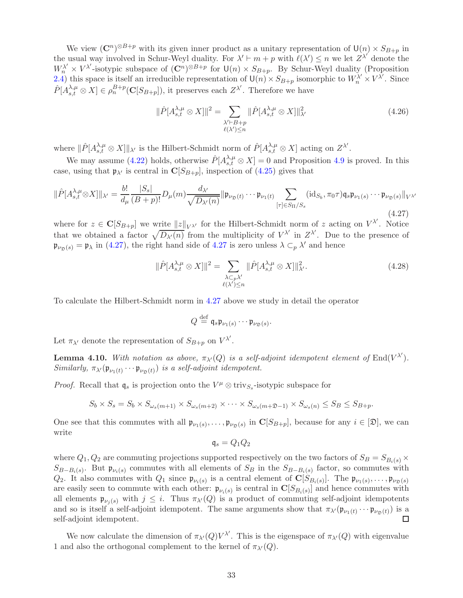We view  $(\mathbb{C}^n)^{\otimes B+p}$  with its given inner product as a unitary representation of  $\mathsf{U}(n) \times S_{B+p}$  in the usual way involved in Schur-Weyl duality. For  $\lambda' \vdash m + p$  with  $\ell(\lambda') \leq n$  we let  $Z^{\lambda'}$  denote the  $W_n^{\lambda'} \times V^{\lambda'}$ -isotypic subspace of  $(\mathbb{C}^n)^{\otimes B+p}$  for  $\mathsf{U}(n) \times S_{B+p}$ . By Schur-Weyl duality (Proposition [2.4\)](#page-12-3) this space is itself an irreducible representation of  $\mathsf{U}(n) \times S_{B+p}$  isomorphic to  $W_n^{\lambda'} \times V^{\lambda'}$ . Since  $\hat{P}[A^{\lambda,\mu}_{s,t} \otimes X] \in \rho_n^{B+p}(\mathbf{C}[S_{B+p}]),$  it preserves each  $Z^{\lambda'}$ . Therefore we have

<span id="page-32-2"></span>
$$
\|\hat{P}[A_{s,t}^{\lambda,\mu}\otimes X]\|^2 = \sum_{\substack{\lambda'\vdash B+p\\ \ell(\lambda')\leq n}} \|\hat{P}[A_{s,t}^{\lambda,\mu}\otimes X]\|^2_{\lambda'}
$$
(4.26)

where  $\|\hat{P}[A^{\lambda,\mu}_{s,t}\otimes X]\|_{\lambda}$  is the Hilbert-Schmidt norm of  $\hat{P}[A^{\lambda,\mu}_{s,t}\otimes X]$  acting on  $Z^{\lambda}$ .

We may assume [\(4.22\)](#page-30-0) holds, otherwise  $\hat{P}[A_{s,t}^{\lambda,\mu} \otimes X] = 0$  and Proposition [4.9](#page-31-1) is proved. In this case, using that  $\mathfrak{p}_{\lambda'}$  is central in  $\mathbf{C}[S_{B+p}]$ , inspection of [\(4.25\)](#page-31-3) gives that

<span id="page-32-0"></span>
$$
\|\hat{P}[A_{s,t}^{\lambda,\mu}\otimes X]\|_{\lambda'} = \frac{b!}{d_{\mu}} \frac{|S_s|}{(B+p)!} D_{\mu}(m) \frac{d_{\lambda'}}{\sqrt{D_{\lambda'}(n)}} \|\mathfrak{p}_{\nu_{\mathfrak{D}}(t)} \cdots \mathfrak{p}_{\nu_1(t)} \sum_{[\tau] \in S_{\Pi}/S_s} (\mathrm{id}_{S_b}, \pi_0 \tau) \mathfrak{q}_s \mathfrak{p}_{\nu_1(s)} \cdots \mathfrak{p}_{\nu_{\mathfrak{D}}(s)}\|_{V^{\lambda'}} \tag{4.27}
$$

where for  $z \in \mathbf{C}[S_{B+p}]$  we write  $||z||_{V^{\lambda'}}$  for the Hilbert-Schmidt norm of z acting on  $V^{\lambda'}$ . Notice that we obtained a factor  $\sqrt{D_{\lambda'}(n)}$  from the multiplicity of  $V^{\lambda'}$  in  $Z^{\lambda'}$ . Due to the presence of  $\mathfrak{p}_{\nu_{\mathfrak{D}}(s)} = \mathfrak{p}_{\lambda}$  in [\(4.27\)](#page-32-0), the right hand side of [4.27](#page-32-0) is zero unless  $\lambda \subset_p \lambda'$  and hence

$$
\|\hat{P}[A_{s,t}^{\lambda,\mu}\otimes X]\|^2 = \sum_{\substack{\lambda\subset_{p}\lambda'\\ \ell(\lambda')\leq n}} \|\hat{P}[A_{s,t}^{\lambda,\mu}\otimes X]\|^2_{\lambda'}.
$$
\n(4.28)

To calculate the Hilbert-Schmidt norm in [4.27](#page-32-0) above we study in detail the operator

$$
Q \stackrel{\text{def}}{=} \mathfrak{q}_s \mathfrak{p}_{\nu_1(s)} \cdots \mathfrak{p}_{\nu_{\mathfrak{D}}(s)}.
$$

Let  $\pi_{\lambda'}$  denote the representation of  $S_{B+p}$  on  $V^{\lambda'}$ .

<span id="page-32-1"></span>**Lemma 4.10.** With notation as above,  $\pi_{\lambda'}(Q)$  is a self-adjoint idempotent element of  $\text{End}(V^{\lambda'})$ . Similarly,  $\pi_{\lambda}(\mathfrak{p}_{\nu_1(t)} \cdots \mathfrak{p}_{\nu_{\mathfrak{D}}(t)})$  is a self-adjoint idempotent.

*Proof.* Recall that  $\mathfrak{q}_s$  is projection onto the  $V^{\mu} \otimes \text{triv}_{S_s}$ -isotypic subspace for

$$
S_b \times S_s = S_b \times S_{\omega_s(m+1)} \times S_{\omega_s(m+2)} \times \cdots \times S_{\omega_s(m+2)-1} \times S_{\omega_s(n)} \leq S_B \leq S_{B+p}.
$$

One see that this commutes with all  $\mathfrak{p}_{\nu_1(s)}, \ldots, \mathfrak{p}_{\nu_{\mathfrak{D}}(s)}$  in  $\mathbf{C}[S_{B+p}]$ , because for any  $i \in [\mathfrak{D}]$ , we can write

$$
\mathfrak{q}_s = Q_1 Q_2
$$

where  $Q_1, Q_2$  are commuting projections supported respectively on the two factors of  $S_B = S_{B_i(s)} \times$  $S_{B-B_i(s)}$ . But  $\mathfrak{p}_{\nu_i(s)}$  commutes with all elements of  $S_B$  in the  $S_{B-B_i(s)}$  factor, so commutes with  $Q_2$ . It also commutes with  $Q_1$  since  $\mathfrak{p}_{\nu_i(s)}$  is a central element of  $\mathbf{C}[S_{B_i(s)}]$ . The  $\mathfrak{p}_{\nu_1(s)}, \ldots, \mathfrak{p}_{\nu_{\mathfrak{D}}(s)}$ are easily seen to commute with each other:  $\mathfrak{p}_{\nu_i(s)}$  is central in  $\mathbb{C}[S_{B_i(s)}]$  and hence commutes with all elements  $\mathfrak{p}_{\nu_i(s)}$  with  $j \leq i$ . Thus  $\pi_{\lambda'}(Q)$  is a product of commuting self-adjoint idempotents and so is itself a self-adjoint idempotent. The same arguments show that  $\pi_{\lambda'}(\mathfrak{p}_{\nu_1(t)} \cdots \mathfrak{p}_{\nu_{\mathfrak{D}}(t)})$  is a self-adjoint idempotent. П

We now calculate the dimension of  $\pi_{\lambda'}(Q)V^{\lambda'}$ . This is the eigenspace of  $\pi_{\lambda'}(Q)$  with eigenvalue 1 and also the orthogonal complement to the kernel of  $\pi_{\lambda'}(Q)$ .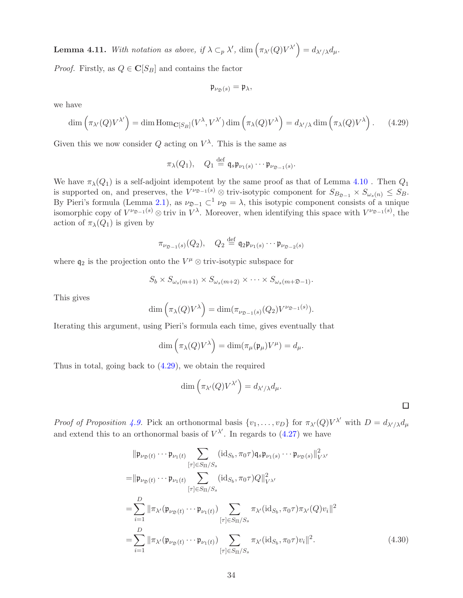**Lemma 4.11.** With notation as above, if  $\lambda \subset_p \lambda'$ ,  $\dim \left( \pi_{\lambda'}(Q)V^{\lambda'} \right) = d_{\lambda'/\lambda} d_{\mu}$ .

*Proof.* Firstly, as  $Q \in \mathbb{C}[S_B]$  and contains the factor

$$
\mathfrak{p}_{\nu_{\mathfrak{D}}(s)} = \mathfrak{p}_{\lambda},
$$

we have

<span id="page-33-0"></span>
$$
\dim\left(\pi_{\lambda'}(Q)V^{\lambda'}\right) = \dim \text{Hom}_{\mathbf{C}[S_B]}(V^{\lambda}, V^{\lambda'}) \dim\left(\pi_{\lambda}(Q)V^{\lambda}\right) = d_{\lambda'/\lambda} \dim\left(\pi_{\lambda}(Q)V^{\lambda}\right). \tag{4.29}
$$

Given this we now consider Q acting on  $V^{\lambda}$ . This is the same as

$$
\pi_{\lambda}(Q_1), \quad Q_1 \stackrel{\text{def}}{=} \mathfrak{q}_s \mathfrak{p}_{\nu_1(s)} \cdots \mathfrak{p}_{\nu_{\mathfrak{D}-1}(s)}.
$$

We have  $\pi_{\lambda}(Q_1)$  is a self-adjoint idempotent by the same proof as that of Lemma [4.10](#page-32-1). Then  $Q_1$ is supported on, and preserves, the  $V^{\nu_{\mathfrak{D}-1}(s)} \otimes \text{triv-isotypic component for } S_{B_{\mathfrak{D}-1}} \times S_{\omega_s(n)} \leq S_B$ . By Pieri's formula (Lemma [2.1\)](#page-10-1), as  $\nu_{\mathfrak{D}-1} \subset \nu_{\mathfrak{D}} = \lambda$ , this isotypic component consists of a unique isomorphic copy of  $V^{\nu_{\mathfrak{D}-1}(s)} \otimes \text{triv in } V^{\lambda}$ . Moreover, when identifying this space with  $V^{\nu_{\mathfrak{D}-1}(s)}$ , the action of  $\pi_{\lambda}(Q_1)$  is given by

$$
\pi_{\nu_{\mathfrak{D}-1}(s)}(Q_2), \quad Q_2 \stackrel{\text{def}}{=} \mathfrak{q}_2 \mathfrak{p}_{\nu_1(s)} \cdots \mathfrak{p}_{\nu_{\mathfrak{D}-2}(s)}
$$

where  $q_2$  is the projection onto the  $V^{\mu} \otimes \text{triv-isotypic subspace}$  for

$$
S_b \times S_{\omega_s(m+1)} \times S_{\omega_s(m+2)} \times \cdots \times S_{\omega_s(m+2-1)}.
$$

This gives

$$
\dim\left(\pi_{\lambda}(Q)V^{\lambda}\right) = \dim(\pi_{\nu_{\mathfrak{D}-1}(s)}(Q_2)V^{\nu_{\mathfrak{D}-1}(s)}).
$$

Iterating this argument, using Pieri's formula each time, gives eventually that

$$
\dim\left(\pi_{\lambda}(Q)V^{\lambda}\right) = \dim(\pi_{\mu}(\mathfrak{p}_{\mu})V^{\mu}) = d_{\mu}.
$$

Thus in total, going back to [\(4.29\)](#page-33-0), we obtain the required

$$
\dim\left(\pi_{\lambda'}(Q)V^{\lambda'}\right) = d_{\lambda'/\lambda}d_{\mu}.
$$

<span id="page-33-1"></span> $\Box$ 

*Proof of Proposition [4.9.](#page-31-1)* Pick an orthonormal basis  $\{v_1, \ldots, v_D\}$  for  $\pi_{\lambda'}(Q)V^{\lambda'}$  with  $D = d_{\lambda'/\lambda}d_{\mu}$ and extend this to an orthonormal basis of  $V^{\lambda'}$ . In regards to [\(4.27\)](#page-32-0) we have

$$
\|\mathfrak{p}_{\nu_{\mathfrak{D}}(t)}\cdots \mathfrak{p}_{\nu_{1}(t)} \sum_{[\tau]\in S_{\Pi}/S_{s}} (id_{S_{b}}, \pi_{0}\tau) \mathfrak{q}_{s} \mathfrak{p}_{\nu_{1}(s)}\cdots \mathfrak{p}_{\nu_{\mathfrak{D}}(s)}\|_{V^{\lambda'}}^{2}
$$
\n
$$
=\|\mathfrak{p}_{\nu_{\mathfrak{D}}(t)}\cdots \mathfrak{p}_{\nu_{1}(t)} \sum_{[\tau]\in S_{\Pi}/S_{s}} (id_{S_{b}}, \pi_{0}\tau) Q\|_{V^{\lambda'}}^{2}
$$
\n
$$
=\sum_{i=1}^{D} \|\pi_{\lambda'}(\mathfrak{p}_{\nu_{\mathfrak{D}}(t)}\cdots \mathfrak{p}_{\nu_{1}(t)}) \sum_{[\tau]\in S_{\Pi}/S_{s}} \pi_{\lambda'} (id_{S_{b}}, \pi_{0}\tau) \pi_{\lambda'}(Q) v_{i}\|^{2}
$$
\n
$$
=\sum_{i=1}^{D} \|\pi_{\lambda'}(\mathfrak{p}_{\nu_{\mathfrak{D}}(t)}\cdots \mathfrak{p}_{\nu_{1}(t)}) \sum_{[\tau]\in S_{\Pi}/S_{s}} \pi_{\lambda'} (id_{S_{b}}, \pi_{0}\tau) v_{i}\|^{2}.
$$
\n(4.30)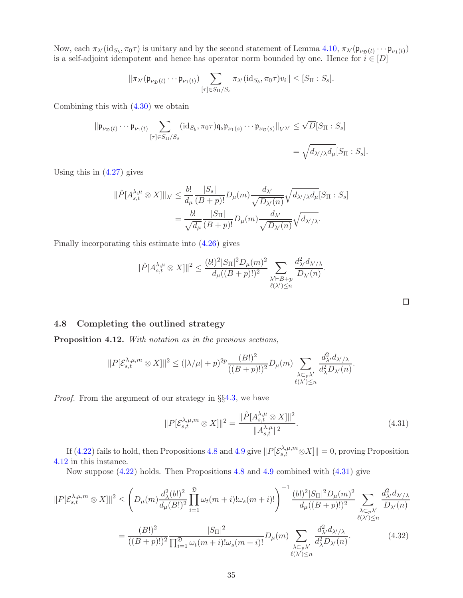Now, each  $\pi_{\lambda'}(\mathrm{id}_{S_b}, \pi_0\tau)$  is unitary and by the second statement of Lemma [4.10,](#page-32-1)  $\pi_{\lambda'}(\mathfrak{p}_{\nu_{\mathfrak{D}}(t)} \cdots \mathfrak{p}_{\nu_1(t)})$ is a self-adjoint idempotent and hence has operator norm bounded by one. Hence for  $i \in [D]$ 

$$
\|\pi_{\lambda'}(\mathfrak{p}_{\nu_{\mathfrak{D}}(t)}\cdots \mathfrak{p}_{\nu_1(t)})\sum_{[\tau]\in S_{\Pi}/S_s}\pi_{\lambda'}(\mathrm{id}_{S_b}, \pi_0\tau)v_i\| \leq [S_{\Pi}:S_s].
$$

Combining this with  $(4.30)$  we obtain

$$
\|\mathfrak{p}_{\nu_{\mathfrak{D}}(t)}\cdots \mathfrak{p}_{\nu_{1}(t)}\sum_{[\tau]\in S_{\Pi}/S_{s}}(\mathrm{id}_{S_{b}},\pi_{0}\tau)\mathfrak{q}_{s}\mathfrak{p}_{\nu_{1}(s)}\cdots \mathfrak{p}_{\nu_{\mathfrak{D}}(s)}\|_{V^{\lambda'}}\leq \sqrt{D}[S_{\Pi}:S_{s}]
$$

$$
=\sqrt{d_{\lambda'/\lambda}d_{\mu}}[S_{\Pi}:S_{s}].
$$

Using this in [\(4.27\)](#page-32-0) gives

$$
\|\hat{P}[A^{\lambda,\mu}_{s,t} \otimes X]\|_{\lambda'} \leq \frac{b!}{d_{\mu}} \frac{|S_s|}{(B+p)!} D_{\mu}(m) \frac{d_{\lambda'}}{\sqrt{D_{\lambda'}(n)}} \sqrt{d_{\lambda'/\lambda} d_{\mu}} [S_{\Pi} : S_s]
$$
  
= 
$$
\frac{b!}{\sqrt{d_{\mu}}} \frac{|S_{\Pi}|}{(B+p)!} D_{\mu}(m) \frac{d_{\lambda'}}{\sqrt{D_{\lambda'}(n)}} \sqrt{d_{\lambda'/\lambda}}.
$$

Finally incorporating this estimate into [\(4.26\)](#page-32-2) gives

$$
\|\hat{P}[A^{\lambda,\mu}_{s,t}\otimes X]\|^2\leq \frac{(b!)^2|S_{\Pi}|^2D_{\mu}(m)^2}{d_{\mu}((B+p)!)^2}\sum_{\substack{\lambda'\vdash B+p\\ \ell(\lambda')\leq n}}\frac{d_{\lambda'}^2d_{\lambda'/\lambda}}{D_{\lambda'}(n)}.
$$

### <span id="page-34-0"></span>4.8 Completing the outlined strategy

<span id="page-34-1"></span>Proposition 4.12. With notation as in the previous sections,

$$
||P[\mathcal{E}_{s,t}^{\lambda,\mu,m} \otimes X]||^2 \leq (|\lambda/\mu|+p)^{2p} \frac{(B!)^2}{((B+p)!)^2} D_{\mu}(m) \sum_{\substack{\lambda \subset p_{\lambda'} \\ \ell(\lambda') \leq n}} \frac{d_{\lambda'}^2 d_{\lambda'/\lambda}}{d_{\lambda}^2 D_{\lambda'}(n)}.
$$

Proof. From the argument of our strategy in §§[4.3,](#page-23-0) we have

<span id="page-34-2"></span>
$$
||P[\mathcal{E}_{s,t}^{\lambda,\mu,m} \otimes X]||^2 = \frac{||\hat{P}[A_{s,t}^{\lambda,\mu} \otimes X]||^2}{||A_{s,t}^{\lambda,\mu}||^2}.
$$
\n(4.31)

<span id="page-34-3"></span> $λ$  $C_pλ'$  $\ell(\lambda')\leq n$ 

If [\(4.22\)](#page-30-0) fails to hold, then Propositions [4.8](#page-27-1) and [4.9](#page-31-1) give  $||P[\mathcal{E}_{s,t}^{\lambda,\mu,m} \otimes X]|| = 0$ , proving Proposition [4.12](#page-34-1) in this instance.

Now suppose [\(4.22\)](#page-30-0) holds. Then Propositions [4.8](#page-27-1) and [4.9](#page-31-1) combined with [\(4.31\)](#page-34-2) give

$$
||P[\mathcal{E}_{s,t}^{\lambda,\mu,m} \otimes X]||^{2} \leq \left(D_{\mu}(m) \frac{d_{\lambda}^{2}(b!)^{2}}{d_{\mu}(B!)^{2}} \prod_{i=1}^{\infty} \omega_{t}(m+i)!\omega_{s}(m+i)! \right)^{-1} \frac{(b!)^{2} |S_{\Pi}|^{2} D_{\mu}(m)^{2}}{d_{\mu}((B+p)!)^{2}} \sum_{\substack{\lambda \subset_{p} \lambda' \\ \ell(\lambda') \leq n}} \frac{d_{\lambda'}^{2} d_{\lambda' / \lambda}}{D_{\lambda'}(n)}
$$

$$
= \frac{(B!)^{2}}{((B+p)!)^{2}} \frac{|S_{\Pi}|^{2}}{\prod_{i=1}^{\infty} \omega_{t}(m+i)!\omega_{s}(m+i)!} D_{\mu}(m) \sum_{\lambda \subset_{p} \lambda'} \frac{d_{\lambda'}^{2} d_{\lambda' / \lambda}}{d_{\lambda}^{2} D_{\lambda'}(n)}.
$$
(4.32)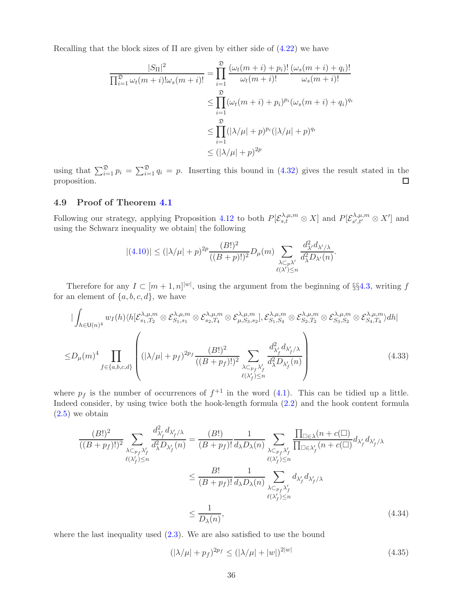Recalling that the block sizes of  $\Pi$  are given by either side of  $(4.22)$  we have

$$
\frac{|S_{\Pi}|^2}{\prod_{i=1}^{\mathfrak{D}}\omega_t(m+i)!\omega_s(m+i)!} = \prod_{i=1}^{\mathfrak{D}}\frac{(\omega_t(m+i)+p_i)!}{\omega_t(m+i)!}\frac{(\omega_s(m+i)+q_i)!}{\omega_s(m+i)!}
$$

$$
\leq \prod_{i=1}^{\mathfrak{D}}(\omega_t(m+i)+p_i)^{p_i}(\omega_s(m+i)+q_i)^{q_i}
$$

$$
\leq \prod_{i=1}^{\mathfrak{D}}(|\lambda/\mu|+p)^{p_i}(|\lambda/\mu|+p)^{q_i}
$$

$$
\leq (|\lambda/\mu|+p)^{2p}
$$

using that  $\sum_{i=1}^{\mathfrak{D}} p_i = \sum_{i=1}^{\mathfrak{D}} q_i = p$ . Inserting this bound in [\(4.32\)](#page-34-3) gives the result stated in the proposition.

### <span id="page-35-0"></span>4.9 Proof of Theorem [4.1](#page-19-2)

Following our strategy, applying Proposition [4.12](#page-34-1) to both  $P[\mathcal{E}_{s,t}^{\lambda,\mu,m} \otimes X]$  and  $P[\mathcal{E}_{s',t'}^{\lambda,\mu,m}]$  $\chi^{A,\mu,m}_{s',t'} \otimes X'$  and using the Schwarz inequality we obtain| the following

<span id="page-35-3"></span>
$$
|(4.10)| \leq (|\lambda/\mu|+p)^{2p} \frac{(B!)^2}{((B+p)!)^2} D_{\mu}(m) \sum_{\substack{\lambda \subset_p \lambda' \\ \ell(\lambda') \leq n}} \frac{d_{\lambda'}^2 d_{\lambda'/\lambda}}{d_{\lambda}^2 D_{\lambda'}(n)}.
$$

Therefore for any  $I \subset [m+1,n]^{|\omega|}$ , using the argument from the beginning of §§4.[3,](#page-23-0) writing f for an element of  $\{a, b, c, d\}$ , we have

$$
\left| \int_{h \in \mathsf{U}(n)^4} w_I(h) \langle h[\mathcal{E}_{s_1,T_2}^{\lambda,\mu,m} \otimes \mathcal{E}_{s_1,s_1}^{\lambda,\mu,m} \otimes \mathcal{E}_{s_2,T_4}^{\lambda,\mu,m} \otimes \mathcal{E}_{\mu,S_3,s_2}^{\lambda,\mu,m}], \mathcal{E}_{s_1,S_4}^{\lambda,\mu,m} \otimes \mathcal{E}_{s_2,T_2}^{\lambda,\mu,m} \otimes \mathcal{E}_{s_3,S_2}^{\lambda,\mu,m} \otimes \mathcal{E}_{s_4,T_4}^{\lambda,\mu,m} \rangle dh \right|
$$
  
\n
$$
\leq D_\mu(m)^4 \prod_{f \in \{a,b,c,d\}} \left( \left| \lambda/\mu \right| + p_f \right)^{2p_f} \frac{(B!)^2}{((B+p_f)!)^2} \sum_{\substack{\lambda \subset_{p_f} \lambda'_f \\ \ell(\lambda'_f) \leq n}} \frac{d_{\lambda'_f}^2 d_{\lambda'_f/\lambda}}{d_{\lambda}^2 D_{\lambda'_f}(n)} \right) \tag{4.33}
$$

where  $p_f$  is the number of occurrences of  $f^{+1}$  in the word [\(4.1\)](#page-19-4). This can be tidied up a little. Indeed consider, by using twice both the hook-length formula [\(2.2\)](#page-9-2) and the hook content formula  $(2.5)$  we obtain

$$
\frac{(B!)^2}{((B+p_f)!)^2} \sum_{\substack{\lambda \subset_{p_f} \lambda'_f \\ \ell(\lambda'_f) \le n}} \frac{d_{\lambda'_f}^2 d_{\lambda'_f/\lambda}}{d_{\lambda}^2 D_{\lambda'_f}(n)} = \frac{(B!)}{(B+p_f)!} \frac{1}{d_{\lambda} D_{\lambda}(n)} \sum_{\substack{\lambda \subset_{p_f} \lambda'_f \\ \ell(\lambda'_f) \le n}} \frac{\prod_{\square \in \lambda} (n + c(\square))}{\prod_{\square \in \lambda'_f} (n + c(\square))} d_{\lambda'_f} d_{\lambda'_f/\lambda}
$$
\n
$$
\le \frac{B!}{(B+p_f)!} \frac{1}{d_{\lambda} D_{\lambda}(n)} \sum_{\substack{\lambda \subset_{p_f} \lambda'_f \\ \ell(\lambda'_f) \le n}} d_{\lambda'_f} d_{\lambda'_f/\lambda}
$$
\n
$$
\le \frac{1}{D_{\lambda}(n)},
$$
\n(4.34)

where the last inequality used  $(2.3)$ . We are also satisfied to use the bound

<span id="page-35-2"></span><span id="page-35-1"></span>
$$
(|\lambda/\mu| + p_f)^{2p_f} \le (|\lambda/\mu| + |w|)^{2|w|} \tag{4.35}
$$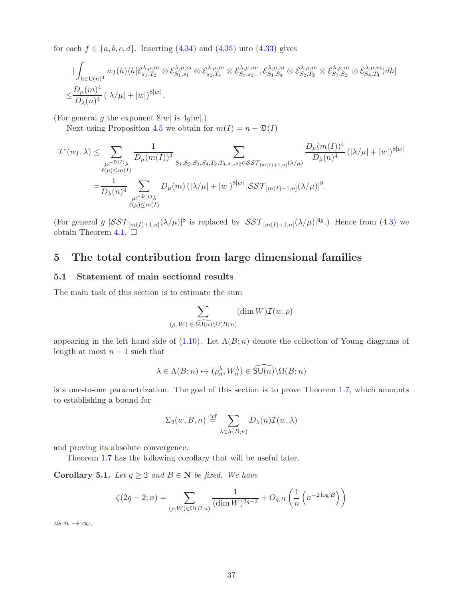for each  $f \in \{a, b, c, d\}$ . Inserting  $(4.34)$  and  $(4.35)$  into  $(4.33)$  gives

$$
\begin{split} &\qquad|\int_{h\in\mathsf{U}(n)^4}w_I(h)\langle h[\mathcal{E}_{s_1,T_2}^{\lambda,\mu,m}\otimes\mathcal{E}_{s_1,s_1}^{\lambda,\mu,m}\otimes\mathcal{E}_{s_2,T_4}^{\lambda,\mu,m}\otimes\mathcal{E}_{s_3,s_2}^{\lambda,\mu,m}],\mathcal{E}_{s_1,S_4}^{\lambda,\mu,m}\otimes\mathcal{E}_{s_2,T_2}^{\lambda,\mu,m}\otimes\mathcal{E}_{s_3,S_2}^{\lambda,\mu,m}\otimes\mathcal{E}_{s_4,T_4}^{\lambda,\mu,m}\rangle dh|\\ \leq&\frac{D_\mu(m)^4}{D_\lambda(n)^4}\left(|\lambda/\mu|+|w| \right)^{8|w|}. \end{split}
$$

(For general g the exponent  $8|w|$  is  $4g|w|$ .)

Next using Proposition [4.5](#page-23-1) we obtain for  $m(I) = n - \mathfrak{D}(I)$ 

$$
\mathcal{I}^*(w_I, \lambda) \leq \sum_{\substack{\mu \subset \mathfrak{D}(I)_{\lambda} \\ \ell(\mu) \leq m(I)}} \frac{1}{D_{\mu}(m(I))^3} \sum_{S_1, S_2, S_3, S_4, T_2, T_4, s_1, s_2 \in \mathcal{SST}_{[m(I)+1, n]}(\lambda/\mu)} \frac{D_{\mu}(m(I))^4}{D_{\lambda}(n)^4} (|\lambda/\mu| + |w|)^{8|w|}
$$
  
= 
$$
\frac{1}{D_{\lambda}(n)^4} \sum_{\substack{\mu \subset \mathfrak{D}(I)_{\lambda} \\ \ell(\mu) \leq m(I)}} D_{\mu}(m) (|\lambda/\mu| + |w|)^{8|w|} |\mathcal{SST}_{[m(I)+1, n]}(\lambda/\mu)|^8.
$$

(For general g  $|\mathcal{SST}_{[m(I)+1,n]}(\lambda/\mu)|^8$  is replaced by  $|\mathcal{SST}_{[m(I)+1,n]}(\lambda/\mu)|^{4g}$ .) Hence from [\(4.3\)](#page-20-1) we obtain Theorem [4.1.](#page-19-2)  $\square$ 

# <span id="page-36-1"></span><span id="page-36-0"></span>5 The total contribution from large dimensional families

### 5.1 Statement of main sectional results

The main task of this section is to estimate the sum

$$
\sum_{(\rho, W) \in \widetilde{\mathsf{SU}(n)} \backslash \Omega(B; n)} (\dim W) \mathcal{I}(w, \rho)
$$

appearing in the left hand side of [\(1.10\)](#page-4-2). Let  $\Lambda(B; n)$  denote the collection of Young diagrams of length at most  $n-1$  such that

$$
\lambda\in\Lambda(B;n)\mapsto(\rho_n^\lambda,W_n^\lambda)\in\widehat{\mathsf{SU}(n)}\backslash\Omega(B;n)
$$

is a one-to-one parametrization. The goal of this section is to prove Theorem [1.7,](#page-4-0) which amounts to establishing a bound for

$$
\Sigma_2(w, B, n) \stackrel{\text{def}}{=} \sum_{\lambda \in \Lambda(B; n)} D_{\lambda}(n) \mathcal{I}(w, \lambda)
$$

and proving its absolute convergence.

Theorem [1.7](#page-4-0) has the following corollary that will be useful later.

<span id="page-36-2"></span>**Corollary 5.1.** Let  $g \geq 2$  and  $B \in \mathbb{N}$  be fixed. We have

$$
\zeta(2g-2;n) = \sum_{(\rho,W)\in\Omega(B;n)} \frac{1}{(\dim W)^{2g-2}} + O_{g,B}\left(\frac{1}{n}\left(n^{-2\log B}\right)\right)
$$

as  $n \to \infty$ .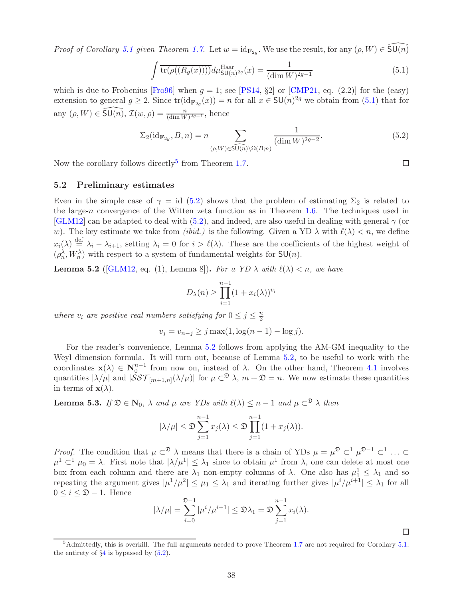<span id="page-37-6"></span>Proof of Corollary [5.1](#page-36-2) given Theorem [1.7.](#page-4-0) Let  $w = id_{\mathbf{F}_{2g}}$ . We use the result, for any  $(\rho, W) \in \widehat{\mathsf{SU}(n)}$ 

<span id="page-37-1"></span>
$$
\int \overline{\text{tr}(\rho((R_g(x))))} d\mu_{\text{SU}(n)^{2g}}^{\text{Haar}}(x) = \frac{1}{(\dim W)^{2g-1}} \tag{5.1}
$$

which is due to Frobenius [\[Fro96\]](#page-43-17) when  $g = 1$ ; see [\[PS14,](#page-44-11) §2] or [\[CMP21,](#page-42-4) eq. (2.2)] for the (easy) extension to general  $g \ge 2$ . Since  $tr(id_{\mathbf{F}_{2g}}(x)) = n$  for all  $x \in \mathsf{SU}(n)^{2g}$  we obtain from  $(5.1)$  that for any  $(\rho, W) \in \widehat{\mathsf{SU}(n)}$ ,  $\mathcal{I}(w, \rho) = \frac{n}{(\dim W)^{2g-1}}$ , hence

$$
\Sigma_2(\mathrm{id}_{\mathbf{F}_{2g}}, B, n) = n \sum_{(\rho, W) \in \widehat{\mathrm{SU}(n)} \backslash \Omega(B; n)} \frac{1}{(\dim W)^{2g - 2}}.
$$
\n(5.2)

<span id="page-37-0"></span>Now the corollary follows directly<sup>[5](#page-37-2)</sup> from Theorem [1.7.](#page-4-0)

### 5.2 Preliminary estimates

Even in the simple case of  $\gamma = id$  [\(5.2\)](#page-37-3) shows that the problem of estimating  $\Sigma_2$  is related to the large-n convergence of the Witten zeta function as in Theorem [1.6.](#page-3-5) The techniques used in [\[GLM12\]](#page-43-5) can be adapted to deal with [\(5.2\)](#page-37-3), and indeed, are also useful in dealing with general  $\gamma$  (or w). The key estimate we take from *(ibid.)* is the following. Given a YD  $\lambda$  with  $\ell(\lambda) < n$ , we define  $x_i(\lambda) \stackrel{\text{def}}{=} \lambda_i - \lambda_{i+1}$ , setting  $\lambda_i = 0$  for  $i > \ell(\lambda)$ . These are the coefficients of the highest weight of  $(\rho_n^{\lambda}, W_n^{\lambda})$  with respect to a system of fundamental weights for  $\mathsf{SU}(n)$ .

<span id="page-37-4"></span>**Lemma 5.2** ([\[GLM12,](#page-43-5) eq. (1), Lemma 8]). For a YD  $\lambda$  with  $\ell(\lambda) < n$ , we have

$$
D_{\lambda}(n) \ge \prod_{i=1}^{n-1} (1 + x_i(\lambda))^{v_i}
$$

where  $v_i$  are positive real numbers satisfying for  $0 \le j \le \frac{n}{2}$ 2

$$
v_j = v_{n-j} \ge j \max(1, \log(n-1) - \log j).
$$

For the reader's convenience, Lemma [5.2](#page-37-4) follows from applying the AM-GM inequality to the Weyl dimension formula. It will turn out, because of Lemma [5.2,](#page-37-4) to be useful to work with the coordinates  $\mathbf{x}(\lambda) \in \mathbf{N}_0^{n-1}$  from now on, instead of  $\lambda$ . On the other hand, Theorem [4.1](#page-19-2) involves quantities  $|\lambda/\mu|$  and  $|\mathcal{SST}_{[m+1,n]}(\lambda/\mu)|$  for  $\mu \subset \mathbb{R}$   $\lambda, m + \mathfrak{D} = n$ . We now estimate these quantities in terms of  $\mathbf{x}(\lambda)$ .

<span id="page-37-5"></span>**Lemma 5.3.** If  $\mathfrak{D} \in \mathbb{N}_0$ ,  $\lambda$  and  $\mu$  are YDs with  $\ell(\lambda) \leq n-1$  and  $\mu \subset \mathbb{R}$   $\lambda$  then

$$
|\lambda/\mu| \leq \mathfrak{D} \sum_{j=1}^{n-1} x_j(\lambda) \leq \mathfrak{D} \prod_{j=1}^{n-1} (1 + x_j(\lambda)).
$$

*Proof.* The condition that  $\mu \subset \mathbb{R}$   $\lambda$  means that there is a chain of YDs  $\mu = \mu^{\mathfrak{D}} \subset \mathbb{R}^{1}$   $\mu^{\mathfrak{D}-1} \subset \mathbb{R}^{1}$ ...  $\mu^1 \subset^1 \mu_0 = \lambda$ . First note that  $|\lambda/\mu^1| \leq \lambda_1$  since to obtain  $\mu^1$  from  $\lambda$ , one can delete at most one box from each column and there are  $\lambda_1$  non-empty columns of  $\lambda$ . One also has  $\mu_1^1 \leq \lambda_1$  and so repeating the argument gives  $|\mu^1/\mu^2| \leq \mu_1 \leq \lambda_1$  and iterating further gives  $|\mu^i/\mu^{i+1}| \leq \lambda_1$  for all  $0 \leq i \leq \mathfrak{D} - 1$ . Hence

$$
|\lambda/\mu| = \sum_{i=0}^{\mathfrak{D}-1} |\mu^i/\mu^{i+1}| \leq \mathfrak{D}\lambda_1 = \mathfrak{D} \sum_{j=1}^{n-1} x_i(\lambda).
$$

<span id="page-37-3"></span> $\Box$ 

 $\Box$ 

<span id="page-37-2"></span> $5$ Admittedly, this is overkill. The full arguments needed to prove Theorem [1.7](#page-4-0) are not required for Corollary  $5.1$ : the entirety of  $\S 4$  $\S 4$  is bypassed by  $(5.2)$ .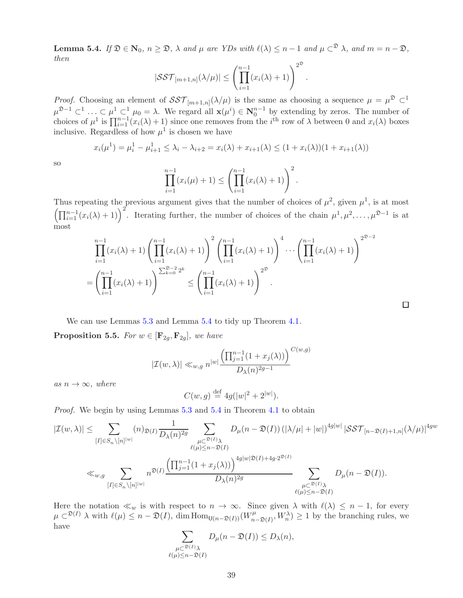<span id="page-38-0"></span>**Lemma 5.4.** If  $\mathfrak{D} \in \mathbb{N}_0$ ,  $n \geq \mathfrak{D}$ ,  $\lambda$  and  $\mu$  are YDs with  $\ell(\lambda) \leq n-1$  and  $\mu \subset \mathfrak{D}$ , and  $m = n - \mathfrak{D}$ , then  $2^{\circ}$ 

$$
|\mathcal{SST}_{[m+1,n]}(\lambda/\mu)| \leq \left(\prod_{i=1}^{n-1} (x_i(\lambda)+1)\right)^{2^{\mathfrak{D}}}
$$

.

 $\Box$ 

*Proof.* Choosing an element of  $SST_{[m+1,n]}(\lambda/\mu)$  is the same as choosing a sequence  $\mu = \mu^{\mathfrak{D}} \subset \mathbb{R}$  $\mu^{2-1} \subset \cdots \subset \mu^{1} \subset \mu_{0} = \lambda$ . We regard all  $\mathbf{x}(\mu^{i}) \in \mathbf{N}_{0}^{n-1}$  by extending by zeros. The number of choices of  $\mu^1$  is  $\prod_{i=1}^{n-1} (x_i(\lambda) + 1)$  since one removes from the  $i^{\text{th}}$  row of  $\lambda$  between 0 and  $x_i(\lambda)$  boxes inclusive. Regardless of how  $\mu^1$  is chosen we have

$$
x_i(\mu^1) = \mu_i^1 - \mu_{i+1}^1 \le \lambda_i - \lambda_{i+2} = x_i(\lambda) + x_{i+1}(\lambda) \le (1 + x_i(\lambda))(1 + x_{i+1}(\lambda))
$$

so

$$
\prod_{i=1}^{n-1} (x_i(\mu) + 1) \le \left( \prod_{i=1}^{n-1} (x_i(\lambda) + 1) \right)^2.
$$

Thus repeating the previous argument gives that the number of choices of  $\mu^2$ , given  $\mu^1$ , is at most  $\left(\prod_{i=1}^{n-1}(x_i(\lambda)+1)\right)^2$ . Iterating further, the number of choices of the chain  $\mu^1, \mu^2, \ldots, \mu^{\mathfrak{D}-1}$  is at most

$$
\prod_{i=1}^{n-1} (x_i(\lambda) + 1) \left( \prod_{i=1}^{n-1} (x_i(\lambda) + 1) \right)^2 \left( \prod_{i=1}^{n-1} (x_i(\lambda) + 1) \right)^4 \cdots \left( \prod_{i=1}^{n-1} (x_i(\lambda) + 1) \right)^{2^{D-2}}
$$

$$
= \left( \prod_{i=1}^{n-1} (x_i(\lambda) + 1) \right)^{\sum_{k=0}^{D-2} 2^k} \le \left( \prod_{i=1}^{n-1} (x_i(\lambda) + 1) \right)^{2^D}.
$$

We can use Lemmas [5.3](#page-37-5) and Lemma [5.4](#page-38-0) to tidy up Theorem [4.1.](#page-19-2)

<span id="page-38-1"></span>**Proposition 5.5.** For  $w \in [\mathbf{F}_{2q}, \mathbf{F}_{2q}]$ , we have

$$
|\mathcal{I}(w,\lambda)| \ll_{w,g} n^{|w|} \frac{\left(\prod_{j=1}^{n-1} (1 + x_j(\lambda))\right)^{C(w,g)}}{D_{\lambda}(n)^{2g-1}}
$$

as  $n \to \infty$ , where

$$
C(w, g) \stackrel{\text{def}}{=} 4g(|w|^2 + 2^{|w|}).
$$

Proof. We begin by using Lemmas [5.3](#page-37-5) and [5.4](#page-38-0) in Theorem [4.1](#page-19-2) to obtain

$$
\begin{aligned} |\mathcal{I}(w,\lambda)|&\leq \sum_{[I]\in S_n\backslash [n]^{|w|}} (n)_{\mathfrak{D}(I)} \frac{1}{D_{\lambda}(n)^{2g}} \sum_{\substack{\mu\subset^{\mathfrak{D}(I)}\lambda\\ \ell(\mu)\leq n-\mathfrak{D}(I)}} D_{\mu}(n-\mathfrak{D}(I)) \left(|\lambda/\mu|+|w| \right)^{4g|w|} |\mathcal{SST}_{[n-\mathfrak{D}(I)+1,n]}(\lambda/\mu)|^{4gw} \\ &\ll_{w,g} \sum_{[I]\in S_n\backslash [n]^{|w|}} n^{\mathfrak{D}(I)} \frac{\left(\prod_{j=1}^{n-1} (1+x_j(\lambda))\right)^{4g|w|\mathfrak{D}(I)+4g\cdot 2^{\mathfrak{D}(I)}}}{D_{\lambda}(n)^{2g}} \sum_{\substack{\mu\subset^{\mathfrak{D}(I)}\lambda\\ \ell(\mu)\leq n-\mathfrak{D}(I)}} D_{\mu}(n-\mathfrak{D}(I)). \end{aligned}
$$

Here the notation  $\ll_w$  is with respect to  $n \to \infty$ . Since given  $\lambda$  with  $\ell(\lambda) \leq n-1$ , for every  $\mu \subset \mathfrak{D}(I)$   $\lambda$  with  $\ell(\mu) \leq n - \mathfrak{D}(I)$ , dim  $\text{Hom}_{\mathsf{U}(n-\mathfrak{D}(I))}(W_n^{\mu})$  $\langle u \rangle_{n-\mathfrak{D}(I)}, W_n^{\lambda}$  > 1 by the branching rules, we have

$$
\sum_{\substack{\mu \subset \mathfrak{D}(I)_{\lambda} \\ \ell(\mu) \leq n - \mathfrak{D}(I)}} D_{\mu}(n - \mathfrak{D}(I)) \leq D_{\lambda}(n),
$$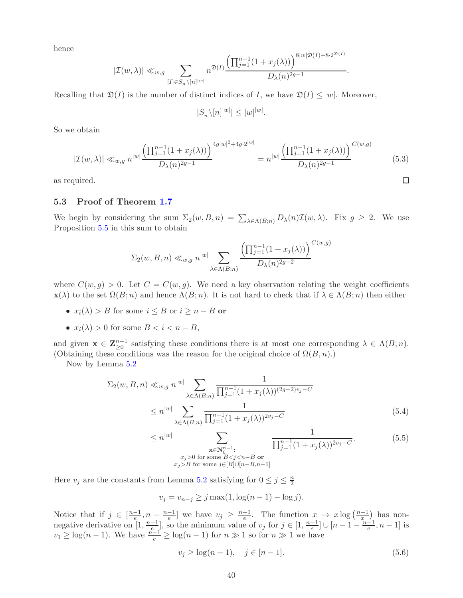hence

$$
|\mathcal{I}(w,\lambda)| \ll_{w,g} \sum_{[I] \in S_n \backslash [n]^{|w|}} n^{\mathfrak{D}(I)} \frac{\left(\prod_{j=1}^{n-1} (1+x_j(\lambda))\right)^{8|w|\mathfrak{D}(I)+8\cdot 2^{\mathfrak{D}(I)}}}{D_{\lambda}(n)^{2g-1}}.
$$

Recalling that  $\mathfrak{D}(I)$  is the number of distinct indices of I, we have  $\mathfrak{D}(I) \leq |w|$ . Moreover,

$$
|S_n \backslash [n]^{|w|} | \le |w|^{|w|}
$$

So we obtain

$$
|\mathcal{I}(w,\lambda)| \ll_{w,g} n^{|w|} \frac{\left(\prod_{j=1}^{n-1} (1+x_j(\lambda))\right)^{4g|w|^2+4g\cdot 2^{|w|}}}{D_{\lambda}(n)^{2g-1}} = n^{|w|} \frac{\left(\prod_{j=1}^{n-1} (1+x_j(\lambda))\right)^{C(w,g)}}{D_{\lambda}(n)^{2g-1}} \tag{5.3}
$$

.

 $\Box$ 

<span id="page-39-0"></span>as required.

### 5.3 Proof of Theorem [1.7](#page-4-0)

We begin by considering the sum  $\Sigma_2(w, B, n) = \sum_{\lambda \in \Lambda(B; n)} D_{\lambda}(n) \mathcal{I}(w, \lambda)$ . Fix  $g \geq 2$ . We use Proposition [5.5](#page-38-1) in this sum to obtain

$$
\Sigma_2(w, B, n) \ll_{w, g} n^{|w|} \sum_{\lambda \in \Lambda(B; n)} \frac{\left(\prod_{j=1}^{n-1} (1 + x_j(\lambda))\right)^{C(w, g)}}{D_{\lambda}(n)^{2g - 2}}
$$

where  $C(w, q) > 0$ . Let  $C = C(w, q)$ . We need a key observation relating the weight coefficients  $\mathbf{x}(\lambda)$  to the set  $\Omega(B; n)$  and hence  $\Lambda(B; n)$ . It is not hard to check that if  $\lambda \in \Lambda(B; n)$  then either

- $x_i(\lambda) > B$  for some  $i \leq B$  or  $i \geq n B$  or
- $x_i(\lambda) > 0$  for some  $B < i < n B$ ,

and given  $\mathbf{x} \in \mathbb{Z}_{\geq 0}^{n-1}$  satisfying these conditions there is at most one corresponding  $\lambda \in \Lambda(B; n)$ . (Obtaining these conditions was the reason for the original choice of  $\Omega(B, n)$ .)

Now by Lemma [5.2](#page-37-4)

$$
\Sigma_2(w, B, n) \ll_{w, g} n^{|w|} \sum_{\lambda \in \Lambda(B; n)} \frac{1}{\prod_{j=1}^{n-1} (1 + x_j(\lambda))^{(2g-2)v_j - C}}
$$
  
 
$$
\leq n^{|w|} \sum_{\lambda \in \Lambda(B; n)} \frac{1}{\prod_{j=1}^{n-1} (1 + x_j(\lambda))^{2v_j - C}}
$$
(5.4)

<span id="page-39-1"></span>
$$
\leq n^{|w|} \sum_{\substack{\mathbf{x} \in \mathbb{N}_0^{n-1}: \\ x_j > 0 \text{ for some } B < j < n-B \text{ or } \\ x_j > B \text{ for some } j \in [B] \cup [n-B,n-1]}} \frac{1}{\prod_{j=1}^{n-1} (1 + x_j(\lambda))^{2v_j - C}}.\tag{5.5}
$$

Here  $v_j$  are the constants from Lemma [5.2](#page-37-4) satisfying for  $0 \le j \le \frac{n}{2}$ 2

$$
v_j = v_{n-j} \ge j \max(1, \log(n-1) - \log j).
$$

Notice that if  $j \in \left[\frac{n-1}{e}, n - \frac{n-1}{e}\right]$  we have  $v_j \geq \frac{n-1}{e}$ . The function  $x \mapsto x \log\left(\frac{n-1}{x}\right)$  has nonnegative derivative on  $[1, \frac{n-1}{e}],$  so the minimum value of  $v_j$  for  $j \in [1, \frac{n-1}{e}] \cup [n-1-\frac{n-1}{e}, n-1]$  is  $v_1 \geq \log(n-1)$ . We have  $\frac{n-1}{e} \geq \log(n-1)$  for  $n \gg 1$  so for  $n \gg 1$  we have

$$
v_j \ge \log(n-1), \quad j \in [n-1].
$$
\n(5.6)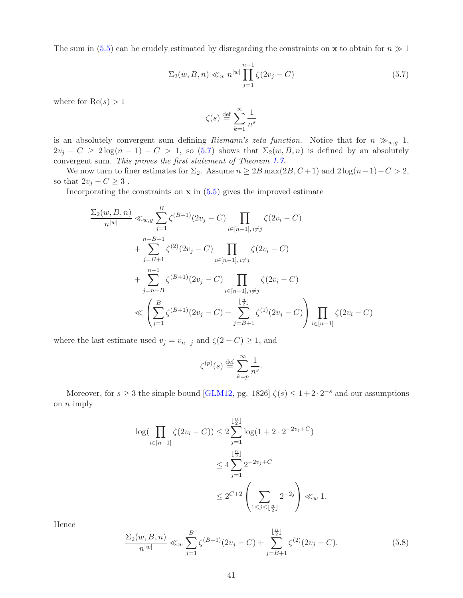<span id="page-40-2"></span>The sum in [\(5.5\)](#page-39-1) can be crudely estimated by disregarding the constraints on **x** to obtain for  $n \gg 1$ 

<span id="page-40-0"></span>
$$
\Sigma_2(w, B, n) \ll_w n^{|w|} \prod_{j=1}^{n-1} \zeta(2v_j - C)
$$
\n(5.7)

where for  $Re(s) > 1$ 

$$
\zeta(s) \stackrel{\text{def}}{=} \sum_{k=1}^{\infty} \frac{1}{n^s}
$$

is an absolutely convergent sum defining Riemann's zeta function. Notice that for  $n \gg_{w,g} 1$ ,  $2v_j - C \geq 2\log(n-1) - C > 1$ , so [\(5.7\)](#page-40-0) shows that  $\Sigma_2(w, B, n)$  is defined by an absolutely convergent sum. This proves the first statement of Theorem [1.7.](#page-4-0)

We now turn to finer estimates for  $\Sigma_2$ . Assume  $n \geq 2B \max(2B, C+1)$  and  $2 \log(n-1)-C > 2$ , so that  $2v_j - C \geq 3$ .

Incorporating the constraints on  $x$  in  $(5.5)$  gives the improved estimate

$$
\frac{\Sigma_{2}(w, B, n)}{n^{|w|}} \ll_{w,g} \sum_{j=1}^{B} \zeta^{(B+1)}(2v_{j} - C) \prod_{i \in [n-1], i \neq j} \zeta(2v_{i} - C)
$$
  
+ 
$$
\sum_{j=B+1}^{n-B-1} \zeta^{(2)}(2v_{j} - C) \prod_{i \in [n-1], i \neq j} \zeta(2v_{i} - C)
$$
  
+ 
$$
\sum_{j=n-B}^{n-1} \zeta^{(B+1)}(2v_{j} - C) \prod_{i \in [n-1], i \neq j} \zeta(2v_{i} - C)
$$
  

$$
\ll \left(\sum_{j=1}^{B} \zeta^{(B+1)}(2v_{j} - C) + \sum_{j=B+1}^{\lfloor \frac{n}{2} \rfloor} \zeta^{(1)}(2v_{j} - C)\right) \prod_{i \in [n-1]} \zeta(2v_{i} - C)
$$

where the last estimate used  $v_j = v_{n-j}$  and  $\zeta(2-C) \geq 1$ , and

$$
\zeta^{(p)}(s) \stackrel{\text{def}}{=} \sum_{k=p}^{\infty} \frac{1}{n^s}.
$$

Moreover, for  $s \geq 3$  the simple bound [\[GLM12,](#page-43-5) pg. 1826]  $\zeta(s) \leq 1 + 2 \cdot 2^{-s}$  and our assumptions on  $n$  imply

$$
\log(\prod_{i \in [n-1]} \zeta(2v_i - C)) \le 2 \sum_{j=1}^{\lfloor \frac{n}{2} \rfloor} \log(1 + 2 \cdot 2^{-2v_j + C})
$$
  

$$
\le 4 \sum_{j=1}^{\lfloor \frac{n}{2} \rfloor} 2^{-2v_j + C}
$$
  

$$
\le 2^{C+2} \left( \sum_{1 \le j \le \lfloor \frac{n}{2} \rfloor} 2^{-2j} \right) \ll_w 1.
$$

Hence

<span id="page-40-1"></span>
$$
\frac{\Sigma_2(w, B, n)}{n^{|w|}} \ll_w \sum_{j=1}^B \zeta^{(B+1)}(2v_j - C) + \sum_{j=B+1}^{\lfloor \frac{n}{2} \rfloor} \zeta^{(2)}(2v_j - C). \tag{5.8}
$$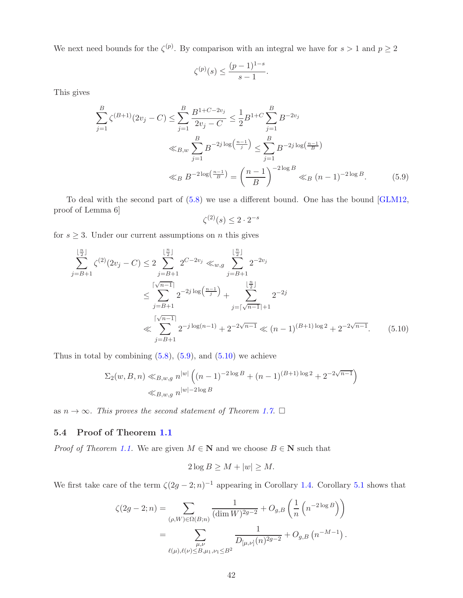<span id="page-41-3"></span>We next need bounds for the  $\zeta^{(p)}$ . By comparison with an integral we have for  $s > 1$  and  $p \ge 2$ 

$$
\zeta^{(p)}(s) \le \frac{(p-1)^{1-s}}{s-1}.
$$

This gives

$$
\sum_{j=1}^{B} \zeta^{(B+1)}(2v_j - C) \le \sum_{j=1}^{B} \frac{B^{1+C-2v_j}}{2v_j - C} \le \frac{1}{2} B^{1+C} \sum_{j=1}^{B} B^{-2v_j}
$$
  

$$
\ll_{B,w} \sum_{j=1}^{B} B^{-2j \log\left(\frac{n-1}{j}\right)} \le \sum_{j=1}^{B} B^{-2j \log\left(\frac{n-1}{B}\right)}
$$
  

$$
\ll_B B^{-2\log\left(\frac{n-1}{B}\right)} = \left(\frac{n-1}{B}\right)^{-2\log B} \ll_B (n-1)^{-2\log B}.
$$
 (5.9)

To deal with the second part of [\(5.8\)](#page-40-1) we use a different bound. One has the bound [\[GLM12,](#page-43-5) proof of Lemma 6]

<span id="page-41-2"></span><span id="page-41-1"></span>
$$
\zeta^{(2)}(s) \le 2 \cdot 2^{-s}
$$

for  $s \geq 3$ . Under our current assumptions on n this gives

$$
\sum_{j=B+1}^{\lfloor \frac{n}{2} \rfloor} \zeta^{(2)}(2v_j - C) \le 2 \sum_{j=B+1}^{\lfloor \frac{n}{2} \rfloor} 2^{C-2v_j} \ll_{w,g} \sum_{j=B+1}^{\lfloor \frac{n}{2} \rfloor} 2^{-2v_j}
$$
  

$$
\le \sum_{j=B+1}^{\lceil \sqrt{n-1} \rceil} 2^{-2j \log(\frac{n-1}{j})} + \sum_{j=\lceil \sqrt{n-1} \rceil+1}^{\lfloor \frac{n}{2} \rfloor} 2^{-2j}
$$
  

$$
\ll \sum_{j=B+1}^{\lceil \sqrt{n-1} \rceil} 2^{-j \log(n-1)} + 2^{-2\sqrt{n-1}} \ll (n-1)^{(B+1)\log 2} + 2^{-2\sqrt{n-1}}. \tag{5.10}
$$

Thus in total by combining  $(5.8)$ ,  $(5.9)$ , and  $(5.10)$  we achieve

$$
\Sigma_2(w, B, n) \ll_{B,w,g} n^{|w|} \left( (n-1)^{-2 \log B} + (n-1)^{(B+1) \log 2} + 2^{-2\sqrt{n-1}} \right)
$$
  

$$
\ll_{B,w,g} n^{|w|-2 \log B}
$$

as  $n \to \infty$ . This proves the second statement of Theorem [1.7](#page-4-0).  $\Box$ 

### <span id="page-41-0"></span>5.4 Proof of Theorem [1.1](#page-2-0)

*Proof of Theorem [1.1.](#page-2-0)* We are given  $M \in \mathbb{N}$  and we choose  $B \in \mathbb{N}$  such that

$$
2\log B \ge M + |w| \ge M.
$$

We first take care of the term  $\zeta(2g-2;n)^{-1}$  appearing in Corollary [1.4.](#page-3-2) Corollary [5.1](#page-36-2) shows that

$$
\zeta(2g-2;n) = \sum_{(\rho,W)\in\Omega(B;n)} \frac{1}{(\dim W)^{2g-2}} + O_{g,B}\left(\frac{1}{n}\left(n^{-2\log B}\right)\right)
$$
  
= 
$$
\sum_{\substack{\mu,\nu\\ \ell(\mu),\ell(\nu)\leq B,\mu_1,\nu_1\leq B^2}} \frac{1}{D_{[\mu,\nu]}(n)^{2g-2}} + O_{g,B}\left(n^{-M-1}\right).
$$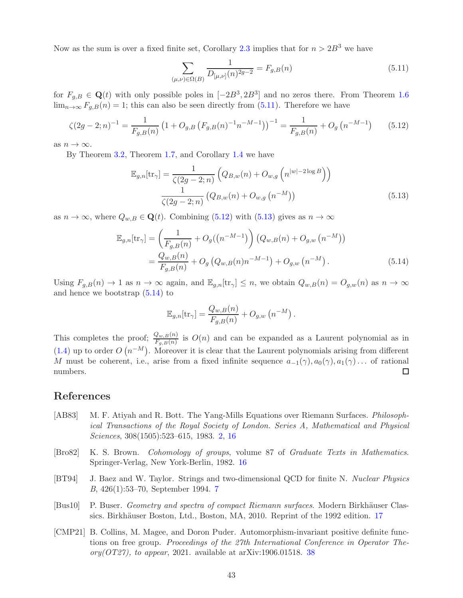Now as the sum is over a fixed finite set, Corollary [2.3](#page-12-2) implies that for  $n > 2B<sup>3</sup>$  we have

<span id="page-42-5"></span>
$$
\sum_{(\mu,\nu)\in\Omega(B)} \frac{1}{D_{[\mu,\nu]}(n)^{2g-2}} = F_{g,B}(n) \tag{5.11}
$$

for  $F_{g,B} \in \mathbf{Q}(t)$  with only possible poles in  $[-2B^3, 2B^3]$  and no zeros there. From Theorem [1.6](#page-3-5)  $\lim_{n\to\infty} F_{q,B}(n) = 1$ ; this can also be seen directly from [\(5.11\)](#page-42-5). Therefore we have

<span id="page-42-6"></span>
$$
\zeta(2g-2;n)^{-1} = \frac{1}{F_{g,B}(n)} \left(1 + O_{g,B}\left(F_{g,B}(n)^{-1}n^{-M-1}\right)\right)^{-1} = \frac{1}{F_{g,B}(n)} + O_g\left(n^{-M-1}\right) \tag{5.12}
$$

as  $n \to \infty$ .

By Theorem [3.2,](#page-18-1) Theorem [1.7,](#page-4-0) and Corollary [1.4](#page-3-2) we have

$$
\mathbb{E}_{g,n}[\text{tr}_{\gamma}] = \frac{1}{\zeta(2g-2;n)} \left( Q_{B,w}(n) + O_{w,g}\left(n^{|w|-2\log B}\right) \right)
$$

$$
\frac{1}{\zeta(2g-2;n)} \left( Q_{B,w}(n) + O_{w,g}\left(n^{-M}\right) \right) \tag{5.13}
$$

as  $n \to \infty$ , where  $Q_{w,B} \in \mathbf{Q}(t)$ . Combining [\(5.12\)](#page-42-6) with [\(5.13\)](#page-42-7) gives as  $n \to \infty$ 

$$
\mathbb{E}_{g,n}[\text{tr}_{\gamma}] = \left(\frac{1}{F_{g,B}(n)} + O_g((n^{-M-1})\right) \left(Q_{w,B}(n) + O_{g,w}(n^{-M})\right)
$$

$$
= \frac{Q_{w,B}(n)}{F_{g,B}(n)} + O_g\left(Q_{w,B}(n)n^{-M-1}\right) + O_{g,w}(n^{-M}). \tag{5.14}
$$

Using  $F_{g,B}(n) \to 1$  as  $n \to \infty$  again, and  $\mathbb{E}_{g,n}[\text{tr}_\gamma] \leq n$ , we obtain  $Q_{w,B}(n) = O_{g,w}(n)$  as  $n \to \infty$ and hence we bootstrap  $(5.14)$  to

<span id="page-42-8"></span><span id="page-42-7"></span>
$$
\mathbb{E}_{g,n}[\text{tr}_{\gamma}] = \frac{Q_{w,B}(n)}{F_{g,B}(n)} + O_{g,w}(n^{-M}).
$$

This completes the proof;  $\frac{Q_{w,B}(n)}{F_{g,B}(n)}$  is  $O(n)$  and can be expanded as a Laurent polynomial as in [\(1.4\)](#page-2-3) up to order  $O(n^{-M})$ . Moreover it is clear that the Laurent polynomials arising from different M must be coherent, i.e., arise from a fixed infinite sequence  $a_{-1}(\gamma), a_0(\gamma), a_1(\gamma) \dots$  of rational numbers. numbers.

### References

- <span id="page-42-0"></span>[AB83] M. F. Atiyah and R. Bott. The Yang-Mills Equations over Riemann Surfaces. Philosophical Transactions of the Royal Society of London. Series A, Mathematical and Physical Sciences, 308(1505):523–615, 1983. [2,](#page-1-2) [16](#page-15-2)
- <span id="page-42-2"></span>[Bro82] K. S. Brown. Cohomology of groups, volume 87 of Graduate Texts in Mathematics. Springer-Verlag, New York-Berlin, 1982. [16](#page-15-2)
- <span id="page-42-1"></span>[BT94] J. Baez and W. Taylor. Strings and two-dimensional QCD for finite N. Nuclear Physics B, 426(1):53–70, September 1994. [7](#page-6-0)
- <span id="page-42-3"></span>[Bus10] P. Buser. Geometry and spectra of compact Riemann surfaces. Modern Birkhäuser Clas-sics. Birkhäuser Boston, Ltd., Boston, MA, 2010. Reprint of the 1992 edition. [17](#page-16-6)
- <span id="page-42-4"></span>[CMP21] B. Collins, M. Magee, and Doron Puder. Automorphism-invariant positive definite functions on free group. Proceedings of the 27th International Conference in Operator Theory( $\langle OT27\rangle$ , to appear, 2021. available at arXiv:1906.01518. [38](#page-37-6)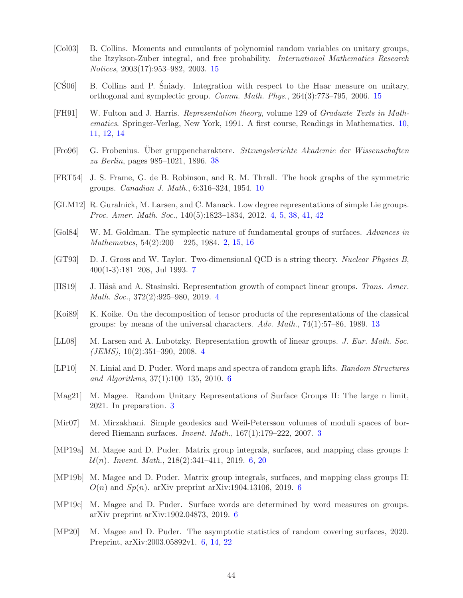- <span id="page-43-15"></span>[Col03] B. Collins. Moments and cumulants of polynomial random variables on unitary groups, the Itzykson-Zuber integral, and free probability. International Mathematics Research Notices, 2003(17):953–982, 2003. [15](#page-14-6)
- <span id="page-43-16"></span> $[C\angle \text{Sol}]$  B. Collins and P. Sniady. Integration with respect to the Haar measure on unitary, orthogonal and symplectic group. Comm. Math. Phys., 264(3):773–795, 2006. [15](#page-14-6)
- <span id="page-43-12"></span>[FH91] W. Fulton and J. Harris. Representation theory, volume 129 of Graduate Texts in Mathematics. Springer-Verlag, New York, 1991. A first course, Readings in Mathematics. [10,](#page-9-3) [11,](#page-10-3) [12,](#page-11-2) [14](#page-13-3)
- <span id="page-43-17"></span>[Fro96] G. Frobenius. Über gruppencharaktere. Sitzungsberichte Akademie der Wissenschaften zu Berlin, pages 985–1021, 1896. [38](#page-37-6)
- <span id="page-43-13"></span>[FRT54] J. S. Frame, G. de B. Robinson, and R. M. Thrall. The hook graphs of the symmetric groups. Canadian J. Math., 6:316–324, 1954. [10](#page-9-3)
- <span id="page-43-5"></span>[GLM12] R. Guralnick, M. Larsen, and C. Manack. Low degree representations of simple Lie groups. Proc. Amer. Math. Soc., 140(5):1823–1834, 2012. [4,](#page-3-7) [5,](#page-4-4) [38,](#page-37-6) [41,](#page-40-2) [42](#page-41-3)
- <span id="page-43-0"></span>[Gol84] W. M. Goldman. The symplectic nature of fundamental groups of surfaces. Advances in Mathematics, 54(2):200 – 225, 1984. [2,](#page-1-2) [15,](#page-14-6) [16](#page-15-2)
- <span id="page-43-11"></span>[GT93] D. J. Gross and W. Taylor. Two-dimensional QCD is a string theory. Nuclear Physics B, 400(1-3):181–208, Jul 1993. [7](#page-6-0)
- <span id="page-43-4"></span>[HS19] J. Häsä and A. Stasinski. Representation growth of compact linear groups. Trans. Amer. Math. Soc., 372(2):925–980, 2019. [4](#page-3-7)
- <span id="page-43-14"></span>[Koi89] K. Koike. On the decomposition of tensor products of the representations of the classical groups: by means of the universal characters.  $Adv. Math., 74(1): 57–86, 1989. 13$  $Adv. Math., 74(1): 57–86, 1989. 13$
- <span id="page-43-3"></span>[LL08] M. Larsen and A. Lubotzky. Representation growth of linear groups. J. Eur. Math. Soc.  $(JEMS), 10(2):351-390, 2008. 4$  $(JEMS), 10(2):351-390, 2008. 4$
- <span id="page-43-7"></span>[LP10] N. Linial and D. Puder. Word maps and spectra of random graph lifts. Random Structures and Algorithms, 37(1):100–135, 2010. [6](#page-5-3)
- <span id="page-43-2"></span>[Mag21] M. Magee. Random Unitary Representations of Surface Groups II: The large n limit, 2021. In preparation. [3](#page-2-4)
- <span id="page-43-1"></span>[Mir07] M. Mirzakhani. Simple geodesics and Weil-Petersson volumes of moduli spaces of bordered Riemann surfaces. Invent. Math., 167(1):179–222, 2007. [3](#page-2-4)
- <span id="page-43-9"></span>[MP19a] M. Magee and D. Puder. Matrix group integrals, surfaces, and mapping class groups I:  $\mathcal{U}(n)$ . Invent. Math., 218(2):341-411, 2019. [6,](#page-5-3) [20](#page-19-5)
- <span id="page-43-10"></span>[MP19b] M. Magee and D. Puder. Matrix group integrals, surfaces, and mapping class groups II:  $O(n)$  and  $Sp(n)$ . arXiv preprint arXiv:1904.1310[6](#page-5-3), 2019. 6
- <span id="page-43-8"></span>[MP19c] M. Magee and D. Puder. Surface words are determined by word measures on groups. arXiv preprint arXiv:1902.04873, 2019. [6](#page-5-3)
- <span id="page-43-6"></span>[MP20] M. Magee and D. Puder. The asymptotic statistics of random covering surfaces, 2020. Preprint, arXiv:2003.05892v1. [6,](#page-5-3) [14,](#page-13-3) [22](#page-21-5)